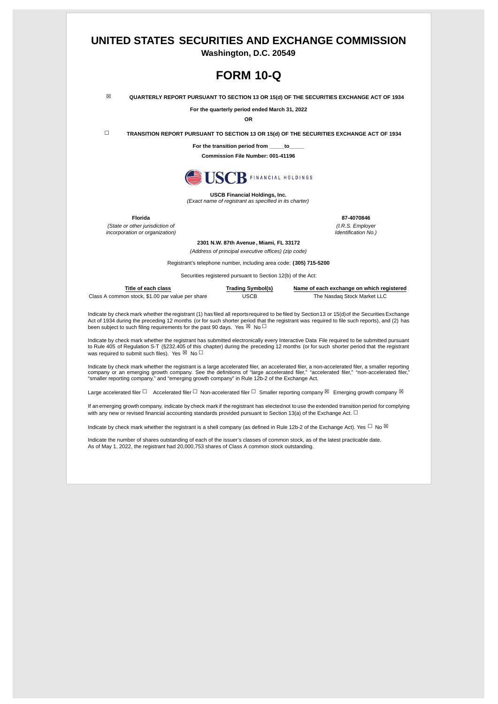# **UNITED STATES SECURITIES AND EXCHANGE COMMISSION**

**Washington, D.C. 20549**

# **FORM 10-Q**

☒ **QUARTERLY REPORT PURSUANT TO SECTION 13 OR 15(d) OF THE SECURITIES EXCHANGE ACT OF 1934**

**For the quarterly period ended March 31, 2022**

**OR**

☐ **TRANSITION REPORT PURSUANT TO SECTION 13 OR 15(d) OF THE SECURITIES EXCHANGE ACT OF 1934**

**For the transition period from \_\_\_\_\_to\_\_\_\_\_**

**Commission File Number: 001-41196**



**USCB Financial Holdings, Inc.** *(Exact name of registrant as specified in its charter)*

*(State or other jurisdiction of incorporation or organization)*

**Florida 87-4070846** *(I.R.S. Employer Identification No.)*

**2301 N.W. 87th Avenue , Miami, FL 33172** *(Address of principal executive offices) (zip code)*

Registrant's telephone number, including area code: **(305) 715-5200**

Securities registered pursuant to Section 12(b) of the Act:

Class A common stock, \$1.00 par value per share USCB The Nasdaq Stock Market LLC

**Title of each class Trading Symbol(s) Name of each exchange on which registered**

Indicate by check mark whether the registrant (1) has filed all reportsrequired to be filed by Section13 or 15(d)of the Securities Exchange Act of 1934 during the preceding 12 months (or for such shorter period that the registrant was required to file such reports), and (2) has<br>been subject to such filing requirements for the past 90 days. Yes ⊠ No □

Indicate by check mark whether the registrant has submitted electronically every Interactive Data File required to be submitted pursuant to Rule 405 of Regulation S-T (§232.405 of this chapter) during the preceding 12 months (or for such shorter period that the registrant was required to submit such files). Yes  $\boxtimes$  No  $\Box$ 

Indicate by check mark whether the registrant is a large accelerated filer, an accelerated filer, a non-accelerated filer, a smaller reporting<br>company or an emerging growth company. See the definitions of "large accelerate "smaller reporting company," and "emerging growth company" in Rule 12b-2 of the Exchange Act.

Large accelerated filer  $\Box$  Accelerated filer  $\Box$  Non-accelerated filer  $\Box$  Smaller reporting company  $\boxtimes$  Emerging growth company  $\boxtimes$ 

If an emerging growth company, indicate by check mark if the registrant has electednot to use the extended transition period for complying with any new or revised financial accounting standards provided pursuant to Section 13(a) of the Exchange Act.  $\Box$ 

Indicate by check mark whether the registrant is a shell company (as defined in Rule 12b-2 of the Exchange Act). Yes  $\Box$  No  $\boxtimes$ 

Indicate the number of shares outstanding of each of the issuer's classes of common stock, as of the latest practicable date. As of May 1, 2022, the registrant had 20,000,753 shares of Class A common stock outstanding.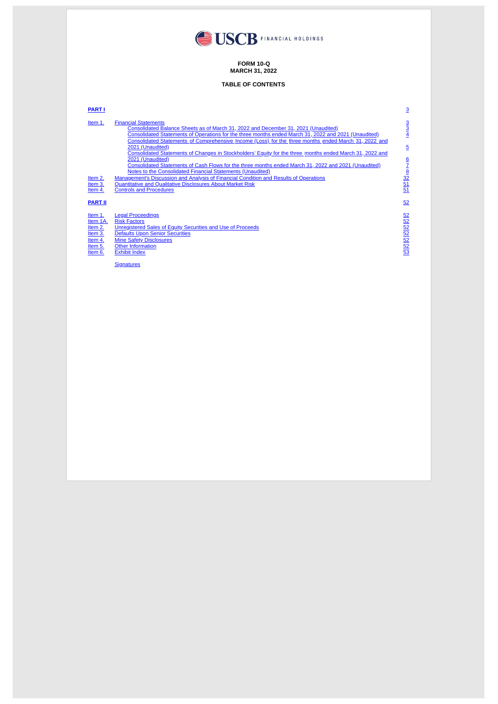

### **FORM 10-Q MARCH 31, 2022**

# <span id="page-1-0"></span>**TABLE OF CONTENTS**

|                                                                                                                                                                                                                                                                                                                                   | $\overline{3}$                                                                                                                |
|-----------------------------------------------------------------------------------------------------------------------------------------------------------------------------------------------------------------------------------------------------------------------------------------------------------------------------------|-------------------------------------------------------------------------------------------------------------------------------|
| <b>Financial Statements</b><br>Consolidated Balance Sheets as of March 31, 2022 and December 31, 2021 (Unaudited)<br>Consolidated Statements of Operations for the three months ended March 31, 2022 and 2021 (Unaudited)<br>Consolidated Statements of Comprehensive Income (Loss) for the three months ended March 31, 2022 and | $\frac{3}{4}$                                                                                                                 |
| Consolidated Statements of Changes in Stockholders' Equity for the three months ended March 31, 2022 and                                                                                                                                                                                                                          | 5                                                                                                                             |
| Consolidated Statements of Cash Flows for the three months ended March 31, 2022 and 2021 (Unaudited)<br>Notes to the Consolidated Financial Statements (Unaudited)                                                                                                                                                                | $rac{6}{7}$<br>$rac{7}{8}$<br>$rac{8}{51}$<br>$rac{51}{51}$                                                                   |
| <b>Quantitative and Qualitative Disclosures About Market Risk</b><br><b>Controls and Procedures</b>                                                                                                                                                                                                                               |                                                                                                                               |
|                                                                                                                                                                                                                                                                                                                                   | 52                                                                                                                            |
| <b>Legal Proceedings</b><br><b>Risk Factors</b><br>Unregistered Sales of Equity Securities and Use of Proceeds<br><b>Defaults Upon Senior Securities</b><br><b>Mine Safety Disclosures</b><br><b>Other Information</b><br><b>Exhibit Index</b>                                                                                    | 52<br>52<br>52<br>52<br>53<br>53<br>53                                                                                        |
|                                                                                                                                                                                                                                                                                                                                   | 2021 (Unaudited)<br>2021 (Unaudited)<br>Management's Discussion and Analysis of Financial Condition and Results of Operations |

**[Signatures](#page-53-0)**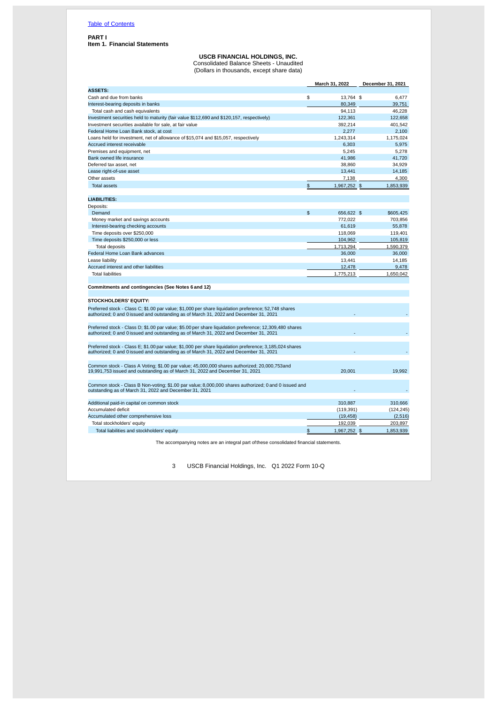# <span id="page-2-0"></span>**PART I**

<span id="page-2-1"></span>**Item 1. Financial Statements**

#### **USCB FINANCIAL HOLDINGS, INC.** Consolidated Balance Sheets - Unaudited (Dollars in thousands, except share data)

|                                                                                                                                                                                                  | March 31, 2022     |               | December 31, 2021 |
|--------------------------------------------------------------------------------------------------------------------------------------------------------------------------------------------------|--------------------|---------------|-------------------|
| <b>ASSETS:</b>                                                                                                                                                                                   |                    |               |                   |
| Cash and due from banks                                                                                                                                                                          | \$<br>13,764 \$    |               | 6,477             |
| Interest-bearing deposits in banks                                                                                                                                                               | 80,349             |               | 39,751            |
| Total cash and cash equivalents                                                                                                                                                                  | 94.113             |               | 46.228            |
| Investment securities held to maturity (fair value \$112,690 and \$120,157, respectively)                                                                                                        | 122,361            |               | 122.658           |
| Investment securities available for sale, at fair value                                                                                                                                          | 392,214            |               | 401,542           |
| Federal Home Loan Bank stock, at cost                                                                                                                                                            | 2,277              |               | 2,100             |
| Loans held for investment, net of allowance of \$15,074 and \$15,057, respectively                                                                                                               | 1.243.314          |               | 1.175.024         |
| Accrued interest receivable                                                                                                                                                                      | 6,303              |               | 5,975             |
| Premises and equipment, net                                                                                                                                                                      | 5.245              |               | 5.278             |
| Bank owned life insurance                                                                                                                                                                        | 41,986             |               | 41,720            |
| Deferred tax asset, net                                                                                                                                                                          | 38,860             |               | 34,929            |
| Lease right-of-use asset                                                                                                                                                                         | 13,441             |               | 14,185            |
| Other assets                                                                                                                                                                                     | 7,138              |               | 4,300             |
| <b>Total assets</b>                                                                                                                                                                              | \$<br>1,967,252    | $\frac{2}{3}$ | 1,853,939         |
|                                                                                                                                                                                                  |                    |               |                   |
| <b>LIABILITIES:</b>                                                                                                                                                                              |                    |               |                   |
| Deposits:                                                                                                                                                                                        |                    |               |                   |
| Demand                                                                                                                                                                                           | \$<br>656,622 \$   |               | \$605,425         |
| Money market and savings accounts                                                                                                                                                                | 772,022            |               | 703,856           |
| Interest-bearing checking accounts                                                                                                                                                               | 61,619             |               | 55,878            |
| Time deposits over \$250,000                                                                                                                                                                     | 118,069            |               | 119,401           |
| Time deposits \$250,000 or less                                                                                                                                                                  | 104,962            |               | 105,819           |
| <b>Total deposits</b>                                                                                                                                                                            | 1.713.294          |               | 1.590.379         |
| Federal Home Loan Bank advances                                                                                                                                                                  | 36,000             |               | 36,000            |
| Lease liability                                                                                                                                                                                  | 13,441             |               | 14,185            |
| Accrued interest and other liabilities                                                                                                                                                           | 12,478             |               | 9,478             |
| <b>Total liabilities</b>                                                                                                                                                                         | 1,775,213          |               | 1,650,042         |
|                                                                                                                                                                                                  |                    |               |                   |
| Commitments and contingencies (See Notes 6 and 12)                                                                                                                                               |                    |               |                   |
| STOCKHOLDERS' EQUITY:                                                                                                                                                                            |                    |               |                   |
| Preferred stock - Class C; \$1.00 par value; \$1,000 per share liquidation preference; 52,748 shares                                                                                             |                    |               |                   |
| authorized; 0 and 0 issued and outstanding as of March 31, 2022 and December 31, 2021                                                                                                            |                    |               |                   |
| Preferred stock - Class D; \$1.00 par value; \$5.00 per share liquidation preference; 12,309,480 shares                                                                                          |                    |               |                   |
| authorized; 0 and 0 issued and outstanding as of March 31, 2022 and December 31, 2021                                                                                                            |                    |               |                   |
|                                                                                                                                                                                                  |                    |               |                   |
| Preferred stock - Class E; \$1.00 par value; \$1,000 per share liquidation preference; 3,185,024 shares<br>authorized; 0 and 0 issued and outstanding as of March 31, 2022 and December 31, 2021 |                    |               |                   |
|                                                                                                                                                                                                  |                    |               |                   |
| Common stock - Class A Voting; \$1.00 par value; 45,000,000 shares authorized; 20,000,753and<br>19,991,753 issued and outstanding as of March 31, 2022 and December 31, 2021                     | 20.001             |               | 19.992            |
|                                                                                                                                                                                                  |                    |               |                   |
| Common stock - Class B Non-voting; \$1.00 par value; 8,000,000 shares authorized; 0 and 0 issued and<br>outstanding as of March 31, 2022 and December 31, 2021                                   |                    |               |                   |
| Additional paid-in capital on common stock                                                                                                                                                       | 310,887            |               | 310,666           |
| Accumulated deficit                                                                                                                                                                              |                    |               |                   |
|                                                                                                                                                                                                  | (119, 391)         |               | (124, 245)        |
| Accumulated other comprehensive loss                                                                                                                                                             | (19, 458)          |               | (2,516)           |
| Total stockholders' equity                                                                                                                                                                       | 192,039            |               | 203,897           |
| Total liabilities and stockholders' equity                                                                                                                                                       | \$<br>1,967,252 \$ |               | 1,853,939         |

The accompanying notes are an integral part ofthese consolidated financial statements.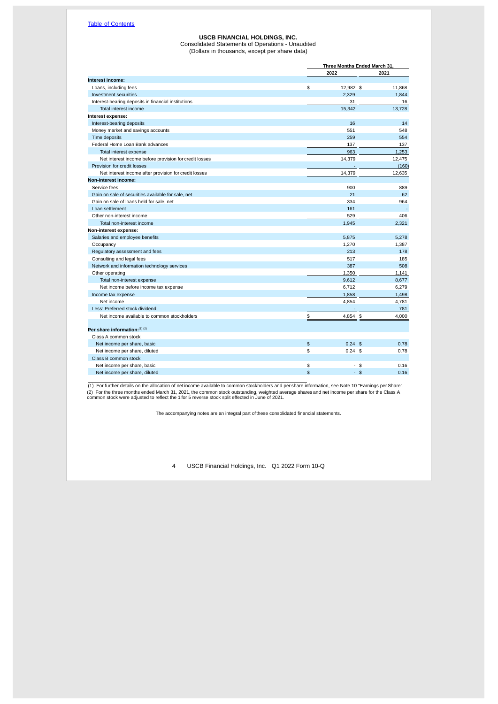# <span id="page-3-0"></span>**USCB FINANCIAL HOLDINGS, INC.**

Consolidated Statements of Operations - Unaudited (Dollars in thousands, except per share data)

|                                                        |                | Three Months Ended March 31, |        |  |  |  |
|--------------------------------------------------------|----------------|------------------------------|--------|--|--|--|
|                                                        |                | 2022                         | 2021   |  |  |  |
| Interest income:                                       |                |                              |        |  |  |  |
| Loans, including fees                                  | \$             | 12,982 \$                    | 11,868 |  |  |  |
| Investment securities                                  |                | 2,329                        | 1,844  |  |  |  |
| Interest-bearing deposits in financial institutions    |                | 31                           | 16     |  |  |  |
| Total interest income                                  |                | 15.342                       | 13,728 |  |  |  |
| Interest expense:                                      |                |                              |        |  |  |  |
| Interest-bearing deposits                              |                | 16                           | 14     |  |  |  |
| Money market and savings accounts                      |                | 551                          | 548    |  |  |  |
| Time deposits                                          |                | 259                          | 554    |  |  |  |
| Federal Home Loan Bank advances                        |                | 137                          | 137    |  |  |  |
| Total interest expense                                 |                | 963                          | 1,253  |  |  |  |
| Net interest income before provision for credit losses |                | 14,379                       | 12,475 |  |  |  |
| Provision for credit losses                            |                |                              | (160)  |  |  |  |
| Net interest income after provision for credit losses  |                | 14,379                       | 12,635 |  |  |  |
| Non-interest income:                                   |                |                              |        |  |  |  |
| Service fees                                           |                | 900                          | 889    |  |  |  |
| Gain on sale of securities available for sale, net     |                | 21                           | 62     |  |  |  |
| Gain on sale of loans held for sale, net               |                | 334                          | 964    |  |  |  |
| Loan settlement                                        |                | 161                          | ÷,     |  |  |  |
| Other non-interest income                              |                | 529                          | 406    |  |  |  |
| Total non-interest income                              |                | 1,945                        | 2,321  |  |  |  |
| Non-interest expense:                                  |                |                              |        |  |  |  |
| Salaries and employee benefits                         |                | 5,875                        | 5,278  |  |  |  |
| Occupancy                                              |                | 1,270                        | 1,387  |  |  |  |
| Regulatory assessment and fees                         |                | 213                          | 178    |  |  |  |
| Consulting and legal fees                              |                | 517                          | 185    |  |  |  |
| Network and information technology services            |                | 387                          | 508    |  |  |  |
| Other operating                                        |                | 1,350                        | 1,141  |  |  |  |
| Total non-interest expense                             |                | 9,612                        | 8,677  |  |  |  |
| Net income before income tax expense                   |                | 6,712                        | 6,279  |  |  |  |
| Income tax expense                                     |                | 1,858                        | 1,498  |  |  |  |
| Net income                                             |                | 4,854                        | 4,781  |  |  |  |
| Less: Preferred stock dividend                         |                |                              | 781    |  |  |  |
| Net income available to common stockholders            | \$             | 4,854 \$                     | 4,000  |  |  |  |
|                                                        |                |                              |        |  |  |  |
| Per share information: $(1)(2)$                        |                |                              |        |  |  |  |
| Class A common stock                                   |                |                              |        |  |  |  |
| Net income per share, basic                            | \$             | $0.24$ \$                    | 0.78   |  |  |  |
| Net income per share, diluted                          | \$             | $0.24$ \$                    | 0.78   |  |  |  |
| Class B common stock                                   |                |                              |        |  |  |  |
| Net income per share, basic                            | \$             | - \$                         | 0.16   |  |  |  |
| Net income per share, diluted                          | $\mathfrak{s}$ | - \$                         | 0.16   |  |  |  |
|                                                        |                |                              |        |  |  |  |

(1) For further details on the allocation of net income available to common stockholders and per share information, see Note 10 "Earnings per Share". (2) For the three months ended March 31, 2021, the common stock outstanding, weighted average shares and net income per share for the Class A<br>common stock were adjusted to reflect the 1 for 5 reverse stock split effected i

The accompanying notes are an integral part ofthese consolidated financial statements.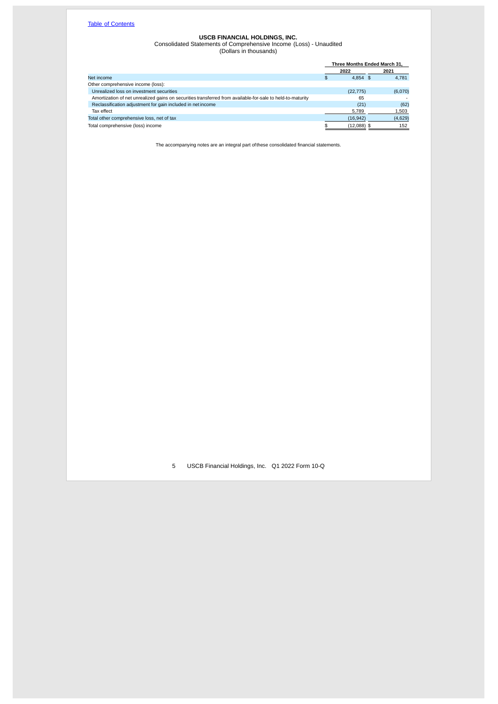#### <span id="page-4-0"></span>**USCB FINANCIAL HOLDINGS, INC.**

Consolidated Statements of Comprehensive Income (Loss) - Unaudited

|                                                                                                            | Three Months Ended March 31. |         |
|------------------------------------------------------------------------------------------------------------|------------------------------|---------|
|                                                                                                            | 2022                         | 2021    |
| Net income                                                                                                 | \$<br>$4.854$ \$             | 4,781   |
| Other comprehensive income (loss):                                                                         |                              |         |
| Unrealized loss on investment securities                                                                   | (22, 775)                    | (6,070) |
| Amortization of net unrealized gains on securities transferred from available-for-sale to held-to-maturity | 65                           |         |
| Reclassification adjustment for gain included in net income                                                | (21)                         | (62)    |
| Tax effect                                                                                                 | 5,789                        | 1,503   |
| Total other comprehensive loss, net of tax                                                                 | (16, 942)                    | (4,629) |
| Total comprehensive (loss) income                                                                          | $(12,088)$ \$                | 152     |

The accompanying notes are an integral part ofthese consolidated financial statements.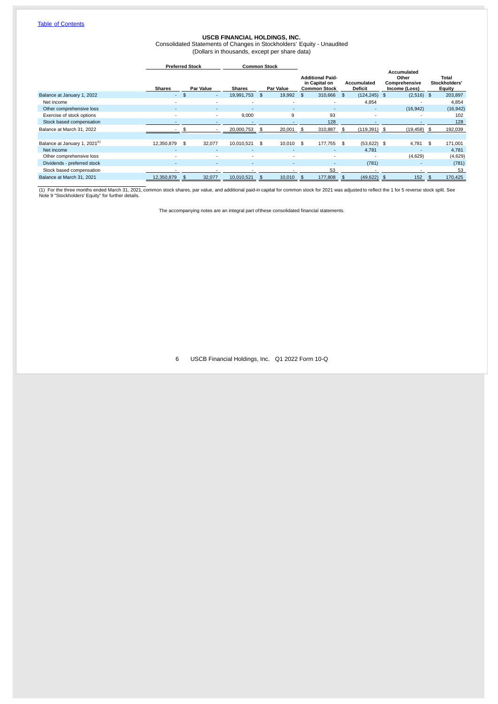Consolidated Statements of Changes in Stockholders' Equity - Unaudited

<span id="page-5-0"></span>(Dollars in thousands, except per share data)

|                                           | <b>Preferred Stock</b> |      |                  | <b>Common Stock</b>      |    |                          |     |                                                                 |      |                                      | <b>Accumulated</b>                      |     |                                  |
|-------------------------------------------|------------------------|------|------------------|--------------------------|----|--------------------------|-----|-----------------------------------------------------------------|------|--------------------------------------|-----------------------------------------|-----|----------------------------------|
|                                           | <b>Shares</b>          |      | <b>Par Value</b> | <b>Shares</b>            |    | <b>Par Value</b>         |     | <b>Additional Paid-</b><br>in Capital on<br><b>Common Stock</b> |      | <b>Accumulated</b><br><b>Deficit</b> | Other<br>Comprehensive<br>Income (Loss) |     | Total<br>Stockholders'<br>Equity |
| Balance at January 1, 2022                | ٠                      | \$   |                  | 19,991,753               | \$ | 19,992                   | \$  | 310,666                                                         | \$   | $(124, 245)$ \$                      | $(2,516)$ \$                            |     | 203,897                          |
| Net income                                | ۰                      |      | $\sim$           | $\overline{\phantom{a}}$ |    | $\overline{\phantom{a}}$ |     |                                                                 |      | 4,854                                |                                         |     | 4,854                            |
| Other comprehensive loss                  |                        |      | $\sim$           | $\overline{a}$           |    | $\overline{\phantom{a}}$ |     | $\sim$                                                          |      | ٠                                    | (16, 942)                               |     | (16, 942)                        |
| Exercise of stock options                 | ٠                      |      | $\sim$           | 9,000                    |    | 9                        |     | 93                                                              |      | ٠                                    | ۰                                       |     | 102                              |
| Stock based compensation                  | ۰                      |      | $\overline{a}$   | $\overline{a}$           |    | $\overline{\phantom{a}}$ |     | 128                                                             |      | $\overline{\phantom{a}}$             | ۰                                       |     | 128                              |
| Balance at March 31, 2022                 |                        |      |                  | 20,000,753               | \$ | 20,001                   | \$  | 310,887                                                         | - \$ | $(119, 391)$ \$                      | $(19, 458)$ \$                          |     | 192,039                          |
|                                           |                        |      |                  |                          |    |                          |     |                                                                 |      |                                      |                                         |     |                                  |
| Balance at January 1, 2021 <sup>(1)</sup> | 12.350.879             | - \$ | 32.077           | 10.010.521               | \$ | 10.010                   | \$  | 177,755                                                         | \$   | $(53,622)$ \$                        | 4,781                                   | \$  | 171,001                          |
| Net income                                | ۰                      |      | $\overline{a}$   | $\sim$                   |    | $\overline{\phantom{a}}$ |     | $\sim$                                                          |      | 4.781                                | ٠                                       |     | 4,781                            |
| Other comprehensive loss                  | ۰                      |      | $\sim$           | $\sim$                   |    | $\overline{\phantom{a}}$ |     |                                                                 |      |                                      | (4,629)                                 |     | (4,629)                          |
| Dividends - preferred stock               | ۰                      |      | $\sim$           | $\sim$                   |    | $\overline{\phantom{a}}$ |     | $\sim$                                                          |      | (781)                                | ٠                                       |     | (781)                            |
| Stock based compensation                  |                        |      |                  |                          |    |                          |     | 53                                                              |      |                                      |                                         |     | 53                               |
| Balance at March 31, 2021                 | 12,350,879             | \$   | 32,077           | 10,010,521               | \$ | 10,010                   | -\$ | 177,808                                                         | -\$  | (49, 622)                            | 152<br>- \$                             | \$. | 170,425                          |

(1) For the three months ended March 31, 2021, common stock shares, par value, and additional paid-in capital for common stock for 2021 was adjusted to reflect the 1 for 5 reverse stock split. See<br>Note 9 "Stockholders' Equ

The accompanying notes are an integral part ofthese consolidated financial statements.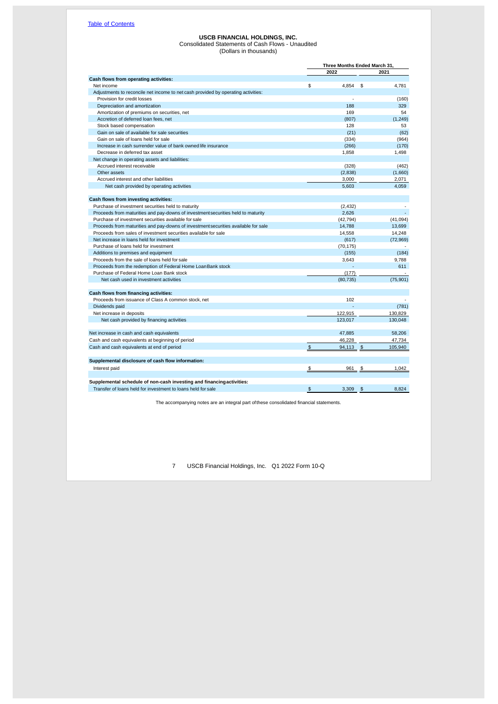#### <span id="page-6-0"></span>**USCB FINANCIAL HOLDINGS, INC.**

Consolidated Statements of Cash Flows - Unaudited (Dollars in thousands)

|                                                                                    | Three Months Ended March 31, |                      |                  |
|------------------------------------------------------------------------------------|------------------------------|----------------------|------------------|
|                                                                                    | 2022                         |                      | 2021             |
| Cash flows from operating activities:                                              |                              |                      |                  |
| Net income                                                                         | \$<br>4,854                  | \$                   | 4,781            |
| Adjustments to reconcile net income to net cash provided by operating activities:  |                              |                      |                  |
| Provision for credit losses                                                        |                              |                      | (160)            |
| Depreciation and amortization                                                      | 188                          |                      | 329              |
| Amortization of premiums on securities, net                                        | 169                          |                      | 54               |
| Accretion of deferred loan fees, net                                               | (807)                        |                      | (1, 249)         |
| Stock based compensation                                                           | 128                          |                      | 53               |
| Gain on sale of available for sale securities                                      | (21)                         |                      | (62)             |
| Gain on sale of loans held for sale                                                | (334)                        |                      | (964)            |
| Increase in cash surrender value of bank owned life insurance                      | (266)                        |                      | (170)            |
| Decrease in deferred tax asset                                                     | 1,858                        |                      | 1,498            |
| Net change in operating assets and liabilities:                                    |                              |                      |                  |
| Accrued interest receivable                                                        | (328)                        |                      | (462)            |
| Other assets                                                                       | (2,838)                      |                      | (1,660)          |
| Accrued interest and other liabilities                                             | 3,000                        |                      | 2,071            |
| Net cash provided by operating activities                                          | 5,603                        |                      | 4,059            |
|                                                                                    |                              |                      |                  |
| Cash flows from investing activities:                                              |                              |                      |                  |
| Purchase of investment securities held to maturity                                 | (2, 432)                     |                      |                  |
| Proceeds from maturities and pay-downs of investment securities held to maturity   | 2,626                        |                      |                  |
| Purchase of investment securities available for sale                               | (42, 794)                    |                      | (41,094)         |
| Proceeds from maturities and pay-downs of investment securities available for sale | 14,788                       |                      | 13,699           |
| Proceeds from sales of investment securities available for sale                    | 14,558                       |                      | 14,248           |
| Net increase in loans held for investment                                          | (617)                        |                      | (72, 969)        |
| Purchase of loans held for investment                                              | (70, 175)                    |                      |                  |
| Additions to premises and equipment                                                | (155)                        |                      | (184)            |
| Proceeds from the sale of loans held for sale                                      | 3,643                        |                      | 9,788            |
| Proceeds from the redemption of Federal Home Loan Bank stock                       |                              |                      | 611              |
| Purchase of Federal Home Loan Bank stock                                           | (177)                        |                      |                  |
| Net cash used in investment activities                                             | (80, 735)                    |                      | (75, 901)        |
|                                                                                    |                              |                      |                  |
| Cash flows from financing activities:                                              | 102                          |                      |                  |
| Proceeds from issuance of Class A common stock, net                                |                              |                      |                  |
| Dividends paid                                                                     | 122,915                      |                      | (781)<br>130,829 |
| Net increase in deposits<br>Net cash provided by financing activities              | 123,017                      |                      | 130,048          |
|                                                                                    |                              |                      |                  |
| Net increase in cash and cash equivalents                                          | 47,885                       |                      | 58,206           |
| Cash and cash equivalents at beginning of period                                   | 46,228                       |                      | 47,734           |
| Cash and cash equivalents at end of period                                         | \$<br>94,113                 | $\overline{\bullet}$ | 105,940          |
|                                                                                    |                              |                      |                  |
| Supplemental disclosure of cash flow information:                                  |                              |                      |                  |
| Interest paid                                                                      | \$<br>961                    | <u>\$</u>            | 1,042            |
|                                                                                    |                              |                      |                  |
| Supplemental schedule of non-cash investing and financing activities:              |                              |                      |                  |
| Transfer of loans held for investment to loans held for sale                       | \$<br>3,309                  | \$                   | 8,824            |

The accompanying notes are an integral part ofthese consolidated financial statements.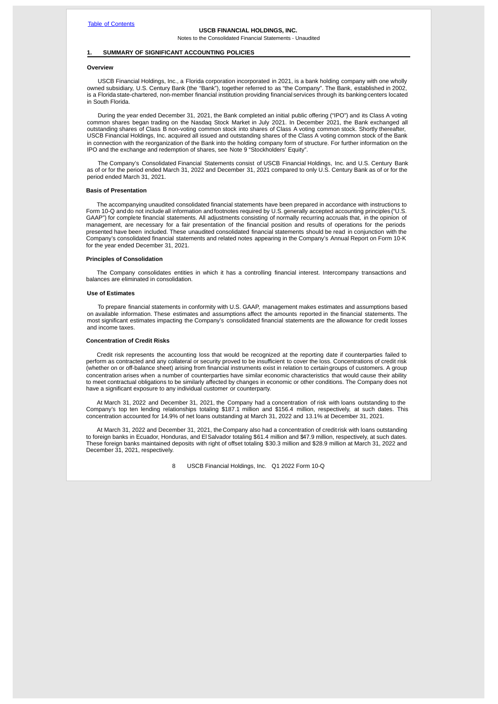#### **USCB FINANCIAL HOLDINGS, INC.** Notes to the Consolidated Financial Statements - Unaudited

# <span id="page-7-0"></span>**1. SUMMARY OF SIGNIFICANT ACCOUNTING POLICIES**

# **Overview**

USCB Financial Holdings, Inc., a Florida corporation incorporated in 2021, is a bank holding company with one wholly owned subsidiary, U.S. Century Bank (the "Bank"), together referred to as "the Company". The Bank, established in 2002, is a Florida state-chartered, non-member financial institution providing financial services through its banking centers located in South Florida.

During the year ended December 31, 2021, the Bank completed an initial public offering ("IPO") and its Class A voting common shares began trading on the Nasdaq Stock Market in July 2021. In December 2021, the Bank exchanged all outstanding shares of Class B non-voting common stock into shares of Class A voting common stock. Shortly thereafter, USCB Financial Holdings, Inc. acquired all issued and outstanding shares of the Class A voting common stock of the Bank in connection with the reorganization of the Bank into the holding company form of structure. For further information on the IPO and the exchange and redemption of shares, see Note 9 "Stockholders' Equity".

The Company's Consolidated Financial Statements consist of USCB Financial Holdings, Inc. and U.S. Century Bank as of or for the period ended March 31, 2022 and December 31, 2021 compared to only U.S. Century Bank as of or for the period ended March 31, 2021.

### **Basis of Presentation**

The accompanying unaudited consolidated financial statements have been prepared in accordance with instructions to Form 10-Q and do not include all information and footnotes required by U.S. generally accepted accounting principles ("U.S. GAAP") for complete financial statements. All adjustments consisting of normally recurring accruals that, in the opinion of management, are necessary for a fair presentation of the financial position and results of operations for the periods presented have been included. These unaudited consolidated financial statements should be read in conjunction with the Company's consolidated financial statements and related notes appearing in the Company's Annual Report on Form 10-K for the year ended December 31, 2021.

#### **Principles of Consolidation**

The Company consolidates entities in which it has a controlling financial interest. Intercompany transactions and balances are eliminated in consolidation.

#### **Use of Estimates**

To prepare financial statements in conformity with U.S. GAAP, management makes estimates and assumptions based on available information. These estimates and assumptions affect the amounts reported in the financial statements. The most significant estimates impacting the Company's consolidated financial statements are the allowance for credit losses and income taxes.

### **Concentration of Credit Risks**

Credit risk represents the accounting loss that would be recognized at the reporting date if counterparties failed to perform as contracted and any collateral or security proved to be insufficient to cover the loss. Concentrations of credit risk (whether on or off-balance sheet) arising from financial instruments exist in relation to certain groups of customers. A group concentration arises when a number of counterparties have similar economic characteristics that would cause their ability to meet contractual obligations to be similarly affected by changes in economic or other conditions. The Company does not have a significant exposure to any individual customer or counterparty.

At March 31, 2022 and December 31, 2021, the Company had a concentration of risk with loans outstanding to the Company's top ten lending relationships totaling \$187.1 million and \$156.4 million, respectively, at such dates. This concentration accounted for 14.9% of net loans outstanding at March 31, 2022 and 13.1% at December 31, 2021.

At March 31, 2022 and December 31, 2021, the Company also had a concentration of creditrisk with loans outstanding to foreign banks in Ecuador, Honduras, and El Salvador totaling \$61.4 million and \$47.9 million, respectively, at such dates. These foreign banks maintained deposits with right of offset totaling \$30.3 million and \$28.9 million at March 31, 2022 and December 31, 2021, respectively.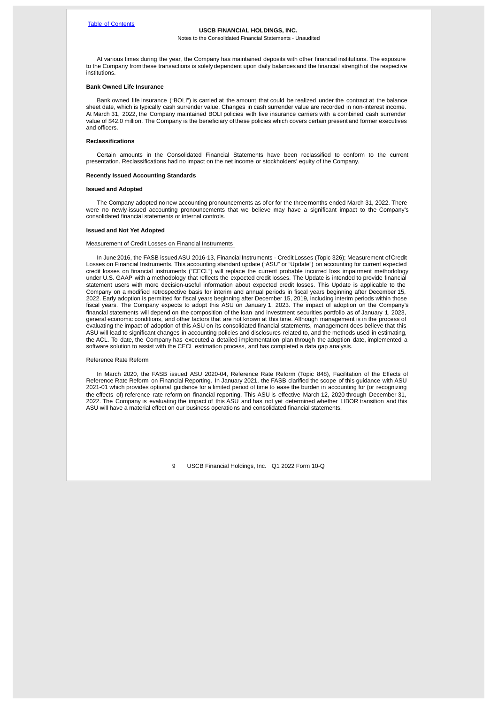Notes to the Consolidated Financial Statements - Unaudited

At various times during the year, the Company has maintained deposits with other financial institutions. The exposure to the Company from these transactions is solely dependent upon daily balances and the financial strength of the respective institutions.

# **Bank Owned Life Insurance**

Bank owned life insurance ("BOLI") is carried at the amount that could be realized under the contract at the balance sheet date, which is typically cash surrender value. Changes in cash surrender value are recorded in non-interest income. At March 31, 2022, the Company maintained BOLI policies with five insurance carriers with a combined cash surrender value of \$42.0 million. The Company is the beneficiary of these policies which covers certain present and former executives and officers.

## **Reclassifications**

Certain amounts in the Consolidated Financial Statements have been reclassified to conform to the current presentation. Reclassifications had no impact on the net income or stockholders' equity of the Company.

#### **Recently Issued Accounting Standards**

### **Issued and Adopted**

The Company adopted no new accounting pronouncements as of or for the three months ended March 31, 2022. There were no newly-issued accounting pronouncements that we believe may have a significant impact to the Company's consolidated financial statements or internal controls.

#### **Issued and Not Yet Adopted**

#### Measurement of Credit Losses on Financial Instruments

In June 2016, the FASB issued ASU 2016-13, Financial Instruments - Credit Losses (Topic 326); Measurement of Credit Losses on Financial Instruments. This accounting standard update ("ASU" or "Update") on accounting for current expected credit losses on financial instruments ("CECL") will replace the current probable incurred loss impairment methodology under U.S. GAAP with a methodology that reflects the expected credit losses. The Update is intended to provide financial statement users with more decision-useful information about expected credit losses. This Update is applicable to the Company on a modified retrospective basis for interim and annual periods in fiscal years beginning after December 15, 2022. Early adoption is permitted for fiscal years beginning after December 15, 2019, including interim periods within those fiscal years. The Company expects to adopt this ASU on January 1, 2023. The impact of adoption on the Company's financial statements will depend on the composition of the loan and investment securities portfolio as of January 1, 2023, general economic conditions, and other factors that are not known at this time. Although management is in the process of evaluating the impact of adoption of this ASU on its consolidated financial statements, management does believe that this ASU will lead to significant changes in accounting policies and disclosures related to, and the methods used in estimating, the ACL. To date, the Company has executed a detailed implementation plan through the adoption date, implemented a software solution to assist with the CECL estimation process, and has completed a data gap analysis.

#### Reference Rate Reform

In March 2020, the FASB issued ASU 2020-04, Reference Rate Reform (Topic 848), Facilitation of the Effects of Reference Rate Reform on Financial Reporting. In January 2021, the FASB clarified the scope of this guidance with ASU 2021-01 which provides optional guidance for a limited period of time to ease the burden in accounting for (or recognizing the effects of) reference rate reform on financial reporting. This ASU is effective March 12, 2020 through December 31, 2022. The Company is evaluating the impact of this ASU and has not yet determined whether LIBOR transition and this ASU will have a material effect on our business operatio ns and consolidated financial statements.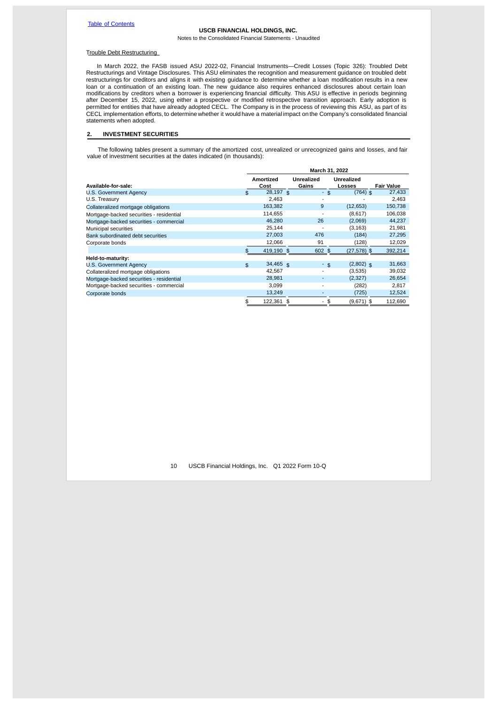Notes to the Consolidated Financial Statements - Unaudited

# Trouble Debt Restructuring

In March 2022, the FASB issued ASU 2022-02, Financial Instruments—Credit Losses (Topic 326): Troubled Debt Restructurings and Vintage Disclosures. This ASU eliminates the recognition and measurement guidance on troubled debt restructurings for creditors and aligns it with existing guidance to determine whether a loan modification results in a new loan or a continuation of an existing loan. The new guidance also requires enhanced disclosures about certain loan modifications by creditors when a borrower is experiencing financial difficulty. This ASU is effective in periods beginning after December 15, 2022, using either a prospective or modified retrospective transition approach. Early adoption is permitted for entities that have already adopted CECL. The Company is in the process of reviewing this ASU, as part of its CECL implementation efforts, to determine whether it would have a material impact on the Company's consolidated financial statements when adopted.

# **2. INVESTMENT SECURITIES**

The following tables present a summary of the amortized cost, unrealized or unrecognized gains and losses, and fair value of investment securities at the dates indicated (in thousands):

|                                          | March 31, 2022 |                          |  |                            |        |                      |  |                   |
|------------------------------------------|----------------|--------------------------|--|----------------------------|--------|----------------------|--|-------------------|
| Available-for-sale:                      |                | <b>Amortized</b><br>Cost |  | <b>Unrealized</b><br>Gains |        | Unrealized<br>Losses |  | <b>Fair Value</b> |
| U.S. Government Agency                   | \$.            | $28,197$ \$              |  |                            | $-$ \$ | $(764)$ \$           |  | 27,433            |
| U.S. Treasury                            |                | 2,463                    |  | -                          |        |                      |  | 2,463             |
| Collateralized mortgage obligations      |                | 163,382                  |  | 9                          |        | (12, 653)            |  | 150,738           |
| Mortgage-backed securities - residential |                | 114,655                  |  |                            |        | (8,617)              |  | 106,038           |
| Mortgage-backed securities - commercial  |                | 46,280                   |  | 26                         |        | (2,069)              |  | 44,237            |
| <b>Municipal securities</b>              |                | 25,144                   |  |                            |        | (3, 163)             |  | 21,981            |
| Bank subordinated debt securities        |                | 27,003                   |  | 476                        |        | (184)                |  | 27,295            |
| Corporate bonds                          |                | 12,066                   |  | 91                         |        | (128)                |  | 12,029            |
|                                          |                | 419,190 \$               |  | 602 \$                     |        | $(27, 578)$ \$       |  | 392,214           |
| Held-to-maturity:                        |                |                          |  |                            |        |                      |  |                   |
| U.S. Government Agency                   | \$.            | 34,465 $\frac{1}{3}$     |  |                            | $-$ \$ | $(2,802)$ \$         |  | 31,663            |
| Collateralized mortgage obligations      |                | 42,567                   |  |                            |        | (3,535)              |  | 39,032            |
| Mortgage-backed securities - residential |                | 28,981                   |  |                            |        | (2, 327)             |  | 26,654            |
| Mortgage-backed securities - commercial  |                | 3,099                    |  |                            |        | (282)                |  | 2,817             |
| Corporate bonds                          |                | 13,249                   |  |                            |        | (725)                |  | 12,524            |
|                                          | \$             | 122.361 \$               |  |                            | - \$   | $(9,671)$ \$         |  | 112,690           |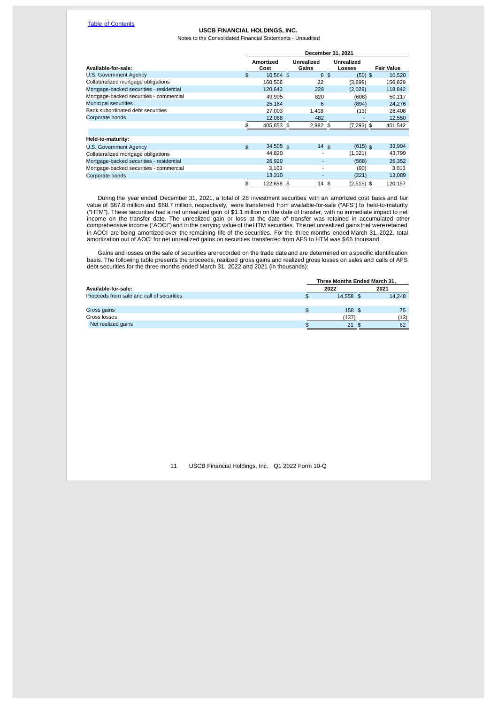# **USCB FINANCIAL HOLDINGS, INC.**

Notes to the Consolidated Financial Statements - Unaudited

|                                          | December 31, 2021 |                          |  |                            |    |                             |  |                   |
|------------------------------------------|-------------------|--------------------------|--|----------------------------|----|-----------------------------|--|-------------------|
| Available-for-sale:                      |                   | <b>Amortized</b><br>Cost |  | <b>Unrealized</b><br>Gains |    | <b>Unrealized</b><br>Losses |  | <b>Fair Value</b> |
| U.S. Government Agency                   | \$                | 10.564 \$                |  | 6                          | \$ | $(50)$ \$                   |  | 10,520            |
| Collateralized mortgage obligations      |                   | 160,506                  |  | 22                         |    | (3,699)                     |  | 156,829           |
| Mortgage-backed securities - residential |                   | 120.643                  |  | 228                        |    | (2,029)                     |  | 118,842           |
| Mortgage-backed securities - commercial  |                   | 49.905                   |  | 820                        |    | (608)                       |  | 50,117            |
| <b>Municipal securities</b>              |                   | 25,164                   |  | 6                          |    | (894)                       |  | 24,276            |
| Bank subordinated debt securities        |                   | 27,003                   |  | 1,418                      |    | (13)                        |  | 28,408            |
| Corporate bonds                          |                   | 12,068                   |  | 482                        |    |                             |  | 12,550            |
|                                          |                   | 405,853 \$               |  | $2,982$ \$                 |    | $(7,293)$ \$                |  | 401,542           |
|                                          |                   |                          |  |                            |    |                             |  |                   |
| Held-to-maturity:                        |                   |                          |  |                            |    |                             |  |                   |
| <b>U.S. Government Agency</b>            | \$                | 34,505 $\frac{1}{3}$     |  | 14S                        |    | $(615)$ \$                  |  | 33,904            |
| Collateralized mortgage obligations      |                   | 44,820                   |  |                            |    | (1,021)                     |  | 43,799            |
| Mortgage-backed securities - residential |                   | 26.920                   |  |                            |    | (568)                       |  | 26,352            |
| Mortgage-backed securities - commercial  |                   | 3,103                    |  | $\overline{a}$             |    | (90)                        |  | 3,013             |
| Corporate bonds                          |                   | 13,310                   |  | $\overline{\phantom{0}}$   |    | (221)                       |  | 13,089            |
|                                          | \$                | 122.658 \$               |  | 14                         | \$ | $(2,515)$ \$                |  | 120.157           |

During the year ended December 31, 2021, a total of 28 investment securities with an amortized cost basis and fair value of \$67.6 million and \$68.7 million, respectively, were transferred from available-for-sale ("AFS") to held-to-maturity ("HTM"). These securities had a net unrealized gain of \$1.1 million on the date of transfer, with no immediate impact to net income on the transfer date. The unrealized gain or loss at the date of transfer was retained in accumulated other comprehensive income ("AOCI") and in the carrying value of the HTM securities. The net unrealized gains that were retained in AOCI are being amortized over the remaining life of the securities. For the three months ended March 31, 2022, total amortization out of AOCI for net unrealized gains on securities transferred from AFS to HTM was \$65 thousand.

Gains and losses on the sale of securities are recorded on the trade date and are determined on a specific identification basis. The following table presents the proceeds, realized gross gains and realized gross losses on sales and calls of AFS debt securities for the three months ended March 31, 2022 and 2021 (in thousands):

|                                           |           | Three Months Ended March 31, |      |
|-------------------------------------------|-----------|------------------------------|------|
| Available-for-sale:                       | 2022      | 2021                         |      |
| Proceeds from sale and call of securities | 14.558 \$ | 14,248                       |      |
|                                           |           |                              |      |
| Gross gains                               | 158 \$    |                              | 75   |
| Gross losses                              | (137)     |                              | (13) |
| Net realized gains                        | 21        |                              | 62   |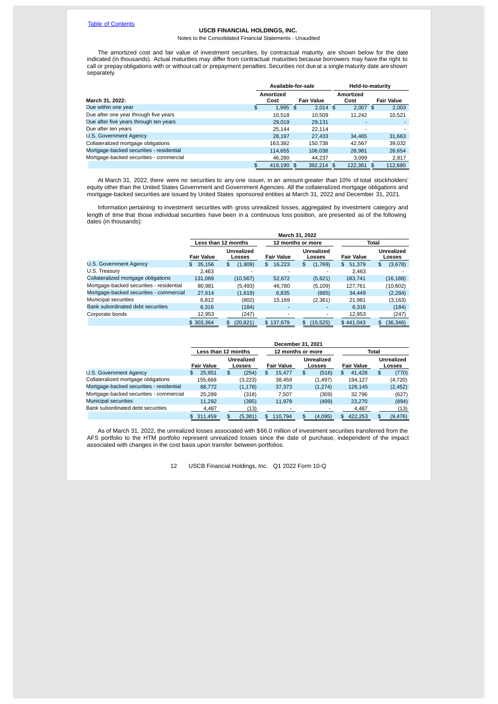# **USCB FINANCIAL HOLDINGS, INC.**

Notes to the Consolidated Financial Statements - Unaudited

The amortized cost and fair value of investment securities, by contractual maturity, are shown below for the date indicated (in thousands). Actual maturities may differ from contractual maturities because borrowers may have the right to call or prepay obligations with or without call or prepayment penalties. Securities not due at a single maturity date are shown separately.

|                                          | Available-for-sale |  | Held-to-maturity  |                   |      |                   |
|------------------------------------------|--------------------|--|-------------------|-------------------|------|-------------------|
| March 31, 2022:                          | Amortized<br>Cost  |  | <b>Fair Value</b> | Amortized<br>Cost |      | <b>Fair Value</b> |
| Due within one year                      | \$<br>$1,995$ \$   |  | $2.014$ \$        | $2.007$ \$        |      | 2.003             |
| Due after one year through five years    | 10.518             |  | 10.509            | 11.242            |      | 10,521            |
| Due after five years through ten years   | 29.019             |  | 29,131            |                   |      |                   |
| Due after ten years                      | 25.144             |  | 22.114            |                   |      |                   |
| <b>U.S. Government Agency</b>            | 28.197             |  | 27,433            | 34.465            |      | 31,663            |
| Collateralized mortgage obligations      | 163.382            |  | 150.738           | 42.567            |      | 39,032            |
| Mortgage-backed securities - residential | 114.655            |  | 106.038           | 28.981            |      | 26,654            |
| Mortgage-backed securities - commercial  | 46.280             |  | 44,237            | 3,099             |      | 2,817             |
|                                          | \$<br>419.190 \$   |  | 392.214 \$        | 122.361           | - \$ | 112.690           |

At March 31, 2022, there were no securities to any one issuer, in an amount greater than 10% of total stockholders' equity other than the United States Government and Government Agencies. All the collateralized mortgage obligations and mortgage-backed securities are issued by United States sponsored entities at March 31, 2022 and December 31, 2021.

Information pertaining to investment securities with gross unrealized losses, aggregated by investment category and length of time that those individual securities have been in a continuous loss position, are presented as of the following dates (in thousands):

|                                          | March 31, 2022           |                             |                   |                      |                   |                             |  |  |  |  |
|------------------------------------------|--------------------------|-----------------------------|-------------------|----------------------|-------------------|-----------------------------|--|--|--|--|
|                                          |                          | Less than 12 months         |                   | 12 months or more    | Total             |                             |  |  |  |  |
|                                          | <b>Fair Value</b>        | <b>Unrealized</b><br>Losses | <b>Fair Value</b> | Unrealized<br>Losses | <b>Fair Value</b> | <b>Unrealized</b><br>Losses |  |  |  |  |
| <b>U.S. Government Agency</b>            | 35,156<br>$\mathfrak{L}$ | (1,909)<br>\$               | 16,223<br>\$      | (1,769)<br>\$        | 51,379<br>\$      | (3,678)<br>\$               |  |  |  |  |
| U.S. Treasury                            | 2.463                    |                             |                   |                      | 2.463             |                             |  |  |  |  |
| Collateralized mortgage obligations      | 131.069                  | (10.567)                    | 52.672            | (5,621)              | 183.741           | (16, 188)                   |  |  |  |  |
| Mortgage-backed securities - residential | 80.981                   | (5, 493)                    | 46.780            | (5, 109)             | 127,761           | (10, 602)                   |  |  |  |  |
| Mortgage-backed securities - commercial  | 27.614                   | (1,619)                     | 6,835             | (665)                | 34.449            | (2, 284)                    |  |  |  |  |
| <b>Municipal securities</b>              | 6.812                    | (802)                       | 15,169            | (2, 361)             | 21,981            | (3, 163)                    |  |  |  |  |
| Bank subordinated debt securities        | 6.316                    | (184)                       |                   |                      | 6.316             | (184)                       |  |  |  |  |
| Corporate bonds                          | 12,953                   | (247)                       |                   |                      | 12,953            | (247)                       |  |  |  |  |
|                                          | \$303.364                | (20, 821)<br>\$             | \$137.679         | (15, 525)<br>\$      | \$441.043         | (36, 346)<br>\$             |  |  |  |  |

|                                          |                     |    |                             |                   | December 31, 2021 |                      |          |       |                   |    |                      |
|------------------------------------------|---------------------|----|-----------------------------|-------------------|-------------------|----------------------|----------|-------|-------------------|----|----------------------|
|                                          | Less than 12 months |    |                             |                   | 12 months or more |                      |          | Total |                   |    |                      |
|                                          | <b>Fair Value</b>   |    | <b>Unrealized</b><br>Losses | <b>Fair Value</b> |                   | Unrealized<br>Losses |          |       | <b>Fair Value</b> |    | Unrealized<br>Losses |
| U.S. Government Agency                   | \$<br>25.951        | \$ | (254)                       | \$                | 15.477            | \$                   | (516)    | \$    | 41.428            | \$ | (770)                |
| Collateralized mortgage obligations      | 155.668             |    | (3,223)                     |                   | 38,459            |                      | (1, 497) |       | 194.127           |    | (4, 720)             |
| Mortgage-backed securities - residential | 88.772              |    | (1, 178)                    |                   | 37,373            |                      | (1,274)  |       | 126.145           |    | (2, 452)             |
| Mortgage-backed securities - commercial  | 25.289              |    | (318)                       |                   | 7.507             |                      | (309)    |       | 32.796            |    | (627)                |
| <b>Municipal securities</b>              | 11.292              |    | (395)                       |                   | 11,978            |                      | (499)    |       | 23.270            |    | (894)                |
| Bank subordinated debt securities        | 4,487               |    | (13)                        |                   |                   |                      |          |       | 4,487             |    | (13)                 |
|                                          | \$311.459           | \$ | (5, 381)                    |                   | \$110.794         | \$                   | (4,095)  | \$    | 422.253           | \$ | (9, 476)             |

As of March 31, 2022, the unrealized losses associated with \$66.0 million of investment securities transferred from the AFS portfolio to the HTM portfolio represent unrealized losses since the date of purchase, independent of the impact associated with changes in the cost basis upon transfer between portfolios.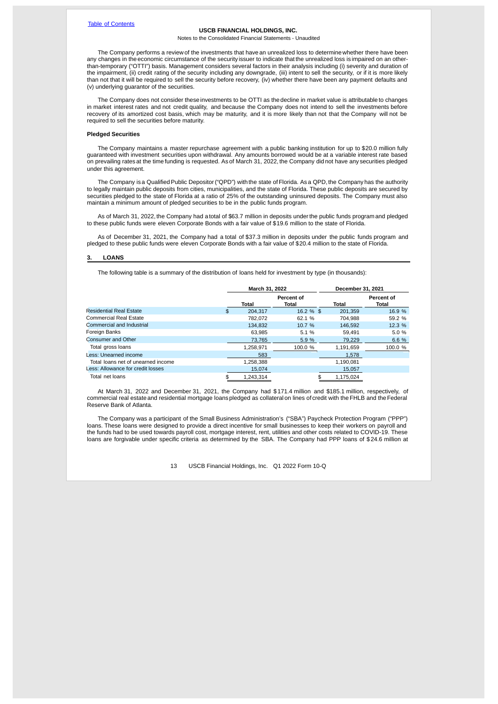Notes to the Consolidated Financial Statements - Unaudited

The Company performs a review of the investments that have an unrealized loss to determine whether there have been any changes in the economic circumstance of the security issuer to indicate that the unrealized loss is impaired on an otherthan-temporary ("OTTI") basis. Management considers several factors in their analysis including (i) severity and duration of the impairment, (ii) credit rating of the security including any downgrade, (iii) intent to sell the security, or if it is more likely than not that it will be required to sell the security before recovery, (iv) whether there have been any payment defaults and (v) underlying guarantor of the securities.

The Company does not consider these investments to be OTTI as the decline in market value is attributable to changes in market interest rates and not credit quality, and because the Company does not intend to sell the investments before recovery of its amortized cost basis, which may be maturity, and it is more likely than not that the Company will not be required to sell the securities before maturity.

# **Pledged Securities**

The Company maintains a master repurchase agreement with a public banking institution for up to \$20.0 million fully guaranteed with investment securities upon withdrawal. Any amounts borrowed would be at a variable interest rate based on prevailing rates at the time funding is requested. As of March 31, 2022, the Company did not have any securities pledged under this agreement.

The Company is a Qualified Public Depositor ("QPD") with the state of Florida. As a QPD, the Company has the authority to legally maintain public deposits from cities, municipalities, and the state of Florida. These public deposits are secured by securities pledged to the state of Florida at a ratio of 25% of the outstanding uninsured deposits. The Company must also maintain a minimum amount of pledged securities to be in the public funds program.

As of March 31, 2022, the Company had a total of \$63.7 million in deposits underthe public funds program and pledged to these public funds were eleven Corporate Bonds with a fair value of \$19.6 million to the state of Florida.

As of December 31, 2021, the Company had a total of \$37.3 million in deposits under the public funds program and pledged to these public funds were eleven Corporate Bonds with a fair value of \$20.4 million to the state of Florida.

#### **3. LOANS**

The following table is a summary of the distribution of loans held for investment by type (in thousands):

|                                    | March 31, 2022 |                     | December 31, 2021 |                            |
|------------------------------------|----------------|---------------------|-------------------|----------------------------|
|                                    | Total          | Percent of<br>Total | Total             | Percent of<br><b>Total</b> |
| <b>Residential Real Estate</b>     | \$<br>204.317  | 16.2 % \$           | 201.359           | 16.9 %                     |
| <b>Commercial Real Estate</b>      | 782.072        | 62.1 %              | 704.988           | 59.2 %                     |
| Commercial and Industrial          | 134.832        | 10.7 %              | 146.592           | 12.3 %                     |
| Foreign Banks                      | 63.985         | 5.1 %               | 59.491            | 5.0 %                      |
| <b>Consumer and Other</b>          | 73,765         | 5.9 %               | 79.229            | 6.6 %                      |
| Total gross loans                  | 1,258,971      | 100.0 %             | 1.191.659         | 100.0 %                    |
| Less: Unearned income              | 583            |                     | 1,578             |                            |
| Total loans net of unearned income | 1.258.388      |                     | 1.190.081         |                            |
| Less: Allowance for credit losses  | 15.074         |                     | 15.057            |                            |
| Total net loans                    | 1,243,314      |                     | 1,175,024         |                            |

At March 31, 2022 and December 31, 2021, the Company had \$171.4 million and \$185.1 million, respectively, of commercial real estate and residential mortgage loans pledged as collateral on lines of credit with theFHLB and theFederal Reserve Bank of Atlanta.

The Company was a participant of the Small Business Administration's ("SBA") Paycheck Protection Program ("PPP") loans. These loans were designed to provide a direct incentive for small businesses to keep their workers on payroll and the funds had to be used towards payroll cost, mortgage interest, rent, utilities and other costs related to COVID-19. These loans are forgivable under specific criteria as determined by the SBA. The Company had PPP loans of \$24.6 million at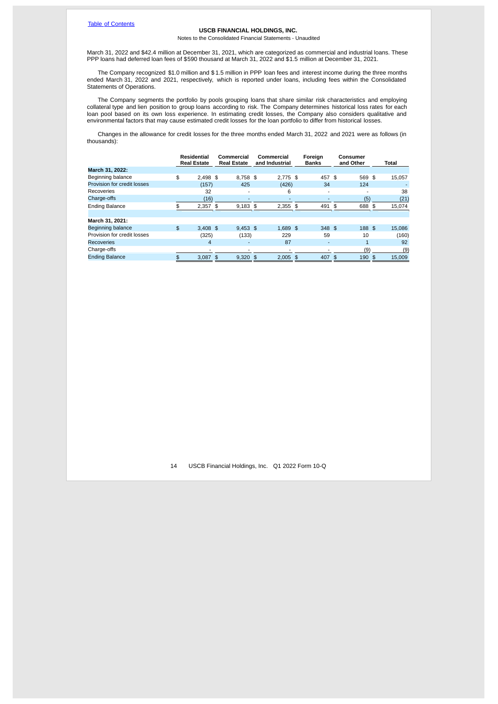Notes to the Consolidated Financial Statements - Unaudited

March 31, 2022 and \$42.4 million at December 31, 2021, which are categorized as commercial and industrial loans. These PPP loans had deferred loan fees of \$590 thousand at March 31, 2022 and \$1.5 million at December 31, 2021.

The Company recognized \$1.0 million and \$ 1.5 million in PPP loan fees and interest income during the three months ended March 31, 2022 and 2021, respectively, which is reported under loans, including fees within the Consolidated Statements of Operations.

The Company segments the portfolio by pools grouping loans that share similar risk characteristics and employing collateral type and lien position to group loans according to risk. The Company determines historical loss rates for each loan pool based on its own loss experience. In estimating credit losses, the Company also considers qualitative and environmental factors that may cause estimated credit losses for the loan portfolio to differ from historical losses.

Changes in the allowance for credit losses for the three months ended March 31, 2022 and 2021 were as follows (in thousands):

|                             | <b>Residential</b><br><b>Real Estate</b> | Commercial<br><b>Real Estate</b> | Commercial<br>and Industrial | Foreian<br><b>Banks</b> | Consumer<br>and Other | Total  |
|-----------------------------|------------------------------------------|----------------------------------|------------------------------|-------------------------|-----------------------|--------|
| March 31, 2022:             |                                          |                                  |                              |                         |                       |        |
| Beginning balance           | \$<br>$2.498$ \$                         | 8.758 \$                         | $2.775$ \$                   | 457 \$                  | 569 \$                | 15,057 |
| Provision for credit losses | (157)                                    | 425                              | (426)                        | 34                      | 124                   |        |
| Recoveries                  | 32                                       | $\overline{\phantom{0}}$         | 6                            |                         |                       | 38     |
| Charge-offs                 | (16)                                     |                                  |                              |                         | (5)                   | (21)   |
| <b>Ending Balance</b>       | $2,357$ \$                               | $9,183$ \$                       | $2,355$ \$                   | 491 \$                  | 688 \$                | 15,074 |
|                             |                                          |                                  |                              |                         |                       |        |
| March 31, 2021:             |                                          |                                  |                              |                         |                       |        |
| Beginning balance           | \$<br>$3.408$ \$                         | $9.453$ \$                       | 1.689 \$                     | $348$ \$                | 188 \$                | 15.086 |
| Provision for credit losses | (325)                                    | (133)                            | 229                          | 59                      | 10                    | (160)  |
| <b>Recoveries</b>           | $\overline{4}$                           | $\overline{\phantom{0}}$         | 87                           |                         | $\mathbf{1}$          | 92     |
| Charge-offs                 | -                                        | $\overline{\phantom{0}}$         |                              |                         | (9)                   | (9)    |
| <b>Ending Balance</b>       | \$<br>$3.087$ \$                         | $9.320$ \$                       | $2.005$ \$                   | 407                     | 190 \$<br>\$          | 15.009 |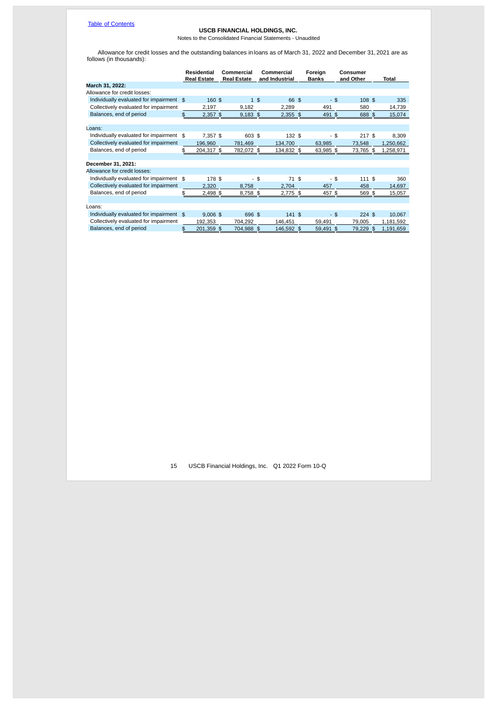# **USCB FINANCIAL HOLDINGS, INC.**

Notes to the Consolidated Financial Statements - Unaudited

Allowance for credit losses and the outstanding balances in loans as of March 31, 2022 and December 31, 2021 are as follows (in thousands):

|                                          |     | <b>Residential</b><br><b>Real Estate</b> | Commercial<br><b>Real Estate</b> |      | Commercial<br>and Industrial | Foreign<br><b>Banks</b> | <b>Consumer</b><br>and Other | Total |           |
|------------------------------------------|-----|------------------------------------------|----------------------------------|------|------------------------------|-------------------------|------------------------------|-------|-----------|
| March 31, 2022:                          |     |                                          |                                  |      |                              |                         |                              |       |           |
| Allowance for credit losses:             |     |                                          |                                  |      |                              |                         |                              |       |           |
| Individually evaluated for impairment \$ |     | 160 \$                                   | 1 <sup>5</sup>                   |      | 66 \$                        | - \$                    | $108$ \$                     |       | 335       |
| Collectively evaluated for impairment    |     | 2,197                                    | 9.182                            |      | 2,289                        | 491                     | 580                          |       | 14,739    |
| Balances, end of period                  | \$  | $2,357$ \$                               | $9,183$ \$                       |      | $2,355$ \$                   | 491 \$                  | 688 \$                       |       | 15,074    |
|                                          |     |                                          |                                  |      |                              |                         |                              |       |           |
| Loans:                                   |     |                                          |                                  |      |                              |                         |                              |       |           |
| Individually evaluated for impairment \$ |     | $7.357$ \$                               | 603 \$                           |      | 132 \$                       | - \$                    | $217$ \$                     |       | 8,309     |
| Collectively evaluated for impairment    |     | 196.960                                  | 781,469                          |      | 134,700                      | 63,985                  | 73,548                       |       | 1,250,662 |
| Balances, end of period                  | \$  | 204,317 \$                               | 782,072 \$                       |      | 134,832 \$                   | 63,985 \$               | 73,765 \$                    |       | 1,258,971 |
|                                          |     |                                          |                                  |      |                              |                         |                              |       |           |
| December 31, 2021:                       |     |                                          |                                  |      |                              |                         |                              |       |           |
| Allowance for credit losses:             |     |                                          |                                  |      |                              |                         |                              |       |           |
| Individually evaluated for impairment \$ |     | 178 \$                                   |                                  | - \$ | 71 \$                        | - \$                    | 111 \$                       |       | 360       |
| Collectively evaluated for impairment    |     | 2.320                                    | 8.758                            |      | 2.704                        | 457                     | 458                          |       | 14,697    |
| Balances, end of period                  | \$. | $2,498$ \$                               | 8,758 \$                         |      | $2,775$ \$                   | 457 \$                  | 569 \$                       |       | 15,057    |
|                                          |     |                                          |                                  |      |                              |                         |                              |       |           |
| Loans:                                   |     |                                          |                                  |      |                              |                         |                              |       |           |
| Individually evaluated for impairment \$ |     | $9,006$ \$                               | 696 \$                           |      | $141$ \$                     | - \$                    | $224$ \$                     |       | 10,067    |
| Collectively evaluated for impairment    |     | 192,353                                  | 704.292                          |      | 146,451                      | 59,491                  | 79,005                       |       | 1,181,592 |
| Balances, end of period                  |     | 201,359 \$                               | 704,988 \$                       |      | 146,592                      | \$<br>59,491 \$         | 79,229                       | \$    | 1,191,659 |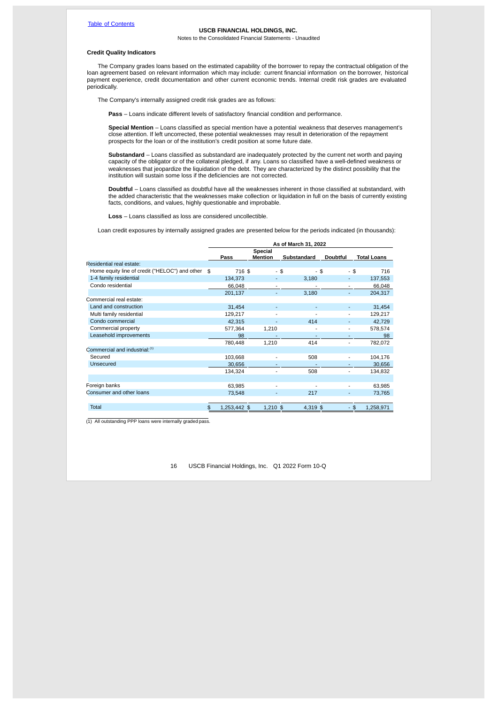Notes to the Consolidated Financial Statements - Unaudited

# **Credit Quality Indicators**

The Company grades loans based on the estimated capability of the borrower to repay the contractual obligation of the loan agreement based on relevant information which may include: current financial information on the borrower, historical payment experience, credit documentation and other current economic trends. Internal credit risk grades are evaluated periodically.

The Company's internally assigned credit risk grades are as follows:

**Pass** – Loans indicate different levels of satisfactory financial condition and performance.

**Special Mention** – Loans classified as special mention have a potential weakness that deserves management's close attention. If left uncorrected, these potential weaknesses may result in deterioration of the repayment prospects for the loan or of the institution's credit position at some future date.

**Substandard** – Loans classified as substandard are inadequately protected by the current net worth and paying capacity of the obligator or of the collateral pledged, if any. Loans so classified have a well-defined weakness or weaknesses that jeopardize the liquidation of the debt. They are characterized by the distinct possibility that the institution will sustain some loss if the deficiencies are not corrected.

**Doubtful** – Loans classified as doubtful have all the weaknesses inherent in those classified at substandard, with the added characteristic that the weaknesses make collection or liquidation in full on the basis of currently existing facts, conditions, and values, highly questionable and improbable.

**Loss** – Loans classified as loss are considered uncollectible.

Loan credit exposures by internally assigned grades are presented below for the periods indicated (in thousands):

|                                                   |                    |                          | As of March 31, 2022 |                          |                    |
|---------------------------------------------------|--------------------|--------------------------|----------------------|--------------------------|--------------------|
|                                                   |                    | <b>Special</b>           |                      |                          |                    |
|                                                   | Pass               | <b>Mention</b>           | Substandard          | <b>Doubtful</b>          | <b>Total Loans</b> |
| Residential real estate:                          |                    |                          |                      |                          |                    |
| Home equity line of credit ("HELOC") and other \$ | 716 \$             |                          | $-$ \$<br>$-$ \$     |                          | - \$<br>716        |
| 1-4 family residential                            | 134,373            |                          | 3,180                |                          | 137,553            |
| Condo residential                                 | 66,048             |                          |                      |                          | 66,048             |
|                                                   | 201,137            |                          | 3,180                |                          | 204,317            |
| Commercial real estate:                           |                    |                          |                      |                          |                    |
| Land and construction                             | 31,454             |                          |                      |                          | 31,454             |
| Multi family residential                          | 129,217            | $\blacksquare$           | $\overline{a}$       | $\overline{\phantom{0}}$ | 129,217            |
| Condo commercial                                  | 42,315             |                          | 414                  | -                        | 42,729             |
| Commercial property                               | 577,364            | 1,210                    |                      | -                        | 578,574            |
| Leasehold improvements                            | 98                 |                          |                      |                          | 98                 |
|                                                   | 780,448            | 1,210                    | 414                  |                          | 782,072            |
| Commercial and industrial: <sup>(1)</sup>         |                    |                          |                      |                          |                    |
| Secured                                           | 103,668            | $\blacksquare$           | 508                  |                          | 104,176            |
| Unsecured                                         | 30,656             | $\overline{\phantom{a}}$ |                      |                          | 30,656             |
|                                                   | 134,324            | $\overline{\phantom{a}}$ | 508                  | $\overline{\phantom{0}}$ | 134,832            |
|                                                   |                    |                          |                      |                          |                    |
| Foreign banks                                     | 63,985             | $\overline{\phantom{a}}$ |                      |                          | 63,985             |
| Consumer and other loans                          | 73,548             | $\overline{\phantom{0}}$ | 217                  |                          | 73,765             |
|                                                   |                    |                          |                      |                          |                    |
| Total                                             | \$<br>1,253,442 \$ | $1,210$ \$               | 4,319 \$             |                          | 1,258,971<br>- \$  |

(1) All outstanding PPP loans were internally graded pass.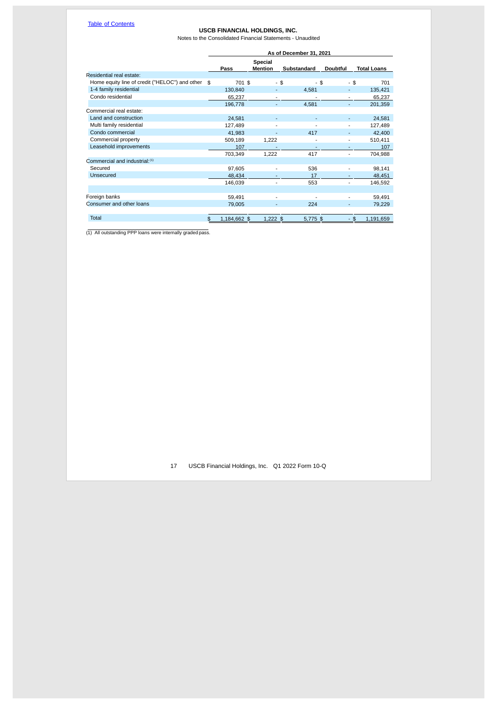# **USCB FINANCIAL HOLDINGS, INC.**

Notes to the Consolidated Financial Statements - Unaudited

|                                                   |                    |                                  | As of December 31, 2021 |                          |                    |
|---------------------------------------------------|--------------------|----------------------------------|-------------------------|--------------------------|--------------------|
|                                                   | Pass               | <b>Special</b><br><b>Mention</b> | Substandard             | <b>Doubtful</b>          | <b>Total Loans</b> |
| Residential real estate:                          |                    |                                  |                         |                          |                    |
| Home equity line of credit ("HELOC") and other \$ | 701 \$             | - \$                             | - \$                    | - \$                     | 701                |
| 1-4 family residential                            | 130,840            |                                  | 4,581                   | ٠                        | 135,421            |
| Condo residential                                 | 65,237             |                                  |                         |                          | 65,237             |
|                                                   | 196,778            |                                  | 4,581                   | ÷.                       | 201,359            |
| Commercial real estate:                           |                    |                                  |                         |                          |                    |
| Land and construction                             | 24,581             |                                  |                         |                          | 24,581             |
| Multi family residential                          | 127,489            |                                  |                         | $\overline{a}$           | 127,489            |
| Condo commercial                                  | 41.983             |                                  | 417                     | ٠                        | 42,400             |
| Commercial property                               | 509,189            | 1,222                            |                         | $\overline{\phantom{a}}$ | 510,411            |
| Leasehold improvements                            | 107                |                                  |                         |                          | 107                |
|                                                   | 703,349            | 1,222                            | 417                     |                          | 704,988            |
| Commercial and industrial: (1)                    |                    |                                  |                         |                          |                    |
| Secured                                           | 97.605             |                                  | 536                     | $\overline{a}$           | 98,141             |
| Unsecured                                         | 48,434             |                                  | 17                      | $\overline{\phantom{0}}$ | 48,451             |
|                                                   | 146,039            |                                  | 553                     | $\overline{\phantom{a}}$ | 146,592            |
|                                                   |                    |                                  |                         |                          |                    |
| Foreign banks                                     | 59,491             |                                  |                         |                          | 59,491             |
| Consumer and other loans                          | 79,005             | ٠                                | 224                     | ٠                        | 79,229             |
|                                                   |                    |                                  |                         |                          |                    |
| Total                                             | \$<br>1,184,662 \$ | $1,222$ \$                       | $5,775$ \$              | \$.                      | 1,191,659          |

(1) All outstanding PPP loans were internally graded pass.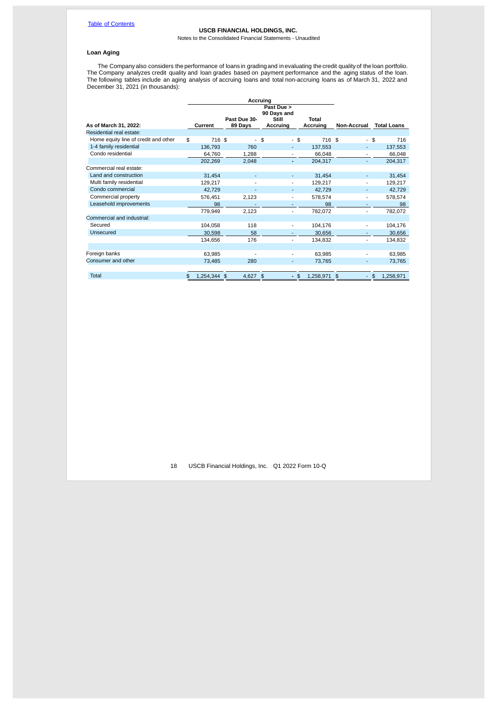# **USCB FINANCIAL HOLDINGS, INC.**

Notes to the Consolidated Financial Statements - Unaudited

# **Loan Aging**

The Company also considers the performance of loans in grading and in evaluating the credit quality of the loan portfolio. The Company analyzes credit quality and loan grades based on payment performance and the aging status of the loan. The following tables include an aging analysis of accruing loans and total non-accruing loans as of March 31, 2022 and December 31, 2021 (in thousands):

|                                      |                    | <b>Accruing</b>         |                          |        |                          |                          |      |                    |
|--------------------------------------|--------------------|-------------------------|--------------------------|--------|--------------------------|--------------------------|------|--------------------|
|                                      |                    |                         | Past Due >               |        |                          |                          |      |                    |
|                                      |                    |                         | 90 Days and              |        |                          |                          |      |                    |
| As of March 31, 2022:                | Current            | Past Due 30-<br>89 Days | Still<br>Accruing        |        | <b>Total</b><br>Accruing | <b>Non-Accrual</b>       |      | <b>Total Loans</b> |
| Residential real estate:             |                    |                         |                          |        |                          |                          |      |                    |
|                                      |                    |                         |                          |        |                          |                          |      |                    |
| Home equity line of credit and other | \$<br>716 \$       | ÷.                      | \$                       | $-$ \$ | 716 \$                   |                          | - \$ | 716                |
| 1-4 family residential               | 136,793            | 760                     | ٠                        |        | 137,553                  | ٠                        |      | 137,553            |
| Condo residential                    | 64,760             | 1,288                   | $\overline{\phantom{a}}$ |        | 66.048                   | $\overline{\phantom{a}}$ |      | 66,048             |
|                                      | 202,269            | 2,048                   | ۰.                       |        | 204,317                  | $\blacksquare$           |      | 204,317            |
| Commercial real estate:              |                    |                         |                          |        |                          |                          |      |                    |
| Land and construction                | 31.454             |                         |                          |        | 31,454                   | $\overline{\phantom{0}}$ |      | 31,454             |
| Multi family residential             | 129,217            |                         |                          |        | 129,217                  |                          |      | 129,217            |
| Condo commercial                     | 42,729             | ÷,                      |                          |        | 42,729                   | $\overline{\phantom{0}}$ |      | 42,729             |
| Commercial property                  | 576,451            | 2,123                   |                          |        | 578,574                  |                          |      | 578,574            |
| Leasehold improvements               | 98                 |                         |                          |        | 98                       |                          |      | 98                 |
|                                      | 779,949            | 2,123                   |                          |        | 782,072                  |                          |      | 782,072            |
| Commercial and industrial:           |                    |                         |                          |        |                          |                          |      |                    |
| Secured                              | 104,058            | 118                     |                          |        | 104,176                  |                          |      | 104,176            |
| Unsecured                            | 30,598             | 58                      |                          |        | 30,656                   |                          |      | 30,656             |
|                                      | 134,656            | 176                     |                          |        | 134.832                  |                          |      | 134,832            |
|                                      |                    |                         |                          |        |                          |                          |      |                    |
| Foreign banks                        | 63.985             | ۰                       |                          |        | 63,985                   |                          |      | 63,985             |
| Consumer and other                   | 73,485             | 280                     |                          |        | 73,765                   |                          |      | 73,765             |
|                                      |                    |                         |                          |        |                          |                          |      |                    |
| Total                                | \$<br>1,254,344 \$ | $4,627$ \$              |                          | - \$   | 1,258,971 \$             |                          | \$   | 1,258,971          |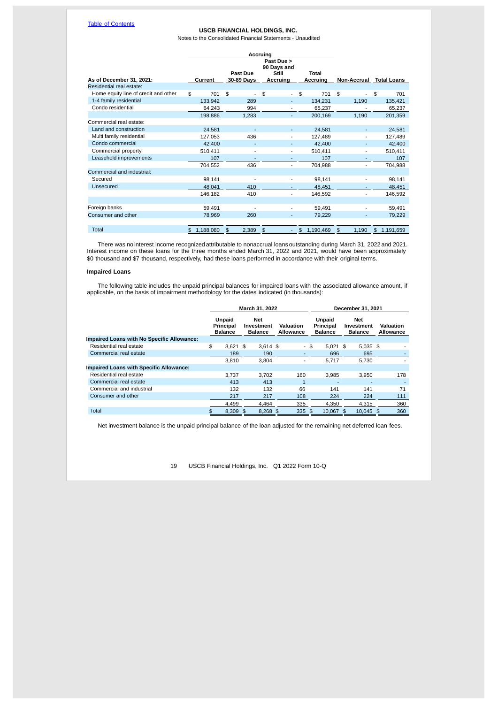# **USCB FINANCIAL HOLDINGS, INC.**

Notes to the Consolidated Financial Statements - Unaudited

|                                      |                 |                                | Accruing                           |                 |                                |                    |
|--------------------------------------|-----------------|--------------------------------|------------------------------------|-----------------|--------------------------------|--------------------|
|                                      |                 | <b>Past Due</b>                | Past Due ><br>90 Days and<br>Still | Total           |                                |                    |
| As of December 31, 2021:             | Current         | 30-89 Days                     | Accruing                           | Accruing        | Non-Accrual                    | <b>Total Loans</b> |
| Residential real estate:             |                 |                                |                                    |                 |                                |                    |
| Home equity line of credit and other | \$<br>701       | \$<br>$\overline{\phantom{0}}$ | \$<br>$\overline{\phantom{a}}$     | \$<br>701       | \$<br>$\overline{\phantom{a}}$ | \$<br>701          |
| 1-4 family residential               | 133,942         | 289                            | ÷.                                 | 134.231         | 1,190                          | 135,421            |
| Condo residential                    | 64.243          | 994                            |                                    | 65,237          |                                | 65,237             |
|                                      | 198.886         | 1.283                          | ٠                                  | 200.169         | 1,190                          | 201.359            |
| Commercial real estate:              |                 |                                |                                    |                 |                                |                    |
| Land and construction                | 24.581          | $\overline{\phantom{a}}$       | ٠                                  | 24,581          | $\blacksquare$                 | 24,581             |
| Multi family residential             | 127,053         | 436                            | $\overline{\phantom{a}}$           | 127.489         | $\overline{\phantom{a}}$       | 127,489            |
| Condo commercial                     | 42,400          |                                | ٠                                  | 42,400          | $\blacksquare$                 | 42,400             |
| Commercial property                  | 510,411         |                                | $\overline{\phantom{0}}$           | 510,411         |                                | 510,411            |
| Leasehold improvements               | 107             |                                | ٠                                  | 107             |                                | 107                |
|                                      | 704,552         | 436                            | $\overline{\phantom{0}}$           | 704,988         |                                | 704,988            |
| Commercial and industrial:           |                 |                                |                                    |                 |                                |                    |
| Secured                              | 98,141          | ٠                              | $\overline{\phantom{a}}$           | 98,141          |                                | 98,141             |
| Unsecured                            | 48.041          | 410                            |                                    | 48.451          |                                | 48,451             |
|                                      | 146,182         | 410                            |                                    | 146.592         |                                | 146,592            |
|                                      |                 |                                |                                    |                 |                                |                    |
| Foreign banks                        | 59.491          | $\blacksquare$                 | $\overline{\phantom{0}}$           | 59.491          |                                | 59,491             |
| Consumer and other                   | 78.969          | 260                            | ٠                                  | 79,229          |                                | 79,229             |
|                                      |                 |                                |                                    |                 |                                |                    |
| Total                                | 1,188,080<br>\$ | 2,389<br>$\mathfrak{D}$        | \$<br>٠                            | 1,190,469<br>\$ | 1,190<br>\$                    | \$1,191,659        |

There was no interest income recognized attributable to nonaccrual loans outstanding during March 31, 2022 and 2021. Interest income on these loans for the three months ended March 31, 2022 and 2021, would have been approximately \$0 thousand and \$7 thousand, respectively, had these loans performed in accordance with their original terms.

# **Impaired Loans**

The following table includes the unpaid principal balances for impaired loans with the associated allowance amount, if applicable, on the basis of impairment methodology for the dates indicated (in thousands):

|                                                   |                                              |            | March 31, 2022                             |  |                               | December 31, 2021 |                                              |                                            |            |  |                        |  |
|---------------------------------------------------|----------------------------------------------|------------|--------------------------------------------|--|-------------------------------|-------------------|----------------------------------------------|--------------------------------------------|------------|--|------------------------|--|
|                                                   | Unpaid<br><b>Principal</b><br><b>Balance</b> |            | Net<br><b>Investment</b><br><b>Balance</b> |  | Valuation<br><b>Allowance</b> |                   | Unpaid<br><b>Principal</b><br><b>Balance</b> | Net<br><b>Investment</b><br><b>Balance</b> |            |  | Valuation<br>Allowance |  |
| <b>Impaired Loans with No Specific Allowance:</b> |                                              |            |                                            |  |                               |                   |                                              |                                            |            |  |                        |  |
| Residential real estate                           | \$                                           | $3.621$ \$ | $3.614$ \$                                 |  |                               | $-5$              | $5.021$ \$                                   |                                            | $5.035$ \$ |  |                        |  |
| Commercial real estate                            |                                              | 189        | 190                                        |  |                               |                   | 696                                          |                                            | 695        |  |                        |  |
|                                                   |                                              | 3.810      | 3.804                                      |  | $\overline{\phantom{0}}$      |                   | 5.717                                        |                                            | 5.730      |  |                        |  |
| <b>Impaired Loans with Specific Allowance:</b>    |                                              |            |                                            |  |                               |                   |                                              |                                            |            |  |                        |  |
| Residential real estate                           |                                              | 3.737      | 3.702                                      |  | 160                           |                   | 3.985                                        |                                            | 3.950      |  | 178                    |  |
| Commercial real estate                            |                                              | 413        | 413                                        |  | 1                             |                   | ۰                                            |                                            |            |  |                        |  |
| Commercial and industrial                         |                                              | 132        | 132                                        |  | 66                            |                   | 141                                          |                                            | 141        |  | 71                     |  |
| Consumer and other                                |                                              | 217        | 217                                        |  | 108                           |                   | 224                                          |                                            | 224        |  | 111                    |  |
|                                                   |                                              | 4,499      | 4,464                                      |  | 335                           |                   | 4,350                                        |                                            | 4,315      |  | 360                    |  |
| <b>Total</b>                                      | \$                                           | $8.309$ \$ | $8.268$ \$                                 |  | $335$ \$                      |                   | 10.067 \$                                    |                                            | 10.045 \$  |  | 360                    |  |

Net investment balance is the unpaid principal balance of the loan adjusted for the remaining net deferred loan fees.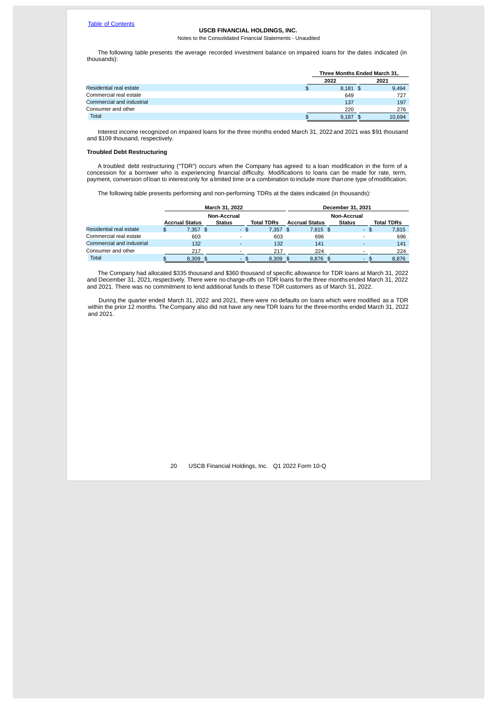# **USCB FINANCIAL HOLDINGS, INC.**

Notes to the Consolidated Financial Statements - Unaudited

The following table presents the average recorded investment balance on impaired loans for the dates indicated (in thousands):

|                           |    |          | Three Months Ended March 31, |
|---------------------------|----|----------|------------------------------|
|                           |    | 2022     | 2021                         |
| Residential real estate   | £. | 8.181 \$ | 9.494                        |
| Commercial real estate    |    | 649      | 727                          |
| Commercial and industrial |    | 137      | 197                          |
| Consumer and other        |    | 220      | 276                          |
| Total                     |    | 9.187    | 10.694                       |

Interest income recognized on impaired loans for the three months ended March 31, 2022 and 2021 was \$91 thousand and \$109 thousand, respectively.

# **Troubled Debt Restructuring**

A troubled debt restructuring ("TDR") occurs when the Company has agreed to a loan modification in the form of a concession for a borrower who is experiencing financial difficulty. Modifications to loans can be made for rate, term, payment, conversion of loan to interest only for a limited time or a combination to include more than one type of modification.

The following table presents performing and non-performing TDRs at the dates indicated (in thousands):

|                           |                       | March 31, 2022 |                   |             | December 31, 2021     |  |               |      |                   |  |  |  |  |  |  |
|---------------------------|-----------------------|----------------|-------------------|-------------|-----------------------|--|---------------|------|-------------------|--|--|--|--|--|--|
|                           |                       | Non-Accrual    |                   | Non-Accrual |                       |  |               |      |                   |  |  |  |  |  |  |
|                           | <b>Accrual Status</b> | <b>Status</b>  | <b>Total TDRs</b> |             | <b>Accrual Status</b> |  | <b>Status</b> |      | <b>Total TDRs</b> |  |  |  |  |  |  |
| Residential real estate   | \$<br>$7.357$ \$      | - \$           | $7.357$ \$        |             | 7.815 \$              |  |               | - \$ | 7.815             |  |  |  |  |  |  |
| Commercial real estate    | 603                   |                | 603               |             | 696                   |  | -             |      | 696               |  |  |  |  |  |  |
| Commercial and industrial | 132                   |                | 132               |             | 141                   |  |               |      | 141               |  |  |  |  |  |  |
| Consumer and other        | 217                   |                | 217               |             | 224                   |  | -             |      | 224               |  |  |  |  |  |  |
| Total                     | $8.309$ \$            | - \$           | $8.309$ \$        |             | 8.876 \$              |  |               | - \$ | 8.876             |  |  |  |  |  |  |

The Company had allocated \$335 thousand and \$360 thousand of specific allowance for TDR loans at March 31, 2022 and December 31, 2021, respectively. There were no charge-offs on TDR loans for the three months ended March 31, 2022 and 2021. There was no commitment to lend additional funds to these TDR customers as of March 31, 2022.

During the quarter ended March 31, 2022 and 2021, there were no defaults on loans which were modified as a TDR within the prior 12 months. The Company also did not have any new TDR loans for the three months ended March 31, 2022 and 2021.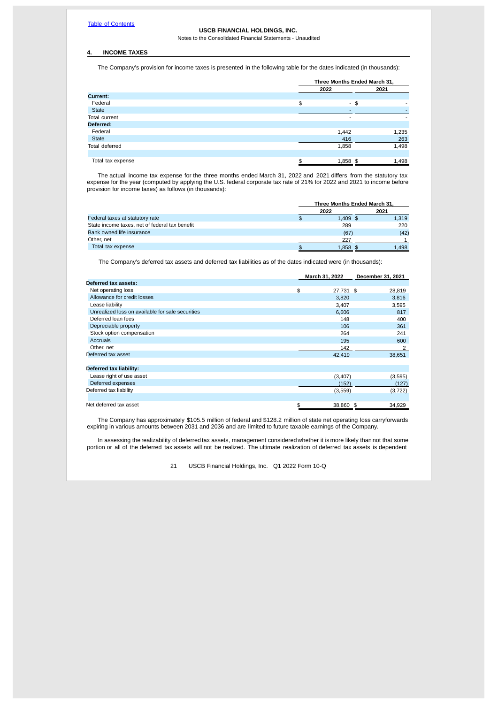Notes to the Consolidated Financial Statements - Unaudited

# **4. INCOME TAXES**

The Company's provision for income taxes is presented in the following table for the dates indicated (in thousands):

| 2022<br>2021<br>Current:<br>Federal<br>\$<br>- \$<br><b>State</b><br>-<br>Total current<br>- |       |
|----------------------------------------------------------------------------------------------|-------|
|                                                                                              |       |
|                                                                                              |       |
|                                                                                              |       |
|                                                                                              |       |
|                                                                                              |       |
| Deferred:                                                                                    |       |
| Federal<br>1,442                                                                             | 1,235 |
| <b>State</b><br>416                                                                          | 263   |
| Total deferred<br>1,858                                                                      | 1,498 |
|                                                                                              |       |
| Total tax expense<br>1,858 \$<br>\$.                                                         | 1,498 |

The actual income tax expense for the three months ended March 31, 2022 and 2021 differs from the statutory tax expense for the year (computed by applying the U.S. federal corporate tax rate of 21% for 2022 and 2021 to income before provision for income taxes) as follows (in thousands):

|                                                | Three Months Ended March 31. |       |  |  |  |
|------------------------------------------------|------------------------------|-------|--|--|--|
|                                                | 2022                         | 2021  |  |  |  |
| Federal taxes at statutory rate                | $1.409$ \$                   | 1.319 |  |  |  |
| State income taxes, net of federal tax benefit | 289                          | 220   |  |  |  |
| Bank owned life insurance                      | (67)                         | (42)  |  |  |  |
| Other, net                                     | 227                          |       |  |  |  |
| Total tax expense                              | 1.858 \$                     | 1.498 |  |  |  |

The Company's deferred tax assets and deferred tax liabilities as of the dates indicated were (in thousands):

|                                                  | March 31, 2022  | December 31, 2021 |
|--------------------------------------------------|-----------------|-------------------|
| Deferred tax assets:                             |                 |                   |
| Net operating loss                               | \$<br>27,731 \$ | 28,819            |
| Allowance for credit losses                      | 3,820           | 3,816             |
| Lease liability                                  | 3,407           | 3,595             |
| Unrealized loss on available for sale securities | 6,606           | 817               |
| Deferred loan fees                               | 148             | 400               |
| Depreciable property                             | 106             | 361               |
| Stock option compensation                        | 264             | 241               |
| <b>Accruals</b>                                  | 195             | 600               |
| Other, net                                       | 142             | 2                 |
| Deferred tax asset                               | 42,419          | 38,651            |
|                                                  |                 |                   |
| Deferred tax liability:                          |                 |                   |
| Lease right of use asset                         | (3,407)         | (3,595)           |
| Deferred expenses                                | (152)           | (127)             |
| Deferred tax liability                           | (3,559)         | (3, 722)          |
|                                                  |                 |                   |
| Net deferred tax asset                           | \$<br>38,860 \$ | 34,929            |

The Company has approximately \$105.5 million of federal and \$128.2 million of state net operating loss carryforwards expiring in various amounts between 2031 and 2036 and are limited to future taxable earnings of the Company.

In assessing the realizability of deferred tax assets, management considered whether it is more likely than not that some portion or all of the deferred tax assets will not be realized. The ultimate realization of deferred tax assets is dependent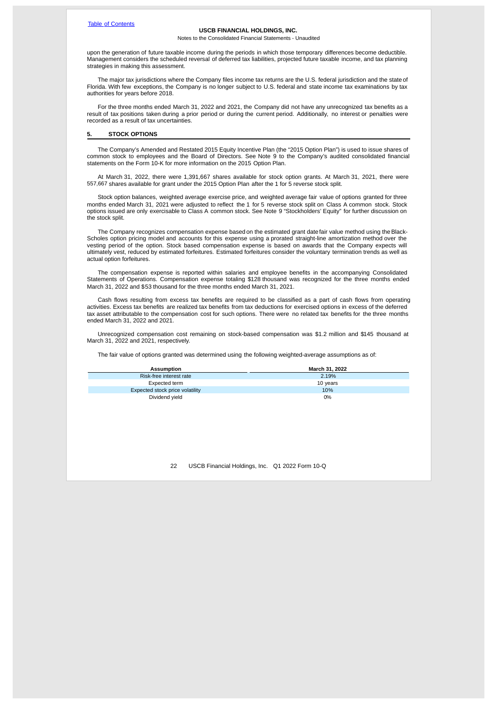# **USCB FINANCIAL HOLDINGS, INC.**

Notes to the Consolidated Financial Statements - Unaudited

upon the generation of future taxable income during the periods in which those temporary differences become deductible. Management considers the scheduled reversal of deferred tax liabilities, projected future taxable income, and tax planning strategies in making this assessment.

The major tax jurisdictions where the Company files income tax returns are the U.S. federal jurisdiction and the state of Florida. With few exceptions, the Company is no longer subject to U.S. federal and state income tax examinations by tax authorities for years before 2018.

For the three months ended March 31, 2022 and 2021, the Company did not have any unrecognized tax benefits as a result of tax positions taken during a prior period or during the current period. Additionally, no interest or penalties were recorded as a result of tax uncertainties.

### **5. STOCK OPTIONS**

The Company's Amended and Restated 2015 Equity Incentive Plan (the "2015 Option Plan") is used to issue shares of common stock to employees and the Board of Directors. See Note 9 to the Company's audited consolidated financial statements on the Form 10-K for more information on the 2015 Option Plan.

At March 31, 2022, there were 1,391,667 shares available for stock option grants. At March 31, 2021, there were 557,667 shares available for grant under the 2015 Option Plan after the 1 for 5 reverse stock split.

Stock option balances, weighted average exercise price, and weighted average fair value of options granted for three months ended March 31, 2021 were adjusted to reflect the 1 for 5 reverse stock split on Class A common stock. Stock options issued are only exercisable to Class A common stock. See Note 9 "Stockholders' Equity" for further discussion on the stock split.

The Company recognizes compensation expense based on the estimated grant date fair value method using theBlack-Scholes option pricing model and accounts for this expense using a prorated straight-line amortization method over the vesting period of the option. Stock based compensation expense is based on awards that the Company expects will ultimately vest, reduced by estimated forfeitures. Estimated forfeitures consider the voluntary termination trends as well as actual option forfeitures.

The compensation expense is reported within salaries and employee benefits in the accompanying Consolidated Statements of Operations. Compensation expense totaling \$128 thousand was recognized for the three months ended March 31, 2022 and \$53 thousand for the three months ended March 31, 2021.

Cash flows resulting from excess tax benefits are required to be classified as a part of cash flows from operating activities. Excess tax benefits are realized tax benefits from tax deductions for exercised options in excess of the deferred tax asset attributable to the compensation cost for such options. There were no related tax benefits for the three months ended March 31, 2022 and 2021.

Unrecognized compensation cost remaining on stock-based compensation was \$1.2 million and \$145 thousand at March 31, 2022 and 2021, respectively.

The fair value of options granted was determined using the following weighted-average assumptions as of:

| Assumption                      | March 31, 2022 |
|---------------------------------|----------------|
| Risk-free interest rate         | 2.19%          |
| Expected term                   | 10 years       |
| Expected stock price volatility | 10%            |
| Dividend yield                  | 0%             |
|                                 |                |
|                                 |                |
|                                 |                |
|                                 |                |
|                                 |                |
|                                 |                |
|                                 |                |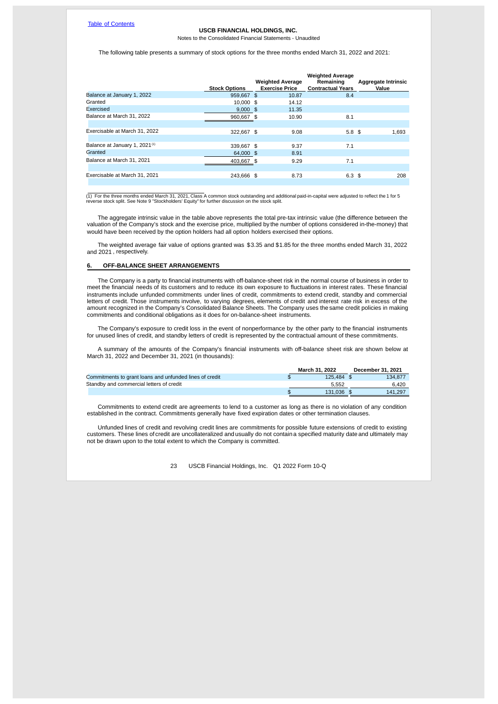#### **USCB FINANCIAL HOLDINGS, INC.** Notes to the Consolidated Financial Statements - Unaudited

The following table presents a summary of stock options for the three months ended March 31, 2022 and 2021:

|                                           | <b>Stock Options</b> | <b>Weighted Average</b><br><b>Exercise Price</b> | <b>Weighted Average</b><br>Remaining<br><b>Contractual Years</b> | <b>Aggregate Intrinsic</b><br>Value |
|-------------------------------------------|----------------------|--------------------------------------------------|------------------------------------------------------------------|-------------------------------------|
| Balance at January 1, 2022                | 959.667 \$           | 10.87                                            | 8.4                                                              |                                     |
| Granted                                   | 10.000 \$            | 14.12                                            |                                                                  |                                     |
| Exercised                                 | $9,000$ \$           | 11.35                                            |                                                                  |                                     |
| Balance at March 31, 2022                 | 960.667 \$           | 10.90                                            | 8.1                                                              |                                     |
|                                           |                      |                                                  |                                                                  |                                     |
| Exercisable at March 31, 2022             | 322,667 \$           | 9.08                                             | 5.8 <sup>5</sup>                                                 | 1,693                               |
|                                           |                      |                                                  |                                                                  |                                     |
| Balance at January 1, 2021 <sup>(1)</sup> | 339.667 \$           | 9.37                                             | 7.1                                                              |                                     |
| Granted                                   | 64.000 \$            | 8.91                                             |                                                                  |                                     |
| Balance at March 31, 2021                 | 403,667 \$           | 9.29                                             | 7.1                                                              |                                     |
|                                           |                      |                                                  |                                                                  |                                     |
| Exercisable at March 31, 2021             | 243.666 \$           | 8.73                                             | 6.3 <sup>5</sup>                                                 | 208                                 |

(1) For the three months ended March 31, 2021, Class A common stock outstanding and additional paid-in-capital were adjusted to reflect the 1 for 5 reverse stock split. See Note 9 "Stockholders' Equity" for further discussion on the stock split.

The aggregate intrinsic value in the table above represents the total pre-tax intrinsic value (the difference between the valuation of the Company's stock and the exercise price, multiplied by the number of options considered in-the-money) that would have been received by the option holders had all option holders exercised their options.

The weighted average fair value of options granted was \$3.35 and \$1.85 for the three months ended March 31, 2022 and 2021 , respectively.

### **6. OFF-BALANCE SHEET ARRANGEMENTS**

The Company is a party to financial instruments with off-balance-sheet risk in the normal course of business in order to meet the financial needs of its customers and to reduce its own exposure to fluctuations in interest rates. These financial instruments include unfunded commitments under lines of credit, commitments to extend credit, standby and commercial letters of credit. Those instruments involve, to varying degrees, elements of credit and interest rate risk in excess of the amount recognized in the Company's Consolidated Balance Sheets. The Company uses the same credit policies in making commitments and conditional obligations as it does for on-balance-sheet instruments.

The Company's exposure to credit loss in the event of nonperformance by the other party to the financial instruments for unused lines of credit, and standby letters of credit is represented by the contractual amount of these commitments.

A summary of the amounts of the Company's financial instruments with off-balance sheet risk are shown below at March 31, 2022 and December 31, 2021 (in thousands):

|                                                         | <b>March 31, 2022</b> | December 31, 2021 |
|---------------------------------------------------------|-----------------------|-------------------|
| Commitments to grant loans and unfunded lines of credit | 125.484 \$            | 134,877           |
| Standby and commercial letters of credit                | 5.552                 | 6.420             |
|                                                         | 131.036               | 141.297           |

Commitments to extend credit are agreements to lend to a customer as long as there is no violation of any condition established in the contract. Commitments generally have fixed expiration dates or other termination clauses.

Unfunded lines of credit and revolving credit lines are commitments for possible future extensions of credit to existing customers. These lines of credit are uncollateralized and usually do not contain a specified maturity date and ultimately may not be drawn upon to the total extent to which the Company is committed.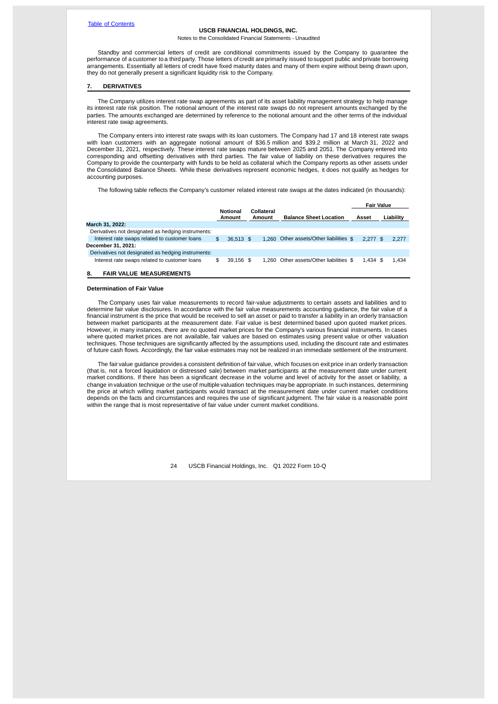Notes to the Consolidated Financial Statements - Unaudited

Standby and commercial letters of credit are conditional commitments issued by the Company to guarantee the performance of a customer to a third party. Those letters of credit are primarily issued to support public and private borrowing arrangements. Essentially all letters of credit have fixed maturity dates and many of them expire without being drawn upon, they do not generally present a significant liquidity risk to the Company.

# **7. DERIVATIVES**

The Company utilizes interest rate swap agreements as part of its asset liability management strategy to help manage its interest rate risk position. The notional amount of the interest rate swaps do not represent amounts exchanged by the parties. The amounts exchanged are determined by reference to the notional amount and the other terms of the individual interest rate swap agreements.

The Company enters into interest rate swaps with its loan customers. The Company had 17 and 18 interest rate swaps with loan customers with an aggregate notional amount of \$36.5 million and \$39.2 million at March 31, 2022 and December 31, 2021, respectively. These interest rate swaps mature between 2025 and 2051. The Company entered into corresponding and offsetting derivatives with third parties. The fair value of liability on these derivatives requires the Company to provide the counterparty with funds to be held as collateral which the Company reports as other assets under the Consolidated Balance Sheets. While these derivatives represent economic hedges, it does not qualify as hedges for accounting purposes.

The following table reflects the Company's customer related interest rate swaps at the dates indicated (in thousands):

|                                                    |                           |                      |                                         | <b>Fair Value</b> |           |
|----------------------------------------------------|---------------------------|----------------------|-----------------------------------------|-------------------|-----------|
|                                                    | <b>Notional</b><br>Amount | Collateral<br>Amount | <b>Balance Sheet Location</b>           | Asset             | Liability |
| March 31, 2022:                                    |                           |                      |                                         |                   |           |
| Derivatives not designated as hedging instruments: |                           |                      |                                         |                   |           |
| Interest rate swaps related to customer loans      | \$<br>$36.513$ \$         |                      | 1.260 Other assets/Other liabilities \$ | $2.277$ \$        | 2.277     |
| December 31, 2021:                                 |                           |                      |                                         |                   |           |
| Derivatives not designated as hedging instruments: |                           |                      |                                         |                   |           |
| Interest rate swaps related to customer loans      | \$<br>39.156 \$           |                      | 1.260 Other assets/Other liabilities \$ | $1.434$ \$        | 1.434     |
| 8.<br><b>FAIR VALUE MEASUREMENTS</b>               |                           |                      |                                         |                   |           |

#### **Determination of Fair Value**

The Company uses fair value measurements to record fair-value adjustments to certain assets and liabilities and to determine fair value disclosures. In accordance with the fair value measurements accounting guidance, the fair value of a financial instrument is the price that would be received to sell an asset or paid to transfer a liability in an orderly transaction between market participants at the measurement date. Fair value is best determined based upon quoted market prices. However, in many instances, there are no quoted market prices for the Company's various financial instruments. In cases where quoted market prices are not available, fair values are based on estimates using present value or other valuation techniques. Those techniques are significantly affected by the assumptions used, including the discount rate and estimates of future cash flows. Accordingly, the fair value estimates may not be realized in an immediate settlement of the instrument.

The fair value guidance provides a consistent definition of fair value, which focuses on exit price in an orderly transaction (that is, not a forced liquidation or distressed sale) between market participants at the measurement date under current market conditions. If there has been a significant decrease in the volume and level of activity for the asset or liability, a change in valuation technique orthe use of multiple valuation techniques may be appropriate. In such instances, determining the price at which willing market participants would transact at the measurement date under current market conditions depends on the facts and circumstances and requires the use of significant judgment. The fair value is a reasonable point within the range that is most representative of fair value under current market conditions.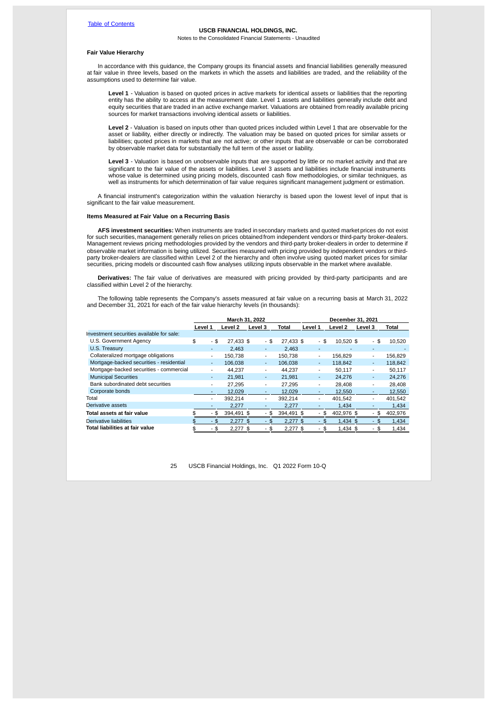Notes to the Consolidated Financial Statements - Unaudited

# **Fair Value Hierarchy**

In accordance with this guidance, the Company groups its financial assets and financial liabilities generally measured at fair value in three levels, based on the markets in which the assets and liabilities are traded, and the reliability of the assumptions used to determine fair value.

**Level 1** - Valuation is based on quoted prices in active markets for identical assets or liabilities that the reporting entity has the ability to access at the measurement date. Level 1 assets and liabilities generally include debt and equity securities that are traded in an active exchange market. Valuations are obtained from readily available pricing sources for market transactions involving identical assets or liabilities.

**Level 2** - Valuation is based on inputs other than quoted prices included within Level 1 that are observable for the asset or liability, either directly or indirectly. The valuation may be based on quoted prices for similar assets or liabilities; quoted prices in markets that are not active; or other inputs that are observable or can be corroborated by observable market data for substantially the full term of the asset or liability.

**Level 3** - Valuation is based on unobservable inputs that are supported by little or no market activity and that are significant to the fair value of the assets or liabilities. Level 3 assets and liabilities include financial instruments whose value is determined using pricing models, discounted cash flow methodologies, or similar techniques, as well as instruments for which determination of fair value requires significant management judgment or estimation.

A financial instrument's categorization within the valuation hierarchy is based upon the lowest level of input that is significant to the fair value measurement.

#### **Items Measured at Fair Value on a Recurring Basis**

**AFS investment securities:** When instruments are traded in secondary markets and quoted market prices do not exist for such securities, management generally relies on prices obtained from independent vendors or third-party broker-dealers. Management reviews pricing methodologies provided by the vendors and third-party broker-dealers in order to determine if observable market information is being utilized. Securities measured with pricing provided by independent vendors orthirdparty broker-dealers are classified within Level 2 of the hierarchy and often involve using quoted market prices for similar securities, pricing models or discounted cash flow analyses utilizing inputs observable in the market where available.

**Derivatives:** The fair value of derivatives are measured with pricing provided by third-party participants and are classified within Level 2 of the hierarchy.

The following table represents the Company's assets measured at fair value on a recurring basis at March 31, 2022 and December 31, 2021 for each of the fair value hierarchy levels (in thousands):

|                                           |                          |            | March 31, 2022           | December 31, 2021 |                          |            |                                |         |  |
|-------------------------------------------|--------------------------|------------|--------------------------|-------------------|--------------------------|------------|--------------------------------|---------|--|
|                                           | Level 1                  | Level 2    | Level 3                  | Total             | Level 1                  | Level 2    | Level 3                        | Total   |  |
| Investment securities available for sale: |                          |            |                          |                   |                          |            |                                |         |  |
| U.S. Government Agency                    | \$<br>- \$               | 27.433 \$  | - \$                     | 27.433 \$         | - \$                     | 10.520 \$  | - \$                           | 10.520  |  |
| U.S. Treasury                             | ٠                        | 2.463      | ٠                        | 2.463             |                          |            |                                |         |  |
| Collateralized mortgage obligations       |                          | 150.738    | $\overline{\phantom{a}}$ | 150.738           | -                        | 156.829    | $\overline{\phantom{a}}$       | 156.829 |  |
| Mortgage-backed securities - residential  | ٠                        | 106,038    | $\overline{\phantom{a}}$ | 106,038           | $\overline{\phantom{a}}$ | 118,842    | $\blacksquare$                 | 118,842 |  |
| Mortgage-backed securities - commercial   | ٠                        | 44,237     | $\overline{\phantom{a}}$ | 44,237            | -                        | 50,117     | $\overline{\phantom{a}}$       | 50,117  |  |
| <b>Municipal Securities</b>               | $\overline{\phantom{a}}$ | 21.981     | $\overline{\phantom{a}}$ | 21.981            | ٠                        | 24.276     | $\blacksquare$                 | 24.276  |  |
| Bank subordinated debt securities         | -                        | 27.295     | ٠                        | 27.295            | -                        | 28,408     | $\overline{\phantom{a}}$       | 28,408  |  |
| Corporate bonds                           | ٠                        | 12,029     | $\overline{\phantom{a}}$ | 12,029            | ٠                        | 12,550     | $\overline{\phantom{a}}$       | 12,550  |  |
| Total                                     |                          | 392,214    | $\overline{a}$           | 392,214           | -                        | 401,542    | $\overline{\phantom{a}}$       | 401,542 |  |
| Derivative assets                         | -                        | 2,277      |                          | 2,277             | ٠                        | 1,434      | ٠                              | 1,434   |  |
| <b>Total assets at fair value</b>         | - \$                     | 394,491 \$ | - \$                     | 394,491 \$        | - \$                     | 402,976 \$ | \$<br>$\overline{\phantom{a}}$ | 402,976 |  |
| Derivative liabilities                    | - \$<br>\$.              | $2.277$ \$ | - \$                     | $2.277$ \$        | - \$                     | $1.434$ \$ | - \$                           | 1.434   |  |
| <b>Total liabilities at fair value</b>    | \$<br>- \$               | $2.277$ \$ | - \$                     | $2.277$ \$        | - \$                     | $1.434$ \$ | - \$                           | 1.434   |  |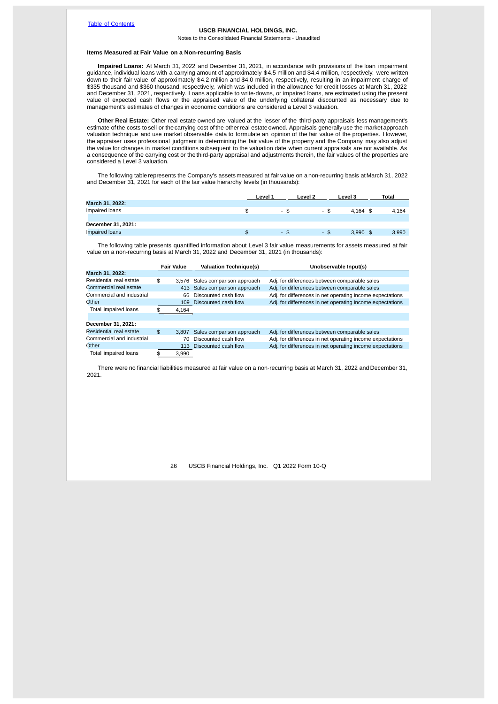Notes to the Consolidated Financial Statements - Unaudited

### **Items Measured at Fair Value on a Non-recurring Basis**

**Impaired Loans:** At March 31, 2022 and December 31, 2021, in accordance with provisions of the loan impairment guidance, individual loans with a carrying amount of approximately \$4.5 million and \$4.4 million, respectively, were written down to their fair value of approximately \$4.2 million and \$4.0 million, respectively, resulting in an impairment charge of \$335 thousand and \$360 thousand, respectively, which was included in the allowance for credit losses at March 31, 2022 and December 31, 2021, respectively. Loans applicable to write-downs, or impaired loans, are estimated using the present value of expected cash flows or the appraised value of the underlying collateral discounted as necessary due to management's estimates of changes in economic conditions are considered a Level 3 valuation.

**Other Real Estate:** Other real estate owned are valued at the lesser of the third-party appraisals less management's estimate of the costs to sell or the carrying cost of the otherreal estate owned. Appraisals generally use the market approach valuation technique and use market observable data to formulate an opinion of the fair value of the properties. However, the appraiser uses professional judgment in determining the fair value of the property and the Company may also adjust the value for changes in market conditions subsequent to the valuation date when current appraisals are not available. As a consequence of the carrying cost or the third-party appraisal and adjustments therein, the fair values of the properties are considered a Level 3 valuation.

The following table represents the Company's assets measured at fair value on a non-recurring basis at March 31, 2022 and December 31, 2021 for each of the fair value hierarchy levels (in thousands):

|                        | Level 1 | Level 2 | Level 3    | <b>Total</b> |
|------------------------|---------|---------|------------|--------------|
| <b>March 31, 2022:</b> |         |         |            |              |
| Impaired loans         | - \$    | - \$    | $4.164$ \$ | 4.164        |
|                        |         |         |            |              |
| December 31, 2021:     |         |         |            |              |
| Impaired loans         | - \$    | - \$    | $3.990$ \$ | 3.990        |

The following table presents quantified information about Level 3 fair value measurements for assets measured at fair value on a non-recurring basis at March 31, 2022 and December 31, 2021 (in thousands):

| <b>Fair Value</b>         |    | <b>Valuation Technique(s)</b> | Unobservable Input(s)           |                                                           |
|---------------------------|----|-------------------------------|---------------------------------|-----------------------------------------------------------|
| March 31, 2022:           |    |                               |                                 |                                                           |
| Residential real estate   | \$ |                               | 3,576 Sales comparison approach | Adj. for differences between comparable sales             |
| Commercial real estate    |    |                               | 413 Sales comparison approach   | Adj. for differences between comparable sales             |
| Commercial and industrial |    | 66                            | Discounted cash flow            | Adj. for differences in net operating income expectations |
| Other                     |    | 109                           | Discounted cash flow            | Adj. for differences in net operating income expectations |
| Total impaired loans      |    | 4,164                         |                                 |                                                           |
|                           |    |                               |                                 |                                                           |
| December 31, 2021:        |    |                               |                                 |                                                           |
| Residential real estate   | \$ | 3.807                         | Sales comparison approach       | Adj. for differences between comparable sales             |
| Commercial and industrial |    | 70                            | Discounted cash flow            | Adj. for differences in net operating income expectations |
| Other                     |    | 113                           | Discounted cash flow            | Adj. for differences in net operating income expectations |
| Total impaired loans      |    | 3,990                         |                                 |                                                           |

There were no financial liabilities measured at fair value on a non-recurring basis at March 31, 2022 and December 31, 2021.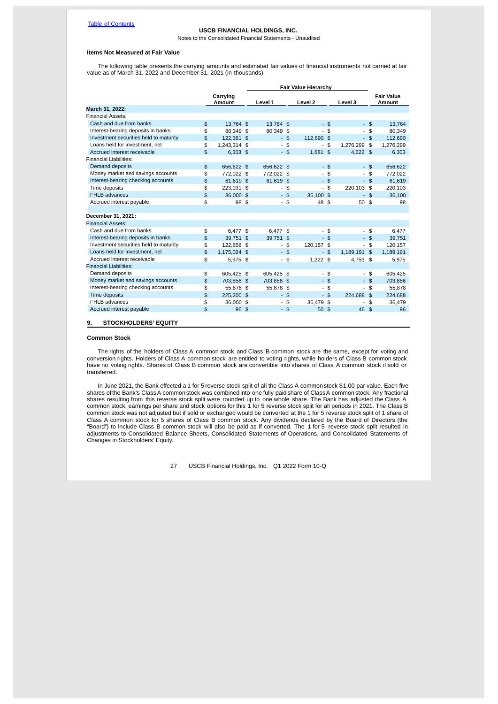Notes to the Consolidated Financial Statements - Unaudited

# **Items Not Measured at Fair Value**

The following table presents the carrying amounts and estimated fair values of financial instruments not carried at fair value as of March 31, 2022 and December 31, 2021 (in thousands):

|                                        | <b>Fair Value Hierarchy</b> |                    |  |                          |        |                    |        |                |        |                             |
|----------------------------------------|-----------------------------|--------------------|--|--------------------------|--------|--------------------|--------|----------------|--------|-----------------------------|
|                                        |                             | Carrying<br>Amount |  | Level 1                  |        | Level <sub>2</sub> |        | Level 3        |        | <b>Fair Value</b><br>Amount |
| March 31, 2022:                        |                             |                    |  |                          |        |                    |        |                |        |                             |
| <b>Financial Assets:</b>               |                             |                    |  |                          |        |                    |        |                |        |                             |
| Cash and due from banks                | \$                          | 13,764 \$          |  | 13,764 \$                |        |                    | $-$ \$ |                | - \$   | 13,764                      |
| Interest-bearing deposits in banks     | \$                          | 80.349 \$          |  | 80.349 \$                |        |                    | $-$ \$ |                | - \$   | 80.349                      |
| Investment securities held to maturity | \$                          | 122,361 \$         |  |                          | $-$ \$ | 112.690 \$         |        |                | $-$ \$ | 112,690                     |
| Loans held for investment, net         | \$                          | 1,243,314 \$       |  | ÷.                       | \$     |                    | - \$   | 1,276,299 \$   |        | 1,276,299                   |
| Accrued interest receivable            | \$                          | $6.303$ \$         |  |                          | $-$ \$ | 1,681 \$           |        | $4.622$ \$     |        | 6.303                       |
| <b>Financial Liabilities:</b>          |                             |                    |  |                          |        |                    |        |                |        |                             |
| Demand deposits                        | \$                          | 656.622 \$         |  | 656,622 \$               |        |                    | $-$ \$ |                | - \$   | 656.622                     |
| Money market and savings accounts      | \$                          | 772.022 \$         |  | 772.022 \$               |        |                    | $-$ \$ |                | - \$   | 772,022                     |
| Interest-bearing checking accounts     | \$                          | 61.619 \$          |  | 61.619 \$                |        |                    | $-$ \$ |                | $-$ \$ | 61.619                      |
| Time deposits                          | \$                          | 223,031 \$         |  | $\overline{\phantom{0}}$ | \$     |                    | - \$   | 220,103 \$     |        | 220,103                     |
| <b>FHLB advances</b>                   | \$                          | 36.000 \$          |  |                          | $-$ \$ | 36.100 \$          |        |                | $-$ \$ | 36,100                      |
| Accrued interest payable               | \$                          | 98 \$              |  |                          | $-$ \$ | 48 \$              |        | 50 \$          |        | 98                          |
|                                        |                             |                    |  |                          |        |                    |        |                |        |                             |
| December 31, 2021:                     |                             |                    |  |                          |        |                    |        |                |        |                             |
| <b>Financial Assets:</b>               |                             |                    |  |                          |        |                    |        |                |        |                             |
| Cash and due from banks                | \$                          | 6.477 \$           |  | 6.477 \$                 |        |                    | - \$   |                | - \$   | 6.477                       |
| Interest-bearing deposits in banks     | \$                          | 39,751 \$          |  | 39,751 \$                |        |                    | $-$ \$ |                | - \$   | 39,751                      |
| Investment securities held to maturity | \$                          | 122.658 \$         |  |                          | $-$ \$ | 120.157 \$         |        |                | - \$   | 120.157                     |
| Loans held for investment, net         | \$                          | 1,175,024 \$       |  |                          | $-$ \$ |                    | $-$ \$ | $1,189,191$ \$ |        | 1,189,191                   |
| Accrued interest receivable            | \$                          | 5,975 \$           |  |                          | - \$   | $1.222$ \$         |        | $4.753$ \$     |        | 5,975                       |
| <b>Financial Liabilities:</b>          |                             |                    |  |                          |        |                    |        |                |        |                             |
| Demand deposits                        | \$                          | 605,425 \$         |  | 605,425 \$               |        |                    | - \$   |                | - \$   | 605,425                     |
| Money market and savings accounts      | \$                          | 703,856 \$         |  | 703,856 \$               |        |                    | $-$ \$ |                | $-$ \$ | 703,856                     |
| Interest-bearing checking accounts     | \$                          | 55,878 \$          |  | 55,878 \$                |        |                    | - \$   |                | $-$ \$ | 55,878                      |
| Time deposits                          | \$                          | 225,200 \$         |  |                          | $-$ \$ |                    | $-$ \$ | 224.688 \$     |        | 224,688                     |
| <b>FHLB advances</b>                   | \$                          | 36.000 \$          |  |                          | - \$   | 36,479 \$          |        |                | - \$   | 36,479                      |
| Accrued interest payable               | \$                          | 96 \$              |  |                          | $-$ \$ | $50*$              |        | 46 \$          |        | 96                          |
| 9.<br><b>STOCKHOLDERS' EQUITY</b>      |                             |                    |  |                          |        |                    |        |                |        |                             |

# **Common Stock**

The rights of the holders of Class A common stock and Class B common stock are the same, except for voting and conversion rights. Holders of Class A common stock are entitled to voting rights, while holders of Class B common stock have no voting rights. Shares of Class B common stock are convertible into shares of Class A common stock if sold or transferred.

In June 2021, the Bank effected a 1 for 5 reverse stock split of all the Class A common stock \$1.00 par value. Each five shares of the Bank's ClassA common stock was combined into one fully paid share of ClassA common stock. Any fractional shares resulting from this reverse stock split were rounded up to one whole share. The Bank has adjusted the Class A common stock, earnings per share and stock options for this 1 for 5 reverse stock split for all periods in 2021. The Class B common stock was not adjusted but if sold or exchanged would be converted at the 1 for 5 reverse stock split of 1 share of Class A common stock for 5 shares of Class B common stock. Any dividends declared by the Board of Directors (the "Board") to include Class B common stock will also be paid as if converted. The 1 for 5 reverse stock split resulted in adjustments to Consolidated Balance Sheets, Consolidated Statements of Operations, and Consolidated Statements of Changes in Stockholders' Equity.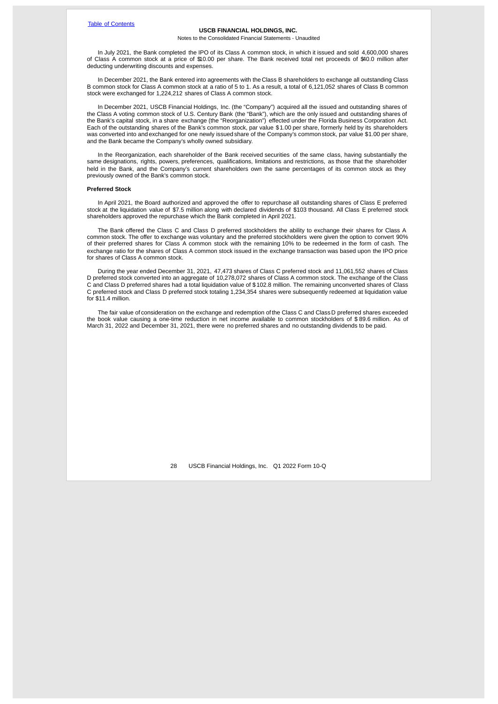Notes to the Consolidated Financial Statements - Unaudited

In July 2021, the Bank completed the IPO of its Class A common stock, in which it issued and sold 4,600,000 shares of Class A common stock at a price of \$10.00 per share. The Bank received total net proceeds of \$40.0 million after deducting underwriting discounts and expenses.

In December 2021, the Bank entered into agreements with the Class B shareholders to exchange all outstanding Class B common stock for Class A common stock at a ratio of 5 to 1. As a result, a total of 6,121,052 shares of Class B common stock were exchanged for 1,224,212 shares of Class A common stock.

In December 2021, USCB Financial Holdings, Inc. (the "Company") acquired all the issued and outstanding shares of the Class A voting common stock of U.S. Century Bank (the "Bank"), which are the only issued and outstanding shares of the Bank's capital stock, in a share exchange (the "Reorganization") effected under the Florida Business Corporation Act. Each of the outstanding shares of the Bank's common stock, par value \$1.00 per share, formerly held by its shareholders was converted into and exchanged for one newly issued share of the Company's common stock, par value \$1.00 per share, and the Bank became the Company's wholly owned subsidiary.

In the Reorganization, each shareholder of the Bank received securities of the same class, having substantially the same designations, rights, powers, preferences, qualifications, limitations and restrictions, as those that the shareholder held in the Bank, and the Company's current shareholders own the same percentages of its common stock as they previously owned of the Bank's common stock.

#### **Preferred Stock**

In April 2021, the Board authorized and approved the offer to repurchase all outstanding shares of Class E preferred stock at the liquidation value of \$7.5 million along with declared dividends of \$103 thousand. All Class E preferred stock shareholders approved the repurchase which the Bank completed in April 2021.

The Bank offered the Class C and Class D preferred stockholders the ability to exchange their shares for Class A common stock. The offer to exchange was voluntary and the preferred stockholders were given the option to convert 90% of their preferred shares for Class A common stock with the remaining 10% to be redeemed in the form of cash. The exchange ratio for the shares of Class A common stock issued in the exchange transaction was based upon the IPO price for shares of Class A common stock.

During the year ended December 31, 2021, 47,473 shares of Class C preferred stock and 11,061,552 shares of Class D preferred stock converted into an aggregate of 10,278,072 shares of Class A common stock. The exchange of the Class C and Class D preferred shares had a total liquidation value of \$ 102.8 million. The remaining unconverted shares of Class C preferred stock and Class D preferred stock totaling 1,234,354 shares were subsequently redeemed at liquidation value for \$11.4 million.

The fair value of consideration on the exchange and redemption of the Class C and Class D preferred shares exceeded the book value causing a one-time reduction in net income available to common stockholders of \$ 89.6 million. As of March 31, 2022 and December 31, 2021, there were no preferred shares and no outstanding dividends to be paid.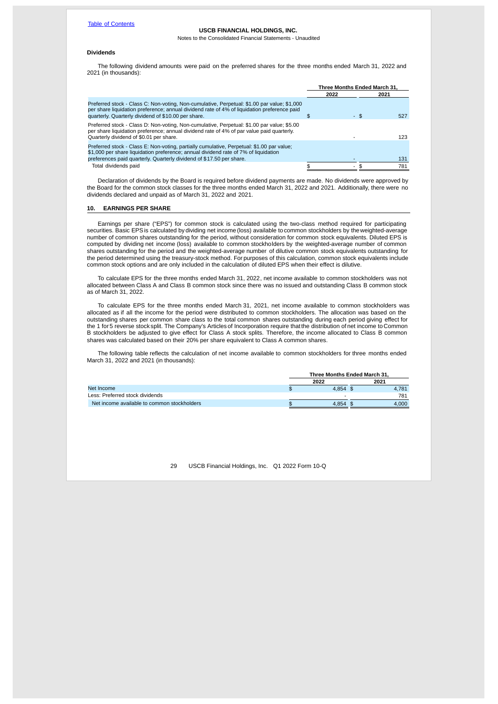# **USCB FINANCIAL HOLDINGS, INC.**

Notes to the Consolidated Financial Statements - Unaudited

# **Dividends**

The following dividend amounts were paid on the preferred shares for the three months ended March 31, 2022 and 2021 (in thousands):

|                                                                                                                                                                                                                                                          | Three Months Ended March 31. |      |      |
|----------------------------------------------------------------------------------------------------------------------------------------------------------------------------------------------------------------------------------------------------------|------------------------------|------|------|
|                                                                                                                                                                                                                                                          | 2022                         |      | 2021 |
| Preferred stock - Class C: Non-voting, Non-cumulative, Perpetual: \$1.00 par value; \$1,000<br>per share liquidation preference; annual dividend rate of 4% of liquidation preference paid<br>quarterly. Quarterly dividend of \$10.00 per share.        |                              | - \$ | 527  |
| Preferred stock - Class D: Non-voting, Non-cumulative, Perpetual: \$1.00 par value; \$5.00<br>per share liquidation preference; annual dividend rate of 4% of par value paid quarterly.<br>Quarterly dividend of \$0.01 per share.                       |                              |      | 123  |
| Preferred stock - Class E: Non-voting, partially cumulative, Perpetual: \$1.00 par value;<br>\$1,000 per share liquidation preference; annual dividend rate of 7% of liquidation<br>preferences paid quarterly. Quarterly dividend of \$17.50 per share. |                              |      | 131  |
| Total dividends paid                                                                                                                                                                                                                                     |                              |      | 781  |

Declaration of dividends by the Board is required before dividend payments are made. No dividends were approved by the Board for the common stock classes for the three months ended March 31, 2022 and 2021. Additionally, there were no dividends declared and unpaid as of March 31, 2022 and 2021.

### **10. EARNINGS PER SHARE**

Earnings per share ("EPS") for common stock is calculated using the two-class method required for participating securities. Basic EPSis calculated by dividing net income (loss) available to common stockholders by the weighted-average number of common shares outstanding for the period, without consideration for common stock equivalents. Diluted EPS is computed by dividing net income (loss) available to common stockholders by the weighted-average number of common shares outstanding for the period and the weighted-average number of dilutive common stock equivalents outstanding for the period determined using the treasury-stock method. For purposes of this calculation, common stock equivalents include common stock options and are only included in the calculation of diluted EPS when their effect is dilutive.

To calculate EPS for the three months ended March 31, 2022, net income available to common stockholders was not allocated between Class A and Class B common stock since there was no issued and outstanding Class B common stock as of March 31, 2022.

To calculate EPS for the three months ended March 31, 2021, net income available to common stockholders was allocated as if all the income for the period were distributed to common stockholders. The allocation was based on the outstanding shares per common share class to the total common shares outstanding during each period giving effect for the 1 for 5 reverse stock split. The Company's Articles of Incorporation require that the distribution of net income to Common B stockholders be adjusted to give effect for Class A stock splits. Therefore, the income allocated to Class B common shares was calculated based on their 20% per share equivalent to Class A common shares.

The following table reflects the calculation of net income available to common stockholders for three months ended March 31, 2022 and 2021 (in thousands):

|                                             | Three Months Ended March 31. |  |       |  |  |  |
|---------------------------------------------|------------------------------|--|-------|--|--|--|
|                                             | 2022                         |  | 2021  |  |  |  |
| Net Income                                  | $4.854$ \$                   |  | 4.781 |  |  |  |
| Less: Preferred stock dividends             | -                            |  | 781   |  |  |  |
| Net income available to common stockholders | 4.854                        |  | 4.000 |  |  |  |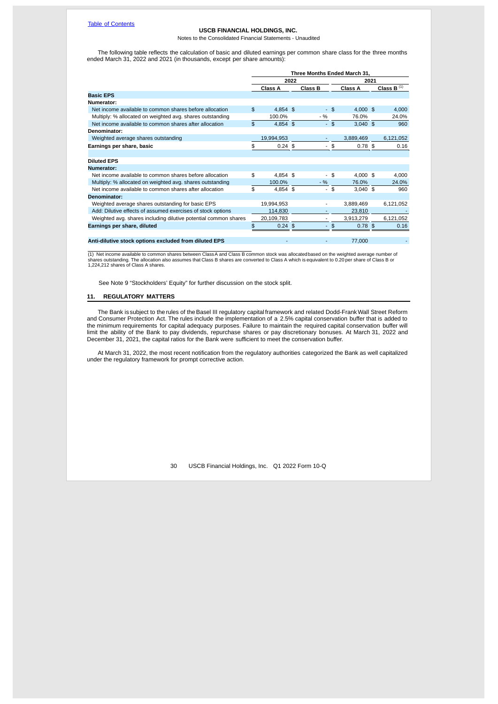# **USCB FINANCIAL HOLDINGS, INC.**

Notes to the Consolidated Financial Statements - Unaudited

The following table reflects the calculation of basic and diluted earnings per common share class for the three months ended March 31, 2022 and 2021 (in thousands, except per share amounts):

|                                                                 | Three Months Ended March 31, |                |      |                          |      |                |      |               |  |
|-----------------------------------------------------------------|------------------------------|----------------|------|--------------------------|------|----------------|------|---------------|--|
|                                                                 |                              |                | 2022 |                          |      |                | 2021 |               |  |
|                                                                 |                              | <b>Class A</b> |      | <b>Class B</b>           |      | <b>Class A</b> |      | Class B $(1)$ |  |
| <b>Basic EPS</b>                                                |                              |                |      |                          |      |                |      |               |  |
| Numerator:                                                      |                              |                |      |                          |      |                |      |               |  |
| Net income available to common shares before allocation         | \$                           | $4,854$ \$     |      |                          | - \$ | $4,000$ \$     |      | 4,000         |  |
| Multiply: % allocated on weighted avg. shares outstanding       |                              | 100.0%         |      | $-96$                    |      | 76.0%          |      | 24.0%         |  |
| Net income available to common shares after allocation          | \$                           | $4,854$ \$     |      |                          | $-5$ | $3,040$ \$     |      | 960           |  |
| Denominator:                                                    |                              |                |      |                          |      |                |      |               |  |
| Weighted average shares outstanding                             |                              | 19,994,953     |      |                          |      | 3,889,469      |      | 6,121,052     |  |
| Earnings per share, basic                                       | \$                           | $0.24$ \$      |      | $\overline{\phantom{a}}$ | \$   | $0.78$ \$      |      | 0.16          |  |
|                                                                 |                              |                |      |                          |      |                |      |               |  |
| <b>Diluted EPS</b>                                              |                              |                |      |                          |      |                |      |               |  |
| Numerator:                                                      |                              |                |      |                          |      |                |      |               |  |
| Net income available to common shares before allocation         | \$                           | 4,854 \$       |      | $\overline{\phantom{0}}$ | \$   | $4,000$ \$     |      | 4,000         |  |
| Multiply: % allocated on weighted avg. shares outstanding       |                              | 100.0%         |      | $-9/0$                   |      | 76.0%          |      | 24.0%         |  |
| Net income available to common shares after allocation          | \$                           | 4,854 \$       |      |                          | - \$ | $3,040$ \$     |      | 960           |  |
| Denominator:                                                    |                              |                |      |                          |      |                |      |               |  |
| Weighted average shares outstanding for basic EPS               |                              | 19,994,953     |      | ۰                        |      | 3,889,469      |      | 6,121,052     |  |
| Add: Dilutive effects of assumed exercises of stock options     |                              | 114,830        |      |                          |      | 23,810         |      |               |  |
| Weighted avg. shares including dilutive potential common shares |                              | 20,109,783     |      |                          |      | 3,913,279      |      | 6,121,052     |  |
| Earnings per share, diluted                                     |                              | $0.24$ \$      |      |                          | \$.  | $0.78$ \$      |      | 0.16          |  |
|                                                                 |                              |                |      |                          |      |                |      |               |  |
| Anti-dilutive stock options excluded from diluted EPS           |                              |                |      |                          |      | 77,000         |      |               |  |

(1) Net income available to common shares between ClassA and Class B common stock was allocatedbased on the weighted average number of<br>shares outstanding. The allocation also assumes that Class B shares are converted to Cl

See Note 9 "Stockholders' Equity" for further discussion on the stock split.

# **11. REGULATORY MATTERS**

The Bank is subject to the rules of the Basel III regulatory capital framework and related Dodd-Frank Wall Street Reform and Consumer Protection Act. The rules include the implementation of a 2.5% capital conservation buffer that is added to the minimum requirements for capital adequacy purposes. Failure to maintain the required capital conservation buffer will limit the ability of the Bank to pay dividends, repurchase shares or pay discretionary bonuses. At March 31, 2022 and December 31, 2021, the capital ratios for the Bank were sufficient to meet the conservation buffer.

At March 31, 2022, the most recent notification from the regulatory authorities categorized the Bank as well capitalized under the regulatory framework for prompt corrective action.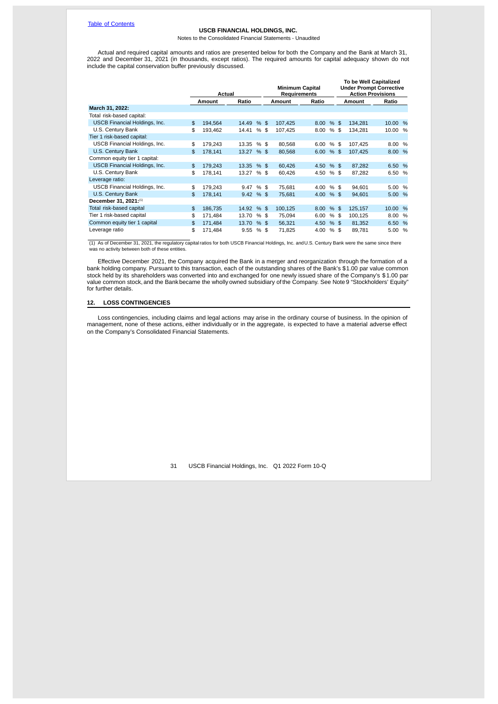Notes to the Consolidated Financial Statements - Unaudited

Actual and required capital amounts and ratios are presented below for both the Company and the Bank at March 31, 2022 and December 31, 2021 (in thousands, except ratios). The required amounts for capital adequacy shown do not include the capital conservation buffer previously discussed.

|                                      | Actual |         |       |               |      | <b>Minimum Capital</b><br><b>Requirements</b> |       |      | To be Well Capitalized<br><b>Under Prompt Corrective</b><br><b>Action Provisions</b> |         |        |               |
|--------------------------------------|--------|---------|-------|---------------|------|-----------------------------------------------|-------|------|--------------------------------------------------------------------------------------|---------|--------|---------------|
|                                      |        | Amount  |       | Ratio         |      | Amount                                        | Ratio |      | Amount                                                                               |         | Ratio  |               |
| March 31, 2022:                      |        |         |       |               |      |                                               |       |      |                                                                                      |         |        |               |
| Total risk-based capital:            |        |         |       |               |      |                                               |       |      |                                                                                      |         |        |               |
| <b>USCB Financial Holdings, Inc.</b> | \$     | 194.564 | 14.49 | %\$           |      | 107,425                                       | 8.00  | %\$  |                                                                                      | 134,281 | 10.00  | $\frac{0}{0}$ |
| U.S. Century Bank                    | \$     | 193,462 | 14.41 | $\%$          | \$   | 107,425                                       | 8.00  | $\%$ | \$                                                                                   | 134,281 | 10.00  | $\frac{0}{0}$ |
| Tier 1 risk-based capital:           |        |         |       |               |      |                                               |       |      |                                                                                      |         |        |               |
| <b>USCB Financial Holdings, Inc.</b> | \$     | 179.243 | 13.35 | %\$           |      | 80,568                                        | 6.00  | $\%$ | \$                                                                                   | 107.425 | 8.00   | $\frac{0}{0}$ |
| U.S. Century Bank                    | \$     | 178.141 | 13.27 | % \$          |      | 80,568                                        | 6.00  | $\%$ | \$                                                                                   | 107,425 | 8.00   | $\%$          |
| Common equity tier 1 capital:        |        |         |       |               |      |                                               |       |      |                                                                                      |         |        |               |
| <b>USCB Financial Holdings, Inc.</b> | \$     | 179.243 | 13.35 | %\$           |      | 60.426                                        | 4.50  | %\$  |                                                                                      | 87.282  | 6.50 % |               |
| U.S. Century Bank                    | \$     | 178.141 | 13.27 | % \$          |      | 60,426                                        | 4.50  | %\$  |                                                                                      | 87,282  | 6.50 % |               |
| Leverage ratio:                      |        |         |       |               |      |                                               |       |      |                                                                                      |         |        |               |
| <b>USCB Financial Holdings, Inc.</b> | \$     | 179.243 | 9.47  | %\$           |      | 75.681                                        | 4.00  | %\$  |                                                                                      | 94.601  | 5.00   | $\frac{0}{0}$ |
| U.S. Century Bank                    | \$     | 178,141 | 9.42  | %\$           |      | 75,681                                        | 4.00  | %\$  |                                                                                      | 94,601  | 5.00   | $\%$          |
| December 31, 2021:(1)                |        |         |       |               |      |                                               |       |      |                                                                                      |         |        |               |
| Total risk-based capital             | \$     | 186.735 | 14.92 | %\$           |      | 100,125                                       | 8.00  | %\$  |                                                                                      | 125,157 | 10.00  | $\frac{0}{0}$ |
| Tier 1 risk-based capital            | \$     | 171.484 | 13.70 | %\$           |      | 75,094                                        | 6.00  | %\$  |                                                                                      | 100,125 | 8.00   | $\frac{0}{0}$ |
| Common equity tier 1 capital         | \$     | 171,484 | 13.70 | $\frac{0}{0}$ | - \$ | 56,321                                        | 4.50  | %\$  |                                                                                      | 81,352  | 6.50   | $\frac{0}{0}$ |
| Leverage ratio                       | \$     | 171.484 | 9.55  | % \$          |      | 71.825                                        | 4.00  | %    | \$                                                                                   | 89.781  | 5.00   | $\frac{0}{0}$ |

(1) As of December 31, 2021, the regulatory capital ratios for both USCB Financial Holdings, Inc. andU.S. Century Bank were the same since there was no activity between both of these entities.

Effective December 2021, the Company acquired the Bank in a merger and reorganization through the formation of a bank holding company. Pursuant to this transaction, each of the outstanding shares of the Bank's \$1.00 par value common stock held by its shareholders was converted into and exchanged for one newly issued share of the Company's \$1.00 par value common stock, and the Bank became the wholly owned subsidiary of the Company. See Note 9 "Stockholders' Equity" for further details.

# **12. LOSS CONTINGENCIES**

Loss contingencies, including claims and legal actions may arise in the ordinary course of business. In the opinion of management, none of these actions, either individually or in the aggregate, is expected to have a material adverse effect on the Company's Consolidated Financial Statements.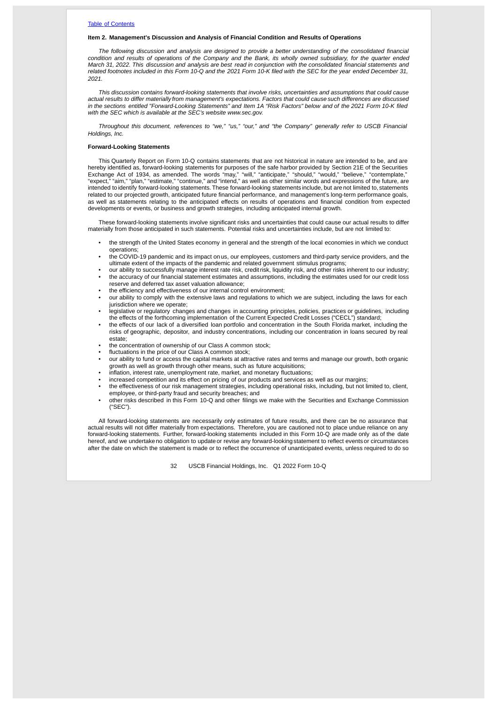### <span id="page-31-0"></span>**Item 2. Management's Discussion and Analysis of Financial Condition and Results of Operations**

The following discussion and analysis are designed to provide a better understanding of the consolidated financial condition and results of operations of the Company and the Bank, its wholly owned subsidiary, for the quarter ended March 31, 2022. This discussion and analysis are best read in conjunction with the consolidated financial statements and related footnotes included in this Form 10-Q and the 2021 Form 10-K filed with the SEC for the year ended December 31, *2021.*

*This discussion contains forward-looking statements that involve risks, uncertainties and assumptions that could cause* actual results to differ materially from management's expectations. Factors that could cause such differences are discussed and the sections entitled "Forward-Looking Statements" and Item 1A "Risk Factors" below and of the 2021 Form 10-K filed *with the SEC which is available at the SEC's website www.sec.gov.*

*Throughout this document, references to "we," "us," "our," and "the Company" generally refer to USCB Financial Holdings, Inc.*

#### **Forward-Looking Statements**

This Quarterly Report on Form 10-Q contains statements that are not historical in nature are intended to be, and are hereby identified as, forward-looking statements for purposes of the safe harbor provided by Section 21E of the Securities Exchange Act of 1934, as amended. The words "may," "will," "anticipate," "should," "would," "believe," "contemplate," "expect," "aim," "plan," "estimate," "continue," and "intend," as well as other similar words and expressions of the future, are intended to identify forward-looking statements.These forward-looking statements include, but are not limited to, statements related to our projected growth, anticipated future financial performance, and management's long-term performance goals, as well as statements relating to the anticipated effects on results of operations and financial condition from expected developments or events, or business and growth strategies, including anticipated internal growth.

These forward-looking statements involve significant risks and uncertainties that could cause our actual results to differ materially from those anticipated in such statements. Potential risks and uncertainties include, but are not limited to:

- the strength of the United States economy in general and the strength of the local economies in which we conduct operations;
- the COVID-19 pandemic and its impact on us, our employees, customers and third-party service providers, and the
- ultimate extent of the impacts of the pandemic and related government stimulus programs; • our ability to successfully manage interest rate risk, creditrisk, liquidity risk, and other risks inherent to our industry;
- the accuracy of our financial statement estimates and assumptions, including the estimates used for our credit loss reserve and deferred tax asset valuation allowance;
- the efficiency and effectiveness of our internal control environment;
- our ability to comply with the extensive laws and regulations to which we are subject, including the laws for each jurisdiction where we operate;
- legislative or regulatory changes and changes in accounting principles, policies, practices or guidelines, including the effects of the forthcoming implementation of the Current Expected Credit Losses ("CECL") standard;
- the effects of our lack of a diversified loan portfolio and concentration in the South Florida market, including the risks of geographic, depositor, and industry concentrations, including our concentration in loans secured by real estate;
- the concentration of ownership of our Class A common stock;
- fluctuations in the price of our Class A common stock;
- our ability to fund or access the capital markets at attractive rates and terms and manage our growth, both organic growth as well as growth through other means, such as future acquisitions;
- inflation, interest rate, unemployment rate, market, and monetary fluctuations;
- increased competition and its effect on pricing of our products and services as well as our margins;
- the effectiveness of our risk management strategies, including operational risks, including, but not limited to, client, employee, or third-party fraud and security breaches; and
- other risks described in this Form 10-Q and other filings we make with the Securities and Exchange Commission ("SEC").

All forward-looking statements are necessarily only estimates of future results, and there can be no assurance that actual results will not differ materially from expectations. Therefore, you are cautioned not to place undue reliance on any forward-looking statements. Further, forward-looking statements included in this Form 10-Q are made only as of the date hereof, and we undertake no obligation to update or revise any forward-looking statement to reflect events or circumstances after the date on which the statement is made or to reflect the occurrence of unanticipated events, unless required to do so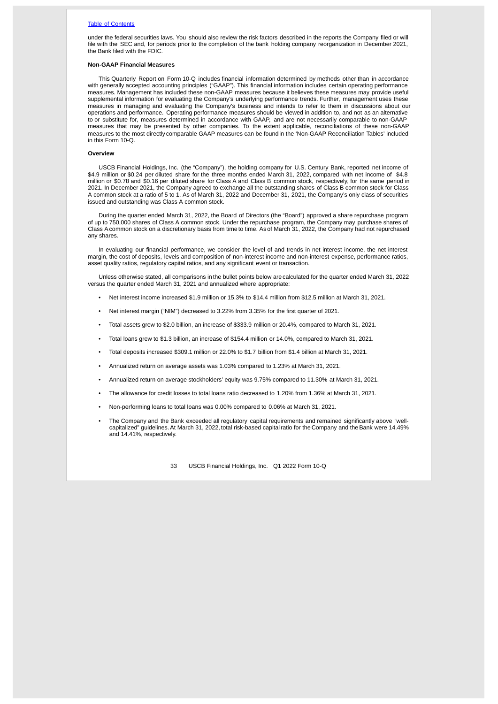under the federal securities laws. You should also review the risk factors described in the reports the Company filed or will file with the SEC and, for periods prior to the completion of the bank holding company reorganization in December 2021, the Bank filed with the FDIC.

#### **Non-GAAP Financial Measures**

This Quarterly Report on Form 10-Q includes financial information determined by methods other than in accordance with generally accepted accounting principles ("GAAP"). This financial information includes certain operating performance measures. Management has included these non-GAAP measures because it believes these measures may provide useful supplemental information for evaluating the Company's underlying performance trends. Further, management uses these measures in managing and evaluating the Company's business and intends to refer to them in discussions about our operations and performance. Operating performance measures should be viewed in addition to, and not as an alternative to or substitute for, measures determined in accordance with GAAP, and are not necessarily comparable to non-GAAP measures that may be presented by other companies. To the extent applicable, reconciliations of these non-GAAP measures to the most directly comparable GAAP measures can be found in the 'Non-GAAP Reconciliation Tables' included in this Form 10-Q.

### **Overview**

USCB Financial Holdings, Inc. (the "Company"), the holding company for U.S. Century Bank, reported net income of \$4.9 million or \$0.24 per diluted share for the three months ended March 31, 2022, compared with net income of \$4.8 million or \$0.78 and \$0.16 per diluted share for Class A and Class B common stock, respectively, for the same period in 2021. In December 2021, the Company agreed to exchange all the outstanding shares of Class B common stock for Class A common stock at a ratio of 5 to 1. As of March 31, 2022 and December 31, 2021, the Company's only class of securities issued and outstanding was Class A common stock.

During the quarter ended March 31, 2022, the Board of Directors (the "Board") approved a share repurchase program of up to 750,000 shares of Class A common stock. Under the repurchase program, the Company may purchase shares of Class Acommon stock on a discretionary basis from time to time. As of March 31, 2022, the Company had not repurchased any shares.

In evaluating our financial performance, we consider the level of and trends in net interest income, the net interest margin, the cost of deposits, levels and composition of non-interest income and non-interest expense, performance ratios, asset quality ratios, regulatory capital ratios, and any significant event or transaction.

Unless otherwise stated, all comparisons in the bullet points below are calculated for the quarter ended March 31, 2022 versus the quarter ended March 31, 2021 and annualized where appropriate:

- Net interest income increased \$1.9 million or 15.3% to \$14.4 million from \$12.5 million at March 31, 2021.
- Net interest margin ("NIM") decreased to 3.22% from 3.35% for the first quarter of 2021.
- Total assets grew to \$2.0 billion, an increase of \$333.9 million or 20.4%, compared to March 31, 2021.
- Total loans grew to \$1.3 billion, an increase of \$154.4 million or 14.0%, compared to March 31, 2021.
- Total deposits increased \$309.1 million or 22.0% to \$1.7 billion from \$1.4 billion at March 31, 2021.
- Annualized return on average assets was 1.03% compared to 1.23% at March 31, 2021.
- Annualized return on average stockholders' equity was 9.75% compared to 11.30% at March 31, 2021.
- The allowance for credit losses to total loans ratio decreased to 1.20% from 1.36% at March 31, 2021.
- Non-performing loans to total loans was 0.00% compared to 0.06% at March 31, 2021.
- The Company and the Bank exceeded all regulatory capital requirements and remained significantly above "wellcapitalized" guidelines.At March 31, 2022, total risk-based capitalratio for the Company and theBank were 14.49% and 14.41%, respectively.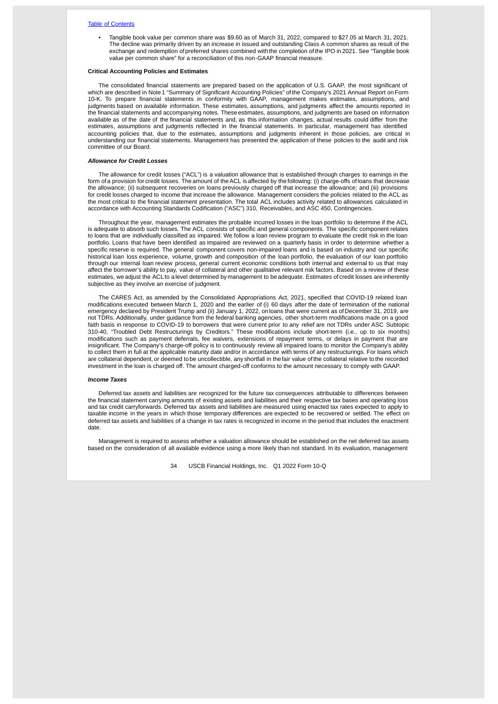• Tangible book value per common share was \$9.60 as of March 31, 2022, compared to \$27.05 at March 31, 2021. The decline was primarily driven by an increase in issued and outstanding Class A common shares as result of the exchange and redemption of preferred shares combined with the completion of the IPO in 2021. See "Tangible book value per common share" for a reconciliation of this non-GAAP financial measure.

#### **Critical Accounting Policies and Estimates**

The consolidated financial statements are prepared based on the application of U.S. GAAP, the most significant of which are described in Note 1 "Summary of Significant Accounting Policies" of the Company's 2021 Annual Report onForm 10-K. To prepare financial statements in conformity with GAAP, management makes estimates, assumptions, and judgments based on available information. These estimates, assumptions, and judgments affect the amounts reported in the financial statements and accompanying notes. These estimates, assumptions, and judgments are based on information available as of the date of the financial statements and, as this information changes, actual results could differ from the estimates, assumptions and judgments reflected in the financial statements. In particular, management has identified accounting policies that, due to the estimates, assumptions and judgments inherent in those policies, are critical in understanding our financial statements. Management has presented the application of these policies to the audit and risk committee of our Board.

### *Allowance for Credit Losses*

The allowance for credit losses ("ACL") is a valuation allowance that is established through charges to earnings in the form of a provision for credit losses. The amount of theACL is affected by the following: (i) charge-offs of loans that decrease the allowance; (ii) subsequent recoveries on loans previously charged off that increase the allowance; and (iii) provisions for credit losses charged to income that increase the allowance. Management considers the policies related to the ACL as the most critical to the financial statement presentation. The total ACL includes activity related to allowances calculated in accordance with Accounting Standards Codification ("ASC") 310, Receivables, and ASC 450, Contingencies.

Throughout the year, management estimates the probable incurred losses in the loan portfolio to determine if the ACL is adequate to absorb such losses. The ACL consists of specific and general components. The specific component relates to loans that are individually classified as impaired. We follow a loan review program to evaluate the credit risk in the loan portfolio. Loans that have been identified as impaired are reviewed on a quarterly basis in order to determine whether a specific reserve is required. The general component covers non-impaired loans and is based on industry and our specific historical loan loss experience, volume, growth and composition of the loan portfolio, the evaluation of our loan portfolio through our internal loan review process, general current economic conditions both internal and external to us that may affect the borrower's ability to pay, value of collateral and other qualitative relevant risk factors. Based on a review of these estimates, we adjust the ACL to a level determined by management to be adequate. Estimates of credit losses are inherently subjective as they involve an exercise of judgment.

The CARES Act, as amended by the Consolidated Appropriations Act, 2021, specified that COVID-19 related loan modifications executed between March 1, 2020 and the earlier of (i) 60 days after the date of termination of the national emergency declared by President Trump and (ii) January 1, 2022, on loans that were current as of December 31, 2019, are not TDRs. Additionally, under guidance from the federal banking agencies, other short-term modifications made on a good faith basis in response to COVID-19 to borrowers that were current prior to any relief are not TDRs under ASC Subtopic 310-40, "Troubled Debt Restructurings by Creditors." These modifications include short-term (i.e., up to six months) modifications such as payment deferrals, fee waivers, extensions of repayment terms, or delays in payment that are insignificant. The Company's charge-off policy is to continuously review all impaired loans to monitor the Company's ability to collect them in full at the applicable maturity date and/or in accordance with terms of any restructurings. For loans which are collateral dependent, or deemed to be uncollectible, any shortfall in the fair value of the collateral relative to the recorded investment in the loan is charged off. The amount charged-off conforms to the amount necessary to comply with GAAP.

# *Income Taxes*

Deferred tax assets and liabilities are recognized for the future tax consequences attributable to differences between the financial statement carrying amounts of existing assets and liabilities and their respective tax bases and operating loss and tax credit carryforwards. Deferred tax assets and liabilities are measured using enacted tax rates expected to apply to taxable income in the years in which those temporary differences are expected to be recovered or settled. The effect on deferred tax assets and liabilities of a change in tax rates is recognized in income in the period that includes the enactment date.

Management is required to assess whether a valuation allowance should be established on the net deferred tax assets based on the consideration of all available evidence using a more likely than not standard. In its evaluation, management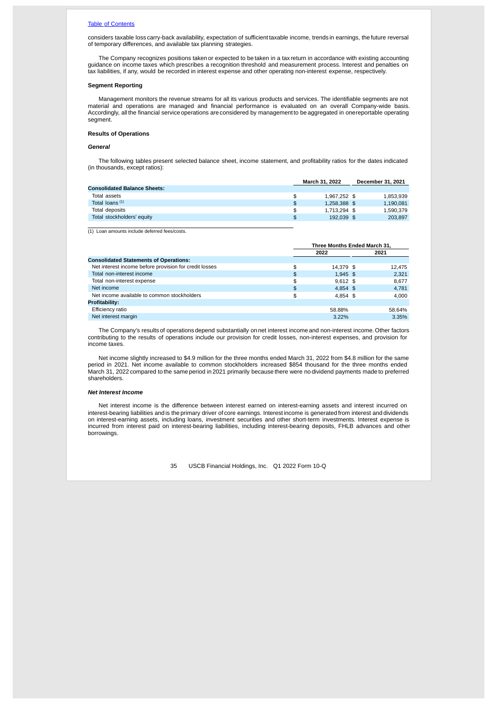considers taxable loss carry-back availability, expectation of sufficient taxable income, trends in earnings, the future reversal of temporary differences, and available tax planning strategies.

The Company recognizes positions taken or expected to be taken in a tax return in accordance with existing accounting guidance on income taxes which prescribes a recognition threshold and measurement process. Interest and penalties on tax liabilities, if any, would be recorded in interest expense and other operating non-interest expense, respectively.

#### **Segment Reporting**

Management monitors the revenue streams for all its various products and services. The identifiable segments are not material and operations are managed and financial performance is evaluated on an overall Company-wide basis. Accordingly, all the financial service operations are considered by management to be aggregated in onereportable operating segment.

# **Results of Operations**

#### *General*

The following tables present selected balance sheet, income statement, and profitability ratios for the dates indicated (in thousands, except ratios):

|                                     | <b>March 31, 2022</b> | December 31, 2021 |
|-------------------------------------|-----------------------|-------------------|
| <b>Consolidated Balance Sheets:</b> |                       |                   |
| Total assets                        | \$<br>1.967.252 \$    | 1.853.939         |
| Total loans (1)                     | \$<br>1.258.388 \$    | 1,190,081         |
| Total deposits                      | \$<br>1.713.294 \$    | 1.590.379         |
| Total stockholders' equity          | \$<br>192.039 \$      | 203.897           |

(1) Loan amounts include deferred fees/costs.

|    |          | 2021 |                                                                                                   |
|----|----------|------|---------------------------------------------------------------------------------------------------|
|    |          |      |                                                                                                   |
| \$ |          |      | 12,475                                                                                            |
| \$ |          |      | 2,321                                                                                             |
| \$ |          |      | 8,677                                                                                             |
| \$ |          |      | 4,781                                                                                             |
| \$ |          |      | 4.000                                                                                             |
|    |          |      |                                                                                                   |
|    | 58.88%   |      | 58.64%                                                                                            |
|    | $3.22\%$ |      | 3.35%                                                                                             |
|    |          | 2022 | Three Months Ended March 31,<br>14,379 \$<br>$1.945$ \$<br>$9.612$ \$<br>$4.854$ \$<br>$4.854$ \$ |

The Company's results of operations depend substantially on net interest income and non-interest income. Other factors contributing to the results of operations include our provision for credit losses, non-interest expenses, and provision for income taxes.

Net income slightly increased to \$4.9 million for the three months ended March 31, 2022 from \$4.8 million for the same period in 2021. Net income available to common stockholders increased \$854 thousand for the three months ended March 31, 2022 compared to the same period in 2021 primarily because there were no dividend payments made to preferred shareholders.

### *Net Interest Income*

Net interest income is the difference between interest earned on interest-earning assets and interest incurred on interest-bearing liabilities and is the primary driver of core earnings. Interest income is generated from interest and dividends on interest-earning assets, including loans, investment securities and other short-term investments. Interest expense is incurred from interest paid on interest-bearing liabilities, including interest-bearing deposits, FHLB advances and other borrowings.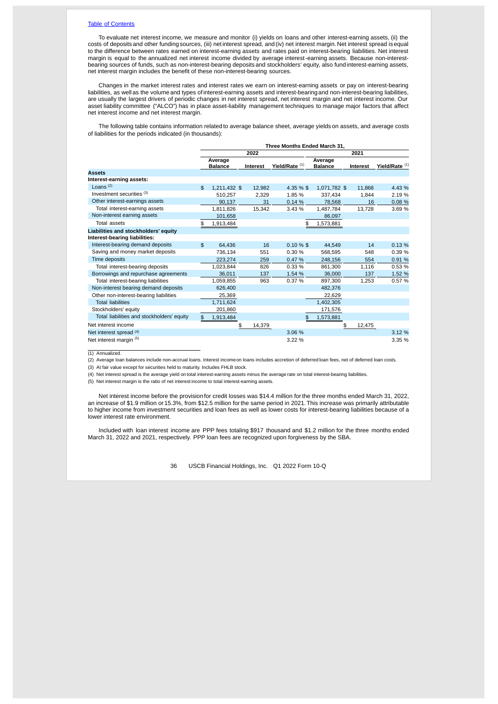To evaluate net interest income, we measure and monitor (i) yields on loans and other interest-earning assets, (ii) the costs of deposits and other funding sources, (iii) net interest spread, and (iv) net interest margin. Net interest spread is equal to the difference between rates earned on interest-earning assets and rates paid on interest-bearing liabilities. Net interest margin is equal to the annualized net interest income divided by average interest-earning assets. Because non-interestbearing sources of funds, such as non-interest-bearing deposits and stockholders' equity, also fund interest-earning assets, net interest margin includes the benefit of these non-interest-bearing sources.

Changes in the market interest rates and interest rates we earn on interest-earning assets or pay on interest-bearing liabilities, as well as the volume and types of interest-earning assets and interest-bearing and non-interest-bearing liabilities, are usually the largest drivers of periodic changes in net interest spread, net interest margin and net interest income. Our asset liability committee ("ALCO") has in place asset-liability management techniques to manage major factors that affect net interest income and net interest margin.

The following table contains information related to average balance sheet, average yields on assets, and average costs of liabilities for the periods indicated (in thousands):

|                                            | Three Months Ended March 31. |                |                 |                           |                |                 |                           |  |  |  |  |
|--------------------------------------------|------------------------------|----------------|-----------------|---------------------------|----------------|-----------------|---------------------------|--|--|--|--|
|                                            |                              |                | 2022            |                           |                | 2021            |                           |  |  |  |  |
|                                            |                              | Average        |                 |                           | Average        |                 |                           |  |  |  |  |
|                                            |                              | <b>Balance</b> | <b>Interest</b> | Yield/Rate <sup>(1)</sup> | <b>Balance</b> | <b>Interest</b> | Yield/Rate <sup>(1)</sup> |  |  |  |  |
| <b>Assets</b>                              |                              |                |                 |                           |                |                 |                           |  |  |  |  |
| Interest-earning assets:                   |                              |                |                 |                           |                |                 |                           |  |  |  |  |
| Loans $(2)$                                | $\mathfrak{L}$               | 1.211.432 \$   | 12.982          | 4.35 % \$                 | 1,071,782 \$   | 11.868          | 4.43 %                    |  |  |  |  |
| Investment securities (3)                  |                              | 510.257        | 2.329           | 1.85 %                    | 337.434        | 1.844           | 2.19 %                    |  |  |  |  |
| Other interest-earnings assets             |                              | 90,137         | 31              | 0.14%                     | 78,568         | 16              | 0.08%                     |  |  |  |  |
| Total interest-earning assets              |                              | 1,811,826      | 15,342          | 3.43 %                    | 1,487,784      | 13,728          | 3.69 %                    |  |  |  |  |
| Non-interest earning assets                |                              | 101,658        |                 |                           | 86,097         |                 |                           |  |  |  |  |
| <b>Total assets</b>                        | \$                           | 1,913,484      |                 | \$                        | 1,573,881      |                 |                           |  |  |  |  |
| Liabilities and stockholders' equity       |                              |                |                 |                           |                |                 |                           |  |  |  |  |
| Interest-bearing liabilities:              |                              |                |                 |                           |                |                 |                           |  |  |  |  |
| Interest-bearing demand deposits           | $\mathfrak{L}$               | 64.436         | 16              | $0.10 \%$ \$              | 44.549         | 14              | 0.13%                     |  |  |  |  |
| Saving and money market deposits           |                              | 736.134        | 551             | 0.30 %                    | 568.595        | 548             | 0.39 %                    |  |  |  |  |
| Time deposits                              |                              | 223.274        | 259             | 0.47%                     | 248.156        | 554             | 0.91%                     |  |  |  |  |
| Total interest-bearing deposits            |                              | 1.023.844      | 826             | 0.33%                     | 861.300        | 1,116           | 0.53 %                    |  |  |  |  |
| Borrowings and repurchase agreements       |                              | 36.011         | 137             | 1.54 %                    | 36.000         | 137             | 1.52 %                    |  |  |  |  |
| Total interest-bearing liabilities         |                              | 1.059.855      | 963             | 0.37 %                    | 897.300        | 1,253           | 0.57 %                    |  |  |  |  |
| Non-interest bearing demand deposits       |                              | 626.400        |                 |                           | 482.376        |                 |                           |  |  |  |  |
| Other non-interest-bearing liabilities     |                              | 25,369         |                 |                           | 22,629         |                 |                           |  |  |  |  |
| <b>Total liabilities</b>                   |                              | 1,711,624      |                 |                           | 1,402,305      |                 |                           |  |  |  |  |
| Stockholders' equity                       |                              | 201,860        |                 |                           | 171,576        |                 |                           |  |  |  |  |
| Total liabilities and stockholders' equity | \$                           | 1,913,484      |                 | \$                        | 1,573,881      |                 |                           |  |  |  |  |
| Net interest income                        |                              |                | 14,379          |                           |                | 12,475<br>\$    |                           |  |  |  |  |
| Net interest spread (4)                    |                              |                |                 | 3.06 %                    |                |                 | 3.12 %                    |  |  |  |  |
| Net interest margin (5)                    |                              |                |                 | 3.22 %                    |                |                 | 3.35 %                    |  |  |  |  |

(1) Annualized.

(2) Average loan balances include non-accrual loans. Interest incomeon loans includes accretion of deferred loan fees, net of deferred loan costs.

(3) At fair value except for securities held to maturity. Includes FHLB stock.

(4) Net interest spread is the average yield on total interest-earning assets minus the average rate on total interest-bearing liabilities.

(5) Net interest margin is the ratio of net interest income to total interest-earning assets.

Net interest income before the provision for credit losses was \$14.4 million forthe three months ended March 31, 2022, an increase of \$1.9 million or 15.3%, from \$12.5 million forthe same period in 2021.This increase was primarily attributable to higher income from investment securities and loan fees as well as lower costs for interest-bearing liabilities because of a lower interest rate environment.

Included with loan interest income are PPP fees totaling \$917 thousand and \$1.2 million for the three months ended March 31, 2022 and 2021, respectively. PPP loan fees are recognized upon forgiveness by the SBA.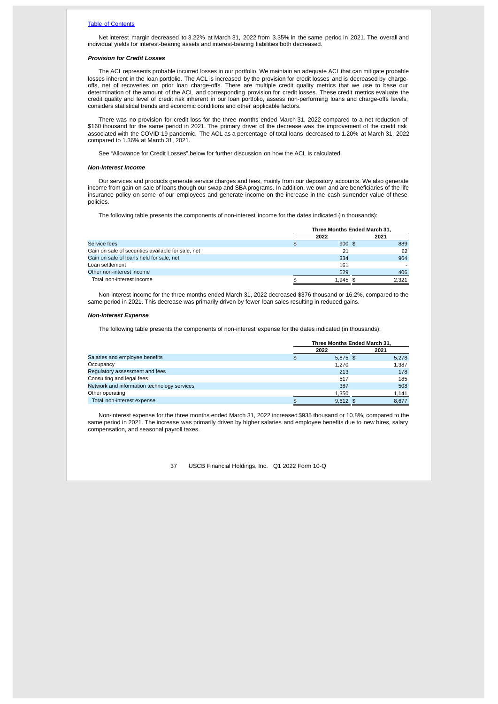Net interest margin decreased to 3.22% at March 31, 2022 from 3.35% in the same period in 2021. The overall and individual yields for interest-bearing assets and interest-bearing liabilities both decreased.

# *Provision for Credit Losses*

The ACL represents probable incurred losses in our portfolio. We maintain an adequate ACL that can mitigate probable losses inherent in the loan portfolio. The ACL is increased by the provision for credit losses and is decreased by chargeoffs, net of recoveries on prior loan charge-offs. There are multiple credit quality metrics that we use to base our determination of the amount of the ACL and corresponding provision for credit losses. These credit metrics evaluate the credit quality and level of credit risk inherent in our loan portfolio, assess non-performing loans and charge-offs levels, considers statistical trends and economic conditions and other applicable factors.

There was no provision for credit loss for the three months ended March 31, 2022 compared to a net reduction of \$160 thousand for the same period in 2021. The primary driver of the decrease was the improvement of the credit risk associated with the COVID-19 pandemic. The ACL as a percentage of total loans decreased to 1.20% at March 31, 2022 compared to 1.36% at March 31, 2021.

See "Allowance for Credit Losses" below for further discussion on how the ACL is calculated.

#### *Non-Interest Income*

Our services and products generate service charges and fees, mainly from our depository accounts. We also generate income from gain on sale of loans though our swap and SBAprograms. In addition, we own and are beneficiaries of the life insurance policy on some of our employees and generate income on the increase in the cash surrender value of these policies.

The following table presents the components of non-interest income for the dates indicated (in thousands):

|                                                    | Three Months Ended March 31, |       |
|----------------------------------------------------|------------------------------|-------|
|                                                    | 2022                         | 2021  |
| Service fees                                       | \$<br>$900$ \$               | 889   |
| Gain on sale of securities available for sale, net | 21                           | 62    |
| Gain on sale of loans held for sale, net           | 334                          | 964   |
| Loan settlement                                    | 161                          |       |
| Other non-interest income                          | 529                          | 406   |
| Total non-interest income                          | $1.945$ \$                   | 2.321 |

Non-interest income for the three months ended March 31, 2022 decreased \$376 thousand or 16.2%, compared to the same period in 2021. This decrease was primarily driven by fewer loan sales resulting in reduced gains.

#### *Non-Interest Expense*

The following table presents the components of non-interest expense for the dates indicated (in thousands):

|                                             | Three Months Ended March 31, |       |  |  |  |  |  |  |
|---------------------------------------------|------------------------------|-------|--|--|--|--|--|--|
|                                             | 2022                         | 2021  |  |  |  |  |  |  |
| Salaries and employee benefits              | \$<br>$5,875$ \$             | 5,278 |  |  |  |  |  |  |
| Occupancy                                   | 1,270                        | 1,387 |  |  |  |  |  |  |
| Regulatory assessment and fees              | 213                          | 178   |  |  |  |  |  |  |
| Consulting and legal fees                   | 517                          | 185   |  |  |  |  |  |  |
| Network and information technology services | 387                          | 508   |  |  |  |  |  |  |
| Other operating                             | 1,350                        | 1,141 |  |  |  |  |  |  |
| Total non-interest expense                  | \$<br>$9.612$ \$             | 8.677 |  |  |  |  |  |  |

Non-interest expense for the three months ended March 31, 2022 increased \$935 thousand or 10.8%, compared to the same period in 2021. The increase was primarily driven by higher salaries and employee benefits due to new hires, salary compensation, and seasonal payroll taxes.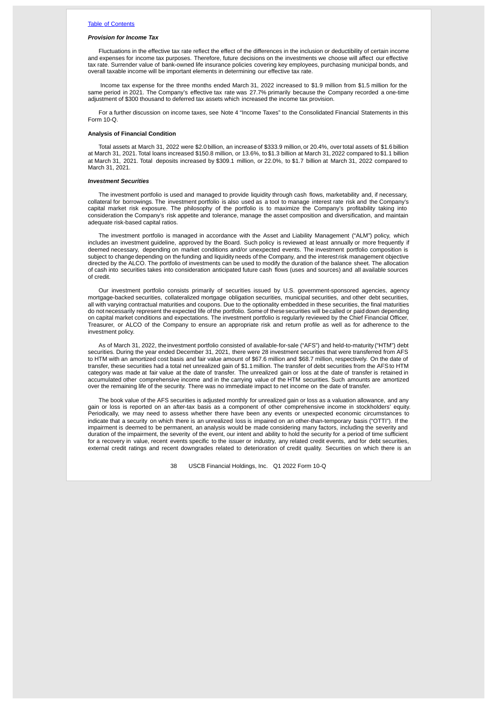### *Provision for Income Tax*

Fluctuations in the effective tax rate reflect the effect of the differences in the inclusion or deductibility of certain income and expenses for income tax purposes. Therefore, future decisions on the investments we choose will affect our effective tax rate. Surrender value of bank-owned life insurance policies covering key employees, purchasing municipal bonds, and overall taxable income will be important elements in determining our effective tax rate.

Income tax expense for the three months ended March 31, 2022 increased to \$1.9 million from \$1.5 million for the same period in 2021. The Company's effective tax rate was 27.7% primarily because the Company recorded a one-time adjustment of \$300 thousand to deferred tax assets which increased the income tax provision.

For a further discussion on income taxes, see Note 4 "Income Taxes" to the Consolidated Financial Statements in this Form 10-Q.

# **Analysis of Financial Condition**

Total assets at March 31, 2022 were \$2.0 billion, an increase of \$333.9 million, or 20.4%, overtotal assets of \$1.6 billion at March 31, 2021.Total loans increased \$150.8 million, or 13.6%, to \$1.3 billion at March 31, 2022 compared to \$1.1 billion at March 31, 2021. Total deposits increased by \$309.1 million, or 22.0%, to \$1.7 billion at March 31, 2022 compared to March 31, 2021.

#### *Investment Securities*

The investment portfolio is used and managed to provide liquidity through cash flows, marketability and, if necessary, collateral for borrowings. The investment portfolio is also used as a tool to manage interest rate risk and the Company's capital market risk exposure. The philosophy of the portfolio is to maximize the Company's profitability taking into consideration the Company's risk appetite and tolerance, manage the asset composition and diversification, and maintain adequate risk-based capital ratios.

The investment portfolio is managed in accordance with the Asset and Liability Management ("ALM") policy, which includes an investment guideline, approved by the Board. Such policy is reviewed at least annually or more frequently if deemed necessary, depending on market conditions and/or unexpected events. The investment portfolio composition is subject to change depending on the funding and liquidity needs of the Company, and the interestrisk management objective directed by the ALCO. The portfolio of investments can be used to modify the duration of the balance sheet. The allocation of cash into securities takes into consideration anticipated future cash flows (uses and sources) and all available sources of credit.

Our investment portfolio consists primarily of securities issued by U.S. government-sponsored agencies, agency mortgage-backed securities, collateralized mortgage obligation securities, municipal securities, and other debt securities, all with varying contractual maturities and coupons. Due to the optionality embedded in these securities, the final maturities do not necessarily represent the expected life of the portfolio. Some of these securities will be called or paid down depending on capital market conditions and expectations. The investment portfolio is regularly reviewed by the Chief Financial Officer, Treasurer, or ALCO of the Company to ensure an appropriate risk and return profile as well as for adherence to the investment policy.

As of March 31, 2022, the investment portfolio consisted of available-for-sale ("AFS") and held-to-maturity ("HTM") debt securities. During the year ended December 31, 2021, there were 28 investment securities that were transferred from AFS to HTM with an amortized cost basis and fair value amount of \$67.6 million and \$68.7 million, respectively. On the date of transfer, these securities had a total net unrealized gain of \$1.1 million. The transfer of debt securities from the AFSto HTM category was made at fair value at the date of transfer. The unrealized gain or loss at the date of transfer is retained in accumulated other comprehensive income and in the carrying value of the HTM securities. Such amounts are amortized over the remaining life of the security. There was no immediate impact to net income on the date of transfer.

The book value of the AFS securities is adjusted monthly for unrealized gain or loss as a valuation allowance, and any gain or loss is reported on an after-tax basis as a component of other comprehensive income in stockholders' equity. Periodically, we may need to assess whether there have been any events or unexpected economic circumstances to indicate that a security on which there is an unrealized loss is impaired on an other-than-temporary basis ("OTTI"). If the impairment is deemed to be permanent, an analysis would be made considering many factors, including the severity and duration of the impairment, the severity of the event, our intent and ability to hold the security for a period of time sufficient for a recovery in value, recent events specific to the issuer or industry, any related credit events, and for debt securities, external credit ratings and recent downgrades related to deterioration of credit quality. Securities on which there is an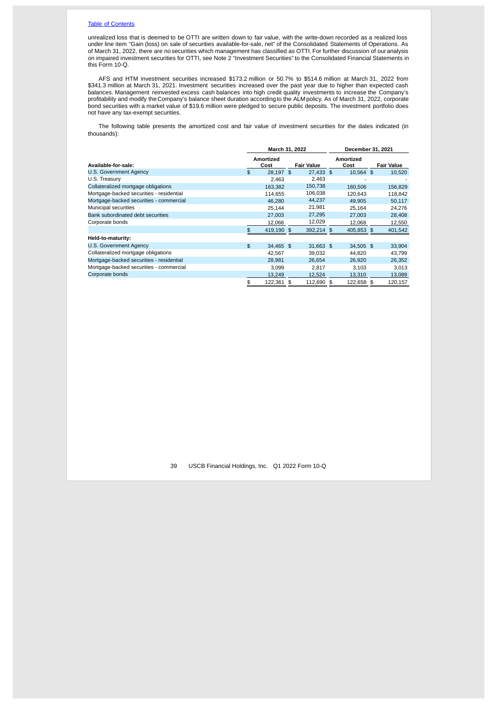unrealized loss that is deemed to be OTTI are written down to fair value, with the write-down recorded as a realized loss under line item "Gain (loss) on sale of securities available-for-sale, net" of the Consolidated Statements of Operations. As of March 31, 2022, there are no securities which management has classified as OTTI.For further discussion of our analysis on impaired investment securities for OTTI, see Note 2 "Investment Securities" to the Consolidated Financial Statements in this Form 10-Q.

AFS and HTM investment securities increased \$173.2 million or 50.7% to \$514.6 million at March 31, 2022 from \$341.3 million at March 31, 2021. Investment securities increased over the past year due to higher than expected cash balances. Management reinvested excess cash balances into high credit quality investments to increase the Company's profitability and modify the Company's balance sheet duration according to the ALM policy. As of March 31, 2022, corporate bond securities with a market value of \$19.6 million were pledged to secure public deposits. The investment portfolio does not have any tax-exempt securities.

The following table presents the amortized cost and fair value of investment securities for the dates indicated (in thousands):

|                                          | March 31, 2022    |  | December 31, 2021 |                          |  |                   |
|------------------------------------------|-------------------|--|-------------------|--------------------------|--|-------------------|
| Available-for-sale:                      | Amortized<br>Cost |  | <b>Fair Value</b> | <b>Amortized</b><br>Cost |  | <b>Fair Value</b> |
| U.S. Government Agency                   | \$<br>28,197 \$   |  | 27,433 \$         | 10,564 \$                |  | 10,520            |
| U.S. Treasury                            | 2.463             |  | 2,463             |                          |  |                   |
| Collateralized mortgage obligations      | 163,382           |  | 150,738           | 160,506                  |  | 156,829           |
| Mortgage-backed securities - residential | 114,655           |  | 106,038           | 120,643                  |  | 118,842           |
| Mortgage-backed securities - commercial  | 46.280            |  | 44,237            | 49.905                   |  | 50,117            |
| <b>Municipal securities</b>              | 25,144            |  | 21,981            | 25,164                   |  | 24,276            |
| Bank subordinated debt securities        | 27,003            |  | 27,295            | 27,003                   |  | 28,408            |
| Corporate bonds                          | 12,066            |  | 12,029            | 12,068                   |  | 12,550            |
|                                          | 419,190 \$        |  | 392,214 \$        | 405,853 \$               |  | 401,542           |
| Held-to-maturity:                        |                   |  |                   |                          |  |                   |
| <b>U.S. Government Agency</b>            | \$<br>34,465 \$   |  | 31,663 \$         | 34,505 \$                |  | 33,904            |
| Collateralized mortgage obligations      | 42,567            |  | 39,032            | 44,820                   |  | 43,799            |
| Mortgage-backed securities - residential | 28,981            |  | 26,654            | 26,920                   |  | 26,352            |
| Mortgage-backed securities - commercial  | 3,099             |  | 2,817             | 3,103                    |  | 3,013             |
| Corporate bonds                          | 13,249            |  | 12,524            | 13,310                   |  | 13,089            |
|                                          | \$<br>122.361 \$  |  | 112,690 \$        | 122.658 \$               |  | 120,157           |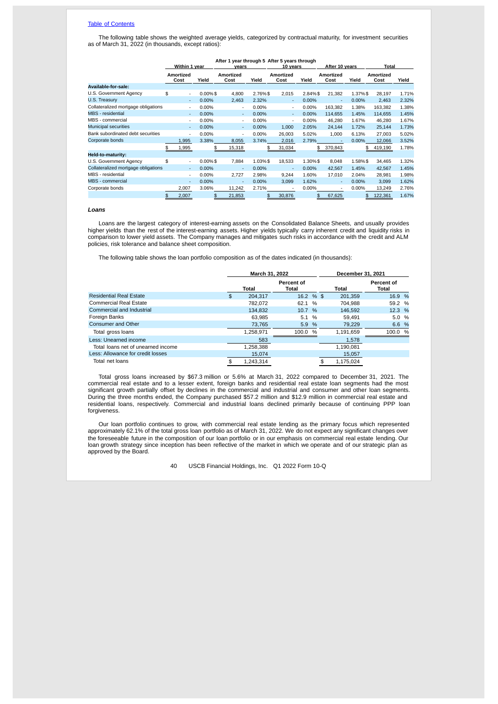The following table shows the weighted average yields, categorized by contractual maturity, for investment securities as of March 31, 2022 (in thousands, except ratios):

|                                     |                                   |               |                          | After 1 year through 5 After 5 years through |                            |                          |                          |                |                   |         |       |
|-------------------------------------|-----------------------------------|---------------|--------------------------|----------------------------------------------|----------------------------|--------------------------|--------------------------|----------------|-------------------|---------|-------|
|                                     |                                   | Within 1 vear |                          | vears                                        |                            | 10 years                 |                          | After 10 years |                   | Total   |       |
|                                     | <b>Amortized</b><br>Yield<br>Cost |               | <b>Amortized</b><br>Cost | Yield                                        | Amortized<br>Cost<br>Yield |                          | <b>Amortized</b><br>Cost | Yield          | Amortized<br>Cost | Yield   |       |
| Available-for-sale:                 |                                   |               |                          |                                              |                            |                          |                          |                |                   |         |       |
| U.S. Government Agency              | \$                                | ٠             | $0.00\%$ \$              | 4.800                                        | 2.76%\$                    | 2,015                    | 2.84%\$                  | 21,382         | 1.37%\$           | 28,197  | 1.71% |
| U.S. Treasury                       |                                   | ٠             | 0.00%                    | 2,463                                        | 2.32%                      | ٠                        | 0.00%                    | ٠              | 0.00%             | 2,463   | 2.32% |
| Collateralized mortgage obligations |                                   | ٠             | 0.00%                    | ٠                                            | 0.00%                      | $\sim$                   | 0.00%                    | 163,382        | 1.38%             | 163,382 | 1.38% |
| <b>MBS</b> - residential            |                                   | ٠             | 0.00%                    | ٠                                            | 0.00%                      | ٠                        | 0.00%                    | 114,655        | 1.45%             | 114,655 | 1.45% |
| MBS - commercial                    |                                   | ٠             | 0.00%                    | ٠                                            | 0.00%                      | $\overline{\phantom{a}}$ | 0.00%                    | 46,280         | 1.67%             | 46,280  | 1.67% |
| <b>Municipal securities</b>         |                                   | ٠             | 0.00%                    | ٠                                            | 0.00%                      | 1,000                    | 2.05%                    | 24,144         | 1.72%             | 25,144  | 1.73% |
| Bank subordinated debt securities   |                                   | ٠             | 0.00%                    | ÷                                            | 0.00%                      | 26,003                   | 5.02%                    | 1,000          | 6.13%             | 27,003  | 5.02% |
| Corporate bonds                     |                                   | 1.995         | 3.38%                    | 8,055                                        | 3.74%                      | 2,016                    | 2.79%                    |                | 0.00%             | 12,066  | 3.52% |
|                                     | \$                                | 1,995         | \$                       | 15,318                                       | \$                         | 31,034                   | \$                       | 370,843        | \$                | 419,190 | 1.78% |
| Held-to-maturity:                   |                                   |               |                          |                                              |                            |                          |                          |                |                   |         |       |
| U.S. Government Agency              | \$                                | ٠             | $0.00\%$ \$              | 7.884                                        | 1.03%\$                    | 18,533                   | 1.30%\$                  | 8.048          | 1.58%\$           | 34,465  | 1.32% |
| Collateralized mortgage obligations |                                   | ٠             | 0.00%                    | ٠                                            | 0.00%                      | ٠                        | 0.00%                    | 42,567         | 1.45%             | 42,567  | 1.45% |
| MBS - residential                   |                                   | ٠             | 0.00%                    | 2,727                                        | 2.98%                      | 9,244                    | 1.60%                    | 17,010         | 2.04%             | 28,981  | 1.98% |
| MBS - commercial                    |                                   | ٠             | 0.00%                    | ٠                                            | 0.00%                      | 3,099                    | 1.62%                    | ٠              | 0.00%             | 3,099   | 1.62% |
| Corporate bonds                     |                                   | 2,007         | 3.06%                    | 11,242                                       | 2.71%                      |                          | 0.00%                    |                | 0.00%             | 13,249  | 2.76% |
|                                     | \$                                | 2,007         | \$                       | 21,853                                       | \$                         | 30,876                   | \$                       | 67,625         | \$                | 122,361 | 1.67% |

#### *Loans*

Loans are the largest category of interest-earning assets on the Consolidated Balance Sheets, and usually provides higher yields than the rest of the interest-earning assets. Higher yields typically carry inherent credit and liquidity risks in comparison to lower yield assets. The Company manages and mitigates such risks in accordance with the credit and ALM policies, risk tolerance and balance sheet composition.

The following table shows the loan portfolio composition as of the dates indicated (in thousands):

|                                    | March 31, 2022 |                     | December 31, 2021 |                 |                     |               |
|------------------------------------|----------------|---------------------|-------------------|-----------------|---------------------|---------------|
|                                    | Total          | Percent of<br>Total |                   | Total           | Percent of<br>Total |               |
| <b>Residential Real Estate</b>     | \$<br>204,317  | 16.2 % \$           |                   | 201.359         | 16.9 %              |               |
| <b>Commercial Real Estate</b>      | 782.072        | 62.1                | $\%$              | 704.988         | 59.2                | $\frac{0}{0}$ |
| Commercial and Industrial          | 134.832        | 10.7 %              |                   | 146.592         | 12.3 %              |               |
| Foreign Banks                      | 63.985         | 5.1 %               |                   | 59.491          | 5.0                 | %             |
| <b>Consumer and Other</b>          | 73.765         | 5.9 %               |                   | 79.229          | 6.6 %               |               |
| Total gross loans                  | 1.258.971      | 100.0 %             |                   | 1,191,659       | 100.0               | $\frac{0}{0}$ |
| Less: Unearned income              | 583            |                     |                   | 1,578           |                     |               |
| Total loans net of unearned income | 1,258,388      |                     |                   | 1,190,081       |                     |               |
| Less: Allowance for credit losses  | 15,074         |                     |                   | 15.057          |                     |               |
| Total net loans                    | 1.243.314      |                     |                   | \$<br>1.175.024 |                     |               |

Total gross loans increased by \$67.3 million or 5.6% at March 31, 2022 compared to December 31, 2021. The commercial real estate and to a lesser extent, foreign banks and residential real estate loan segments had the most significant growth partially offset by declines in the commercial and industrial and consumer and other loan segments. During the three months ended, the Company purchased \$57.2 million and \$12.9 million in commercial real estate and residential loans, respectively. Commercial and industrial loans declined primarily because of continuing PPP loan forgiveness.

Our loan portfolio continues to grow, with commercial real estate lending as the primary focus which represented approximately 62.1% of the total gross loan portfolio as of March 31, 2022. We do not expect any significant changes over the foreseeable future in the composition of our loan portfolio or in our emphasis on commercial real estate lending. Our loan growth strategy since inception has been reflective of the market in which we operate and of our strategic plan as approved by the Board.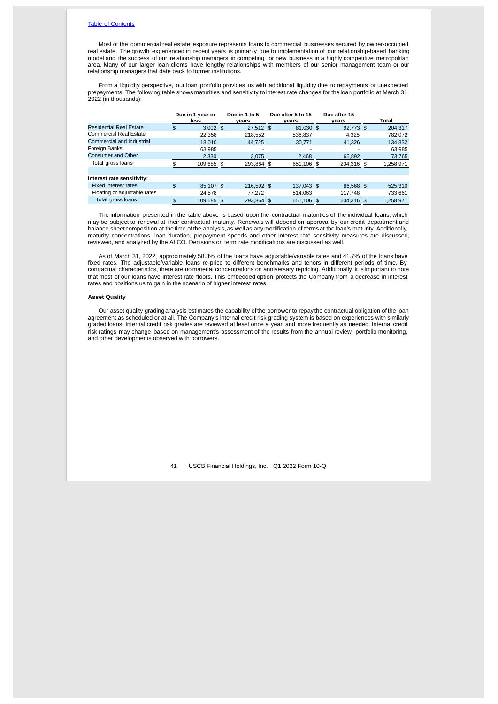Most of the commercial real estate exposure represents loans to commercial businesses secured by owner-occupied real estate. The growth experienced in recent years is primarily due to implementation of our relationship-based banking model and the success of our relationship managers in competing for new business in a highly competitive metropolitan area. Many of our larger loan clients have lengthy relationships with members of our senior management team or our relationship managers that date back to former institutions.

From a liquidity perspective, our loan portfolio provides us with additional liquidity due to repayments or unexpected prepayments. The following table shows maturities and sensitivity to interest rate changes for the loan portfolio at March 31, 2022 (in thousands):

|                                | Due in 1 year or<br>less | Due in 1 to 5<br>vears | Due after 5 to 15<br>vears | Due after 15<br>vears | Total     |
|--------------------------------|--------------------------|------------------------|----------------------------|-----------------------|-----------|
| <b>Residential Real Estate</b> | \$<br>$3.002$ \$         | $27,512$ \$            | 81.030 \$                  | $92.773$ \$           | 204.317   |
| <b>Commercial Real Estate</b>  | 22.358                   | 218.552                | 536.837                    | 4.325                 | 782,072   |
| Commercial and Industrial      | 18.010                   | 44.725                 | 30.771                     | 41.326                | 134,832   |
| Foreign Banks                  | 63.985                   |                        |                            |                       | 63,985    |
| <b>Consumer and Other</b>      | 2.330                    | 3.075                  | 2.468                      | 65.892                | 73,765    |
| Total gross loans              | 109,685 \$               | 293,864 \$             | 651,106 \$                 | 204,316 \$            | 1,258,971 |
|                                |                          |                        |                            |                       |           |
| Interest rate sensitivity:     |                          |                        |                            |                       |           |
| <b>Fixed interest rates</b>    | \$<br>85.107 \$          | 216,592 \$             | 137.043 \$                 | 86,568 \$             | 525.310   |
| Floating or adjustable rates   | 24.578                   | 77.272                 | 514.063                    | 117.748               | 733,661   |
| Total gross loans              | \$<br>109.685 \$         | 293.864 \$             | 651,106 \$                 | 204.316 \$            | 1.258.971 |

The information presented in the table above is based upon the contractual maturities of the individual loans, which may be subject to renewal at their contractual maturity. Renewals will depend on approval by our credit department and balance sheet composition at the time of the analysis, as well as any modification of terms at the loan's maturity. Additionally, maturity concentrations, loan duration, prepayment speeds and other interest rate sensitivity measures are discussed, reviewed, and analyzed by the ALCO. Decisions on term rate modifications are discussed as well.

As of March 31, 2022, approximately 58.3% of the loans have adjustable/variable rates and 41.7% of the loans have fixed rates. The adjustable/variable loans re-price to different benchmarks and tenors in different periods of time. By contractual characteristics, there are no material concentrations on anniversary repricing. Additionally, it is important to note that most of our loans have interest rate floors. This embedded option protects the Company from a decrease in interest rates and positions us to gain in the scenario of higher interest rates.

# **Asset Quality**

Our asset quality grading analysis estimates the capability of the borrower to repay the contractual obligation of the loan agreement as scheduled or at all. The Company's internal credit risk grading system is based on experiences with similarly graded loans. Internal credit risk grades are reviewed at least once a year, and more frequently as needed. Internal credit risk ratings may change based on management's assessment of the results from the annual review, portfolio monitoring, and other developments observed with borrowers.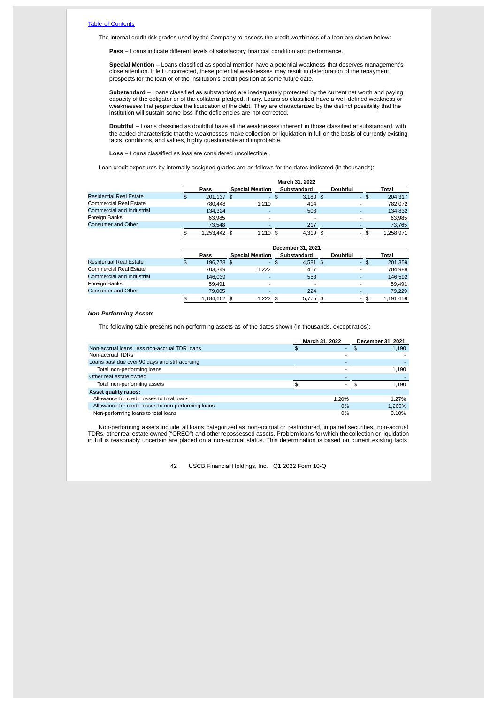The internal credit risk grades used by the Company to assess the credit worthiness of a loan are shown below:

**Pass** – Loans indicate different levels of satisfactory financial condition and performance.

**Special Mention** – Loans classified as special mention have a potential weakness that deserves management's close attention. If left uncorrected, these potential weaknesses may result in deterioration of the repayment prospects for the loan or of the institution's credit position at some future date.

**Substandard** – Loans classified as substandard are inadequately protected by the current net worth and paying capacity of the obligator or of the collateral pledged, if any. Loans so classified have a well-defined weakness or weaknesses that jeopardize the liquidation of the debt. They are characterized by the distinct possibility that the institution will sustain some loss if the deficiencies are not corrected.

**Doubtful** – Loans classified as doubtful have all the weaknesses inherent in those classified at substandard, with the added characteristic that the weaknesses make collection or liquidation in full on the basis of currently existing facts, conditions, and values, highly questionable and improbable.

**Loss** – Loans classified as loss are considered uncollectible.

Loan credit exposures by internally assigned grades are as follows for the dates indicated (in thousands):

|                                | Pass             | <b>Special Mention</b>   |      | Substandard | <b>Doubtful</b> |      | <b>Total</b> |
|--------------------------------|------------------|--------------------------|------|-------------|-----------------|------|--------------|
| <b>Residential Real Estate</b> | \$<br>201,137 \$ |                          | - \$ | $3,180$ \$  |                 | - \$ | 204,317      |
| <b>Commercial Real Estate</b>  | 780.448          | 1,210                    |      | 414         | -               |      | 782,072      |
| Commercial and Industrial      | 134.324          |                          |      | 508         |                 |      | 134,832      |
| Foreign Banks                  | 63.985           | $\overline{\phantom{0}}$ |      |             |                 |      | 63.985       |
| <b>Consumer and Other</b>      | 73,548           |                          |      | 217         |                 |      | 73,765       |
|                                | 1,253,442        | l,210 \$                 |      | 4,319       | -               |      | 1,258,971    |

|                                |     | December 31, 2021 |                          |      |                |  |                          |      |           |  |  |  |  |
|--------------------------------|-----|-------------------|--------------------------|------|----------------|--|--------------------------|------|-----------|--|--|--|--|
|                                |     | Pass              | <b>Special Mention</b>   |      | Substandard    |  | <b>Doubtful</b>          |      | Total     |  |  |  |  |
| <b>Residential Real Estate</b> | \$. | 196,778 \$        |                          | - \$ | 4,581 \$       |  |                          | - \$ | 201,359   |  |  |  |  |
| <b>Commercial Real Estate</b>  |     | 703.349           | 1.222                    |      | 417            |  | $\overline{\phantom{a}}$ |      | 704.988   |  |  |  |  |
| Commercial and Industrial      |     | 146.039           | ٠                        |      | 553            |  |                          |      | 146.592   |  |  |  |  |
| Foreign Banks                  |     | 59.491            | $\overline{\phantom{a}}$ |      | $\blacksquare$ |  | $\overline{\phantom{a}}$ |      | 59.491    |  |  |  |  |
| <b>Consumer and Other</b>      |     | 79,005            |                          |      | 224            |  |                          |      | 79,229    |  |  |  |  |
|                                |     | 1,184,662 \$      | $1.222$ \$               |      | $5,775$ \$     |  |                          | - \$ | 1.191.659 |  |  |  |  |

# *Non-Performing Assets*

The following table presents non-performing assets as of the dates shown (in thousands, except ratios):

|                                                     | March 31, 2022 |                          | December 31, 2021 |
|-----------------------------------------------------|----------------|--------------------------|-------------------|
| Non-accrual loans, less non-accrual TDR loans       | \$             | ÷.                       | 1.190             |
| Non-accrual TDRs                                    |                |                          |                   |
| Loans past due over 90 days and still accruing      |                |                          |                   |
| Total non-performing loans                          |                |                          | 1.190             |
| Other real estate owned                             |                |                          |                   |
| Total non-performing assets                         |                | $\overline{\phantom{0}}$ | 1.190             |
| <b>Asset quality ratios:</b>                        |                |                          |                   |
| Allowance for credit losses to total loans          | 1.20%          |                          | 1.27%             |
| Allowance for credit losses to non-performing loans |                | 0%                       | 1.265%            |
| Non-performing loans to total loans                 |                | 0%                       | 0.10%             |

Non-performing assets include all loans categorized as non-accrual or restructured, impaired securities, non-accrual TDRs, otherreal estate owned ("OREO") and otherrepossessed assets. Problem loans for which the collection or liquidation in full is reasonably uncertain are placed on a non-accrual status. This determination is based on current existing facts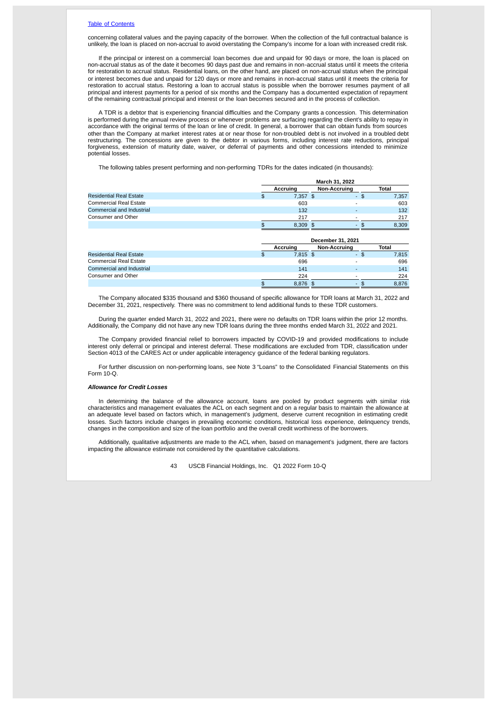concerning collateral values and the paying capacity of the borrower. When the collection of the full contractual balance is unlikely, the loan is placed on non-accrual to avoid overstating the Company's income for a loan with increased credit risk.

If the principal or interest on a commercial loan becomes due and unpaid for 90 days or more, the loan is placed on non-accrual status as of the date it becomes 90 days past due and remains in non-accrual status until it meets the criteria for restoration to accrual status. Residential loans, on the other hand, are placed on non-accrual status when the principal or interest becomes due and unpaid for 120 days or more and remains in non-accrual status until it meets the criteria for restoration to accrual status. Restoring a loan to accrual status is possible when the borrower resumes payment of all principal and interest payments for a period of six months and the Company has a documented expectation of repayment of the remaining contractual principal and interest or the loan becomes secured and in the process of collection.

A TDR is a debtor that is experiencing financial difficulties and the Company grants a concession. This determination is performed during the annual review process or whenever problems are surfacing regarding the client's ability to repay in accordance with the original terms of the loan or line of credit. In general, a borrower that can obtain funds from sources other than the Company at market interest rates at or near those for non-troubled debt is not involved in a troubled debt restructuring. The concessions are given to the debtor in various forms, including interest rate reductions, principal forgiveness, extension of maturity date, waiver, or deferral of payments and other concessions intended to minimize potential losses.

The following tables present performing and non-performing TDRs for the dates indicated (in thousands):

|                                | March 31, 2022 |            |  |              |  |       |  |  |  |  |
|--------------------------------|----------------|------------|--|--------------|--|-------|--|--|--|--|
|                                |                | Accruina   |  | Non-Accruing |  | Total |  |  |  |  |
| <b>Residential Real Estate</b> |                | 7,357 \$   |  | - \$         |  | 7,357 |  |  |  |  |
| <b>Commercial Real Estate</b>  |                | 603        |  |              |  | 603   |  |  |  |  |
| Commercial and Industrial      |                | 132        |  |              |  | 132   |  |  |  |  |
| Consumer and Other             |                | 217        |  |              |  | 217   |  |  |  |  |
|                                |                | $8,309$ \$ |  | - \$         |  | 8,309 |  |  |  |  |
|                                |                |            |  |              |  |       |  |  |  |  |

|                                | December 31, 2021 |            |  |              |  |              |  |  |  |  |
|--------------------------------|-------------------|------------|--|--------------|--|--------------|--|--|--|--|
|                                |                   | Accruina   |  | Non-Accruing |  | <b>Total</b> |  |  |  |  |
| <b>Residential Real Estate</b> |                   | $7,815$ \$ |  | - \$         |  | 7.815        |  |  |  |  |
| <b>Commercial Real Estate</b>  |                   | 696        |  | -            |  | 696          |  |  |  |  |
| Commercial and Industrial      |                   | 141        |  |              |  | 141          |  |  |  |  |
| Consumer and Other             |                   | 224        |  |              |  | 224          |  |  |  |  |
|                                |                   | 8.876 \$   |  | - \$         |  | 8.876        |  |  |  |  |

The Company allocated \$335 thousand and \$360 thousand of specific allowance for TDR loans at March 31, 2022 and December 31, 2021, respectively. There was no commitment to lend additional funds to these TDR customers.

During the quarter ended March 31, 2022 and 2021, there were no defaults on TDR loans within the prior 12 months. Additionally, the Company did not have any new TDR loans during the three months ended March 31, 2022 and 2021.

The Company provided financial relief to borrowers impacted by COVID-19 and provided modifications to include interest only deferral or principal and interest deferral. These modifications are excluded from TDR, classification under Section 4013 of the CARES Act or under applicable interagency guidance of the federal banking regulators.

For further discussion on non-performing loans, see Note 3 "Loans" to the Consolidated Financial Statements on this Form 10-Q.

# *Allowance for Credit Losses*

In determining the balance of the allowance account, loans are pooled by product segments with similar risk characteristics and management evaluates the ACL on each segment and on a regular basis to maintain the allowance at an adequate level based on factors which, in management's judgment, deserve current recognition in estimating credit losses. Such factors include changes in prevailing economic conditions, historical loss experience, delinquency trends, changes in the composition and size of the loan portfolio and the overall credit worthiness of the borrowers.

Additionally, qualitative adjustments are made to the ACL when, based on management's judgment, there are factors impacting the allowance estimate not considered by the quantitative calculations.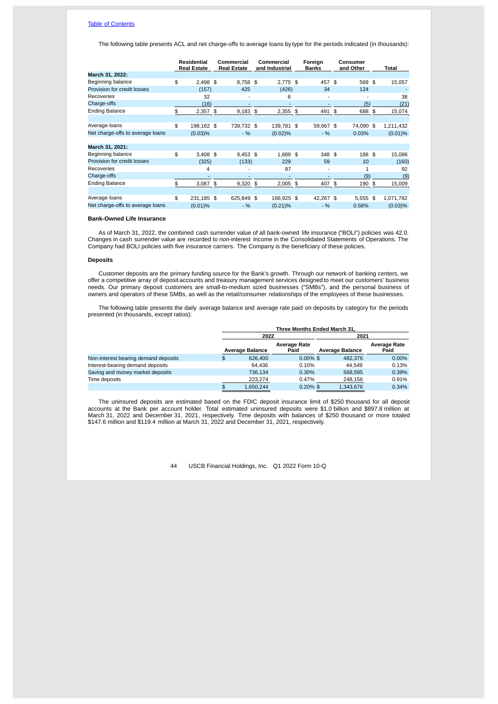The following table presents ACL and net charge-offs to average loans by type for the periods indicated (in thousands):

|                                  | <b>Residential</b><br><b>Real Estate</b> |    | Commercial<br><b>Real Estate</b> |    | Commercial<br>and Industrial |    | Foreign<br><b>Banks</b> |    | Consumer<br>and Other |    | Total     |
|----------------------------------|------------------------------------------|----|----------------------------------|----|------------------------------|----|-------------------------|----|-----------------------|----|-----------|
| March 31, 2022:                  |                                          |    |                                  |    |                              |    |                         |    |                       |    |           |
| Beginning balance                | \$<br>2,498                              | \$ | 8,758 \$                         |    | $2,775$ \$                   |    | 457                     | \$ | 569 \$                |    | 15,057    |
| Provision for credit losses      | (157)                                    |    | 425                              |    | (426)                        |    | 34                      |    | 124                   |    |           |
| Recoveries                       | 32                                       |    |                                  |    | 6                            |    |                         |    |                       |    | 38        |
| Charge-offs                      | (16)                                     |    |                                  |    |                              |    |                         |    | (5)                   |    | (21)      |
| <b>Ending Balance</b>            | \$<br>2,357                              | \$ | 9,183                            | \$ | 2,355                        | \$ | 491                     | \$ | 688                   | \$ | 15,074    |
|                                  |                                          |    |                                  |    |                              |    |                         |    |                       |    |           |
| Average loans                    | \$<br>198,162 \$                         |    | 739,732 \$                       |    | 139,781 \$                   |    | 59,667 \$               |    | 74,090 \$             |    | 1,211,432 |
| Net charge-offs to average loans | (0.03)%                                  |    | $-9/0$                           |    | (0.02)%                      |    | $-9/0$                  |    | 0.03%                 |    | (0.01)%   |
|                                  |                                          |    |                                  |    |                              |    |                         |    |                       |    |           |
| March 31, 2021:                  |                                          |    |                                  |    |                              |    |                         |    |                       |    |           |
| Beginning balance                | \$<br>$3,408$ \$                         |    | $9,453$ \$                       |    | 1,689 \$                     |    | 348 \$                  |    | 188 \$                |    | 15,086    |
| Provision for credit losses      | (325)                                    |    | (133)                            |    | 229                          |    | 59                      |    | 10                    |    | (160)     |
| Recoveries                       | 4                                        |    |                                  |    | 87                           |    |                         |    | 1                     |    | 92        |
| Charge-offs                      |                                          |    | ۰                                |    |                              |    |                         |    | (9)                   |    | (9)       |
| <b>Ending Balance</b>            | \$<br>3,087                              | \$ | 9,320                            | \$ | $2,005$ \$                   |    | 407                     | \$ | 190                   | \$ | 15,009    |
|                                  |                                          |    |                                  |    |                              |    |                         |    |                       |    |           |
| Average loans                    | \$<br>231,185 \$                         |    | 625,849 \$                       |    | 166,925 \$                   |    | 42,267 \$               |    | 5,555                 | \$ | 1,071,782 |
| Net charge-offs to average loans | (0.01)%                                  |    | $-9/0$                           |    | (0.21)%                      |    | $-9/0$                  |    | 0.58%                 |    | (0.03)%   |

# **Bank-Owned Life Insurance**

As of March 31, 2022, the combined cash surrender value of all bank-owned life insurance ("BOLI") policies was 42.0. Changes in cash surrender value are recorded to non-interest income in the Consolidated Statements of Operations. The Company had BOLI policies with five insurance carriers. The Company is the beneficiary of these policies.

# **Deposits**

Customer deposits are the primary funding source for the Bank's growth. Through our network of banking centers, we offer a competitive array of deposit accounts and treasury management services designed to meet our customers' business needs. Our primary deposit customers are small-to-medium sized businesses ("SMBs"), and the personal business of owners and operators of these SMBs, as well as the retail/consumer relationships of the employees of these businesses.

The following table presents the daily average balance and average rate paid on deposits by category for the periods presented (in thousands, except ratios):

|                                      | Three Months Ended March 31, |                             |                        |                             |  |  |  |  |  |  |  |
|--------------------------------------|------------------------------|-----------------------------|------------------------|-----------------------------|--|--|--|--|--|--|--|
|                                      | 2022                         |                             | 2021                   |                             |  |  |  |  |  |  |  |
|                                      | <b>Average Balance</b>       | <b>Average Rate</b><br>Paid | <b>Average Balance</b> | <b>Average Rate</b><br>Paid |  |  |  |  |  |  |  |
| Non-interest bearing demand deposits | \$<br>626,400                | $0.00\%$ \$                 | 482.376                | 0.00%                       |  |  |  |  |  |  |  |
| Interest-bearing demand deposits     | 64.436                       | 0.10%                       | 44.549                 | 0.13%                       |  |  |  |  |  |  |  |
| Saving and money market deposits     | 736.134                      | 0.30%                       | 568.595                | 0.39%                       |  |  |  |  |  |  |  |
| Time deposits                        | 223,274                      | 0.47%                       | 248,156                | 0.91%                       |  |  |  |  |  |  |  |
|                                      | \$<br>1.650.244              | $0.20\%$ \$                 | 1.343.676              | 0.34%                       |  |  |  |  |  |  |  |

The uninsured deposits are estimated based on the FDIC deposit insurance limit of \$250 thousand for all deposit accounts at the Bank per account holder. Total estimated uninsured deposits were \$1.0 billion and \$897.8 million at March 31, 2022 and December 31, 2021, respectively. Time deposits with balances of \$250 thousand or more totaled \$147.6 million and \$119.4 million at March 31, 2022 and December 31, 2021, respectively.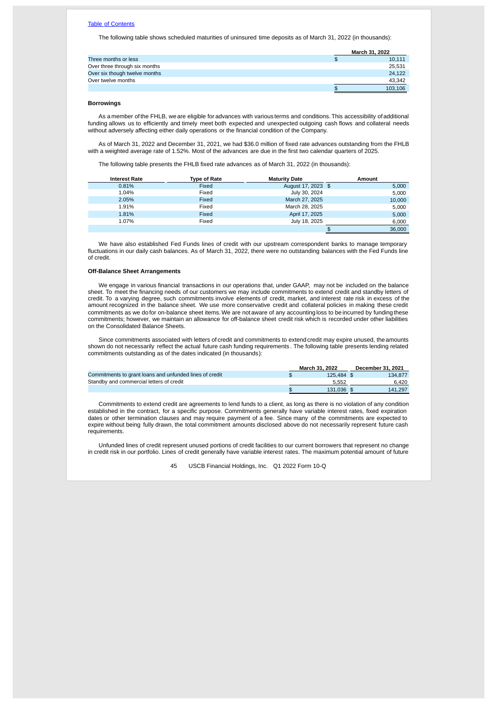The following table shows scheduled maturities of uninsured time deposits as of March 31, 2022 (in thousands):

|                               | March 31, 2022 |
|-------------------------------|----------------|
| Three months or less          | \$<br>10,111   |
| Over three through six months | 25,531         |
| Over six though twelve months | 24,122         |
| Over twelve months            | 43,342         |
|                               | 103.106        |

### **Borrowings**

As a member of the FHLB, we are eligible for advances with various terms and conditions.This accessibility of additional funding allows us to efficiently and timely meet both expected and unexpected outgoing cash flows and collateral needs without adversely affecting either daily operations or the financial condition of the Company.

As of March 31, 2022 and December 31, 2021, we had \$36.0 million of fixed rate advances outstanding from the FHLB with a weighted average rate of 1.52%. Most of the advances are due in the first two calendar quarters of 2025.

The following table presents the FHLB fixed rate advances as of March 31, 2022 (in thousands):

| <b>Interest Rate</b> | <b>Type of Rate</b> | <b>Maturity Date</b> | Amount |
|----------------------|---------------------|----------------------|--------|
| 0.81%                | Fixed               | August 17, 2023 \$   | 5,000  |
| 1.04%                | Fixed               | July 30, 2024        | 5.000  |
| 2.05%                | Fixed               | March 27, 2025       | 10,000 |
| 1.91%                | Fixed               | March 28, 2025       | 5.000  |
| 1.81%                | Fixed               | April 17, 2025       | 5,000  |
| 1.07%                | Fixed               | July 18, 2025        | 6,000  |
|                      |                     |                      | 36,000 |

We have also established Fed Funds lines of credit with our upstream correspondent banks to manage temporary fluctuations in our daily cash balances. As of March 31, 2022, there were no outstanding balances with the Fed Funds line of credit.

# **Off-Balance Sheet Arrangements**

We engage in various financial transactions in our operations that, under GAAP, may not be included on the balance sheet. To meet the financing needs of our customers we may include commitments to extend credit and standby letters of credit. To a varying degree, such commitments involve elements of credit, market, and interest rate risk in excess of the amount recognized in the balance sheet. We use more conservative credit and collateral policies in making these credit commitments as we do for on-balance sheet items.We are not aware of any accounting loss to be incurred by funding these commitments; however, we maintain an allowance for off-balance sheet credit risk which is recorded under other liabilities on the Consolidated Balance Sheets.

Since commitments associated with letters of credit and commitments to extend credit may expire unused, the amounts shown do not necessarily reflect the actual future cash funding requirements . The following table presents lending related commitments outstanding as of the dates indicated (in thousands):

|                                                         | <b>March 31, 2022</b> | <b>December 31, 2021</b> |
|---------------------------------------------------------|-----------------------|--------------------------|
| Commitments to grant loans and unfunded lines of credit | 125.484 \$            | 134.877                  |
| Standby and commercial letters of credit                | 5.552                 | 6.420                    |
|                                                         | 131.036 \$            | 141.297                  |

Commitments to extend credit are agreements to lend funds to a client, as long as there is no violation of any condition established in the contract, for a specific purpose. Commitments generally have variable interest rates, fixed expiration dates or other termination clauses and may require payment of a fee. Since many of the commitments are expected to expire without being fully drawn, the total commitment amounts disclosed above do not necessarily represent future cash requirements.

Unfunded lines of credit represent unused portions of credit facilities to our current borrowers that represent no change in credit risk in our portfolio. Lines of credit generally have variable interest rates. The maximum potential amount of future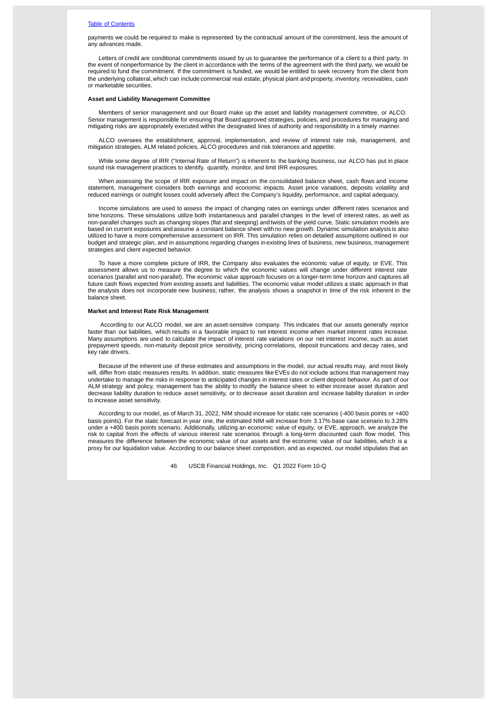payments we could be required to make is represented by the contractual amount of the commitment, less the amount of any advances made.

Letters of credit are conditional commitments issued by us to guarantee the performance of a client to a third party. In the event of nonperformance by the client in accordance with the terms of the agreement with the third party, we would be required to fund the commitment. If the commitment is funded, we would be entitled to seek recovery from the client from the underlying collateral, which can include commercial real estate, physical plant and property, inventory, receivables, cash or marketable securities.

### **Asset and Liability Management Committee**

Members of senior management and our Board make up the asset and liability management committee, or ALCO. Senior management is responsible for ensuring that Board approved strategies, policies, and procedures for managing and mitigating risks are appropriately executed within the designated lines of authority and responsibility in a timely manner.

ALCO oversees the establishment, approval, implementation, and review of interest rate risk, management, and mitigation strategies, ALM related policies, ALCO procedures and risk tolerances and appetite.

While some degree of IRR ("Internal Rate of Return") is inherent to the banking business, our ALCO has put in place sound risk management practices to identify, quantify, monitor, and limit IRR exposures.

When assessing the scope of IRR exposure and impact on the consolidated balance sheet, cash flows and income statement, management considers both earnings and economic impacts. Asset price variations, deposits volatility and reduced earnings or outright losses could adversely affect the Company's liquidity, performance, and capital adequacy.

Income simulations are used to assess the impact of changing rates on earnings under different rates scenarios and time horizons. These simulations utilize both instantaneous and parallel changes in the level of interest rates, as well as non-parallel changes such as changing slopes (flat and steeping) and twists of the yield curve, Static simulation models are based on current exposures and assume a constant balance sheet with no new growth. Dynamic simulation analysis is also utilized to have a more comprehensive assessment on IRR. This simulation relies on detailed assumptions outlined in our budget and strategic plan, and in assumptions regarding changes in existing lines of business, new business, management strategies and client expected behavior.

To have a more complete picture of IRR, the Company also evaluates the economic value of equity, or EVE. This assessment allows us to measure the degree to which the economic values will change under different interest rate scenarios (parallel and non-parallel). The economic value approach focuses on a longer-term time horizon and captures all future cash flows expected from existing assets and liabilities. The economic value model utilizes a static approach in that the analysis does not incorporate new business; rather, the analysis shows a snapshot in time of the risk inherent in the balance sheet.

#### **Market and Interest Rate Risk Management**

According to our ALCO model, we are an asset-sensitive company. This indicates that our assets generally reprice faster than our liabilities, which results in a favorable impact to net interest income when market interest rates increase. Many assumptions are used to calculate the impact of interest rate variations on our net interest income, such as asset prepayment speeds, non-maturity deposit price sensitivity, pricing correlations, deposit truncations and decay rates, and key rate drivers.

Because of the inherent use of these estimates and assumptions in the model, our actual results may, and most likely will, differ from static measures results. In addition, static measures like EVEs do not include actions that management may undertake to manage the risks in response to anticipated changes in interest rates or client deposit behavior. As part of our ALM strategy and policy, management has the ability to modify the balance sheet to either increase asset duration and decrease liability duration to reduce asset sensitivity, or to decrease asset duration and increase liability duration in order to increase asset sensitivity.

According to our model, as of March 31, 2022, NIM should increase for static rate scenarios (-400 basis points or +400 basis points). For the static forecast in year one, the estimated NIM will increase from 3.17% base case scenario to 3.28% under a +400 basis points scenario. Additionally, utilizing an economic value of equity, or EVE, approach, we analyze the risk to capital from the effects of various interest rate scenarios through a long-term discounted cash flow model. This measures the difference between the economic value of our assets and the economic value of our liabilities, which is a proxy for our liquidation value. According to our balance sheet composition, and as expected, our model stipulates that an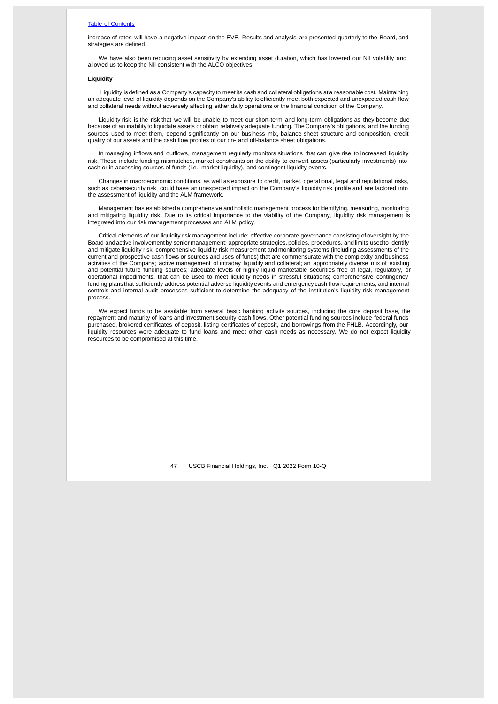increase of rates will have a negative impact on the EVE. Results and analysis are presented quarterly to the Board, and strategies are defined.

We have also been reducing asset sensitivity by extending asset duration, which has lowered our NII volatility and allowed us to keep the NII consistent with the ALCO objectives.

#### **Liquidity**

Liquidity is defined as a Company's capacity to meet its cash and collateral obligations at a reasonable cost. Maintaining an adequate level of liquidity depends on the Company's ability to efficiently meet both expected and unexpected cash flow and collateral needs without adversely affecting either daily operations or the financial condition of the Company.

Liquidity risk is the risk that we will be unable to meet our short-term and long-term obligations as they become due because of an inability to liquidate assets or obtain relatively adequate funding. The Company's obligations, and the funding sources used to meet them, depend significantly on our business mix, balance sheet structure and composition, credit quality of our assets and the cash flow profiles of our on- and off-balance sheet obligations.

In managing inflows and outflows, management regularly monitors situations that can give rise to increased liquidity risk. These include funding mismatches, market constraints on the ability to convert assets (particularly investments) into cash or in accessing sources of funds (i.e., market liquidity), and contingent liquidity events.

Changes in macroeconomic conditions, as well as exposure to credit, market, operational, legal and reputational risks, such as cybersecurity risk, could have an unexpected impact on the Company's liquidity risk profile and are factored into the assessment of liquidity and the ALM framework.

Management has established a comprehensive and holistic management process foridentifying, measuring, monitoring and mitigating liquidity risk. Due to its critical importance to the viability of the Company, liquidity risk management is integrated into our risk management processes and ALM policy.

Critical elements of our liquidity risk management include: effective corporate governance consisting of oversight by the Board and active involvement by senior management; appropriate strategies, policies, procedures, and limits used to identify and mitigate liquidity risk; comprehensive liquidity risk measurement and monitoring systems (including assessments of the current and prospective cash flows or sources and uses of funds) that are commensurate with the complexity and business activities of the Company; active management of intraday liquidity and collateral; an appropriately diverse mix of existing and potential future funding sources; adequate levels of highly liquid marketable securities free of legal, regulatory, or operational impediments, that can be used to meet liquidity needs in stressful situations; comprehensive contingency funding plans that sufficiently address potential adverse liquidity events and emergency cash flow requirements; and internal controls and internal audit processes sufficient to determine the adequacy of the institution's liquidity risk management process.

We expect funds to be available from several basic banking activity sources, including the core deposit base, the repayment and maturity of loans and investment security cash flows. Other potential funding sources include federal funds purchased, brokered certificates of deposit, listing certificates of deposit, and borrowings from the FHLB. Accordingly, our liquidity resources were adequate to fund loans and meet other cash needs as necessary. We do not expect liquidity resources to be compromised at this time.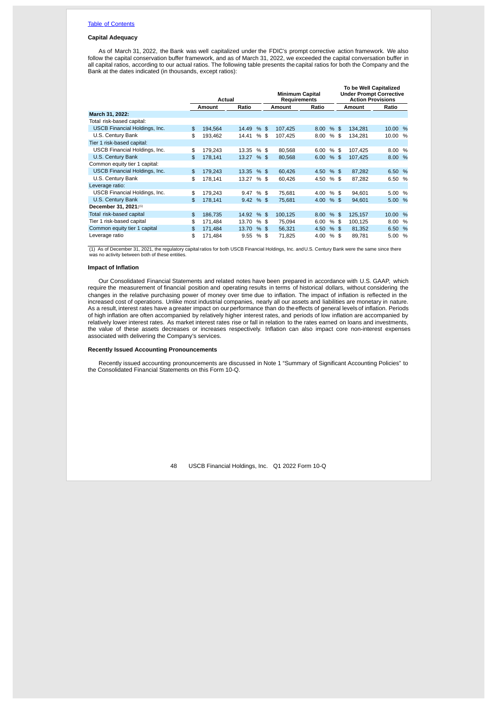# **Capital Adequacy**

As of March 31, 2022, the Bank was well capitalized under the FDIC's prompt corrective action framework. We also follow the capital conservation buffer framework, and as of March 31, 2022, we exceeded the capital conversation buffer in all capital ratios, according to our actual ratios. The following table presents the capital ratios for both the Company and the Bank at the dates indicated (in thousands, except ratios):

|                                      | Actual        |       |      |     | <b>Minimum Capital</b><br><b>Requirements</b> |           |      |    | To be Well Capitalized<br><b>Under Prompt Corrective</b><br><b>Action Provisions</b> |        |               |  |
|--------------------------------------|---------------|-------|------|-----|-----------------------------------------------|-----------|------|----|--------------------------------------------------------------------------------------|--------|---------------|--|
|                                      | Amount        | Ratio |      |     | Amount                                        | Ratio     |      |    | Amount                                                                               | Ratio  |               |  |
| March 31, 2022:                      |               |       |      |     |                                               |           |      |    |                                                                                      |        |               |  |
| Total risk-based capital:            |               |       |      |     |                                               |           |      |    |                                                                                      |        |               |  |
| <b>USCB Financial Holdings, Inc.</b> | \$<br>194,564 | 14.49 | %\$  |     | 107,425                                       | 8.00      | %\$  |    | 134,281                                                                              | 10.00  | $\frac{0}{0}$ |  |
| U.S. Century Bank                    | \$<br>193.462 | 14.41 | %    | -\$ | 107,425                                       | 8.00      | $\%$ | \$ | 134,281                                                                              | 10.00  | $\frac{0}{0}$ |  |
| Tier 1 risk-based capital:           |               |       |      |     |                                               |           |      |    |                                                                                      |        |               |  |
| <b>USCB Financial Holdings, Inc.</b> | \$<br>179.243 | 13.35 | % \$ |     | 80,568                                        | 6.00      | %\$  |    | 107,425                                                                              | 8.00   | $\frac{0}{0}$ |  |
| U.S. Century Bank                    | \$<br>178,141 | 13.27 | % \$ |     | 80,568                                        | 6.00      | %\$  |    | 107,425                                                                              | 8.00   | $\%$          |  |
| Common equity tier 1 capital:        |               |       |      |     |                                               |           |      |    |                                                                                      |        |               |  |
| <b>USCB Financial Holdings, Inc.</b> | \$<br>179.243 | 13.35 | % \$ |     | 60,426                                        | 4.50      | %\$  |    | 87,282                                                                               | 6.50 % |               |  |
| U.S. Century Bank                    | \$<br>178.141 | 13.27 | % \$ |     | 60,426                                        | 4.50      | %\$  |    | 87,282                                                                               | 6.50 % |               |  |
| Leverage ratio:                      |               |       |      |     |                                               |           |      |    |                                                                                      |        |               |  |
| <b>USCB Financial Holdings, Inc.</b> | \$<br>179,243 | 9.47  | % \$ |     | 75,681                                        | 4.00      | %\$  |    | 94,601                                                                               | 5.00   | $\frac{0}{0}$ |  |
| U.S. Century Bank                    | \$<br>178,141 | 9.42% |      |     | 75,681                                        | 4.00 % \$ |      |    | 94,601                                                                               | 5.00 % |               |  |
| December 31, 2021:(1)                |               |       |      |     |                                               |           |      |    |                                                                                      |        |               |  |
| Total risk-based capital             | \$<br>186.735 | 14.92 | %\$  |     | 100,125                                       | 8.00      | %\$  |    | 125,157                                                                              | 10.00  | $\%$          |  |
| Tier 1 risk-based capital            | \$<br>171,484 | 13.70 | % \$ |     | 75,094                                        | 6.00      | %\$  |    | 100,125                                                                              | 8.00   | $\frac{0}{0}$ |  |
| Common equity tier 1 capital         | \$<br>171,484 | 13.70 | % \$ |     | 56,321                                        | 4.50      | %\$  |    | 81,352                                                                               | 6.50   | $\frac{0}{0}$ |  |
| Leverage ratio                       | \$<br>171.484 | 9.55  | % \$ |     | 71.825                                        | 4.00      | %\$  |    | 89,781                                                                               | 5.00   | $\frac{0}{0}$ |  |

(1) As of December 31, 2021, the regulatory capital ratios for both USCB Financial Holdings, Inc. andU.S. Century Bank were the same since there was no activity between both of these entities.

# **Impact of Inflation**

Our Consolidated Financial Statements and related notes have been prepared in accordance with U.S. GAAP, which require the measurement of financial position and operating results in terms of historical dollars, without considering the changes in the relative purchasing power of money over time due to inflation. The impact of inflation is reflected in the increased cost of operations. Unlike most industrial companies, nearly all our assets and liabilities are monetary in nature. As a result, interest rates have a greater impact on our performance than do the effects of general levels of inflation. Periods of high inflation are often accompanied by relatively higher interest rates, and periods of low inflation are accompanied by relatively lower interest rates. As market interest rates rise or fall in relation to the rates earned on loans and investments, the value of these assets decreases or increases respectively. Inflation can also impact core non-interest expenses associated with delivering the Company's services.

# **Recently Issued Accounting Pronouncements**

Recently issued accounting pronouncements are discussed in Note 1 "Summary of Significant Accounting Policies" to the Consolidated Financial Statements on this Form 10-Q.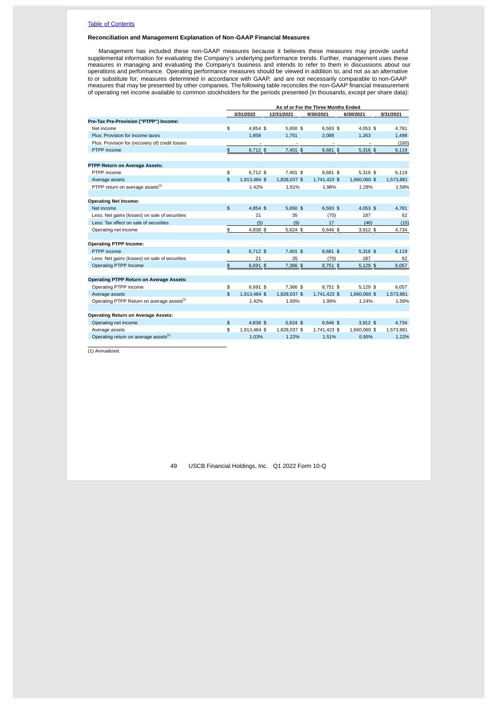# **Reconciliation and Management Explanation of Non-GAAP Financial Measures**

Management has included these non-GAAP measures because it believes these measures may provide useful supplemental information for evaluating the Company's underlying performance trends. Further, management uses these measures in managing and evaluating the Company's business and intends to refer to them in discussions about our operations and performance. Operating performance measures should be viewed in addition to, and not as an alternative to or substitute for, measures determined in accordance with GAAP, and are not necessarily comparable to non-GAAP measures that may be presented by other companies. The following table reconciles the non-GAAP financial measurement of operating net income available to common stockholders for the periods presented (in thousands, except per share data):

|                                                        |                |              |              | As of or For the Three Months Ended |              |           |
|--------------------------------------------------------|----------------|--------------|--------------|-------------------------------------|--------------|-----------|
|                                                        |                | 3/31/2022    | 12/31/2021   | 9/30/2021                           | 6/30/2021    | 3/31/2021 |
| Pre-Tax Pre-Provision ("PTPP") Income:                 |                |              |              |                                     |              |           |
| Net income                                             | \$             | $4.854$ \$   | $5.650$ \$   | $6.593$ \$                          | $4.053$ \$   | 4.781     |
| Plus: Provision for income taxes                       |                | 1.858        | 1.751        | 2.088                               | 1.263        | 1,498     |
| Plus: Provision for (recovery of) credit losses        |                |              |              |                                     |              | (160)     |
| PTPP income                                            | \$             | $6,712$ \$   | $7.401$ \$   | 8.681 \$                            | $5,316$ \$   | 6,119     |
| <b>PTPP Return on Average Assets:</b>                  |                |              |              |                                     |              |           |
| PTPP income                                            | \$             | $6,712$ \$   | 7,401 \$     | 8.681 \$                            | $5,316$ \$   | 6,119     |
| Average assets                                         | \$             | 1,913,484 \$ | 1,828,037 \$ | 1,741,423 \$                        | 1,660,060 \$ | 1,573,881 |
| PTPP return on average assets <sup>(1)</sup>           |                | 1.42%        | 1.61%        | 1.98%                               | 1.28%        | 1.58%     |
| <b>Operating Net Income:</b>                           |                |              |              |                                     |              |           |
| Net income                                             | $\mathfrak{s}$ | $4.854$ \$   | $5,650$ \$   | $6.593$ \$                          | $4,053$ \$   | 4,781     |
| Less: Net gains (losses) on sale of securities         |                | 21           | 35           | (70)                                | 187          | 62        |
| Less: Tax effect on sale of securities                 |                | (5)          | (9)          | 17                                  | (46)         | (15)      |
| Operating net income                                   | \$             | 4,838 \$     | $5,624$ \$   | 6,646 \$                            | $3,912$ \$   | 4,734     |
| <b>Operating PTPP Income:</b>                          |                |              |              |                                     |              |           |
| PTPP income                                            | \$             | $6.712$ \$   | $7,401$ \$   | 8,681 \$                            | $5,316$ \$   | 6,119     |
| Less: Net gains (losses) on sale of securities         |                | 21           | 35           | (70)                                | 187          | 62        |
| Operating PTPP Income                                  | \$             | $6,691$ \$   | 7,366 \$     | $8,751$ \$                          | $5,129$ \$   | 6,057     |
| <b>Operating PTPP Return on Average Assets:</b>        |                |              |              |                                     |              |           |
| Operating PTPP income                                  | \$             | $6.691$ \$   | 7.366 \$     | $8.751$ \$                          | $5.129$ \$   | 6.057     |
| Average assets                                         | \$             | 1.913.484 \$ | 1.828.037 \$ | 1.741.423 \$                        | 1.660.060 \$ | 1,573,881 |
| Operating PTPP Return on average assets <sup>(1)</sup> |                | 1.42%        | 1.60%        | 1.99%                               | 1.24%        | 1.56%     |
| <b>Operating Return on Average Assets:</b>             |                |              |              |                                     |              |           |
| Operating net income                                   | \$             | 4,838 \$     | $5,624$ \$   | $6,646$ \$                          | $3,912$ \$   | 4,734     |
| Average assets                                         | \$             | 1,913,484 \$ | 1,828,037 \$ | 1,741,423 \$                        | 1,660,060 \$ | 1,573,881 |
| Operating return on average assets <sup>(1)</sup>      |                | 1.03%        | 1.22%        | 1.51%                               | 0.95%        | 1.22%     |

(1) Annualized.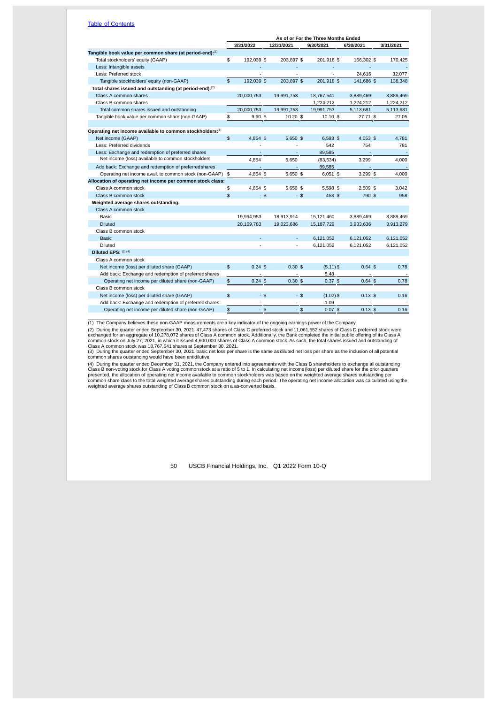|                                                                       | As of or For the Three Months Ended |                |                          |             |            |           |  |  |  |  |
|-----------------------------------------------------------------------|-------------------------------------|----------------|--------------------------|-------------|------------|-----------|--|--|--|--|
|                                                                       |                                     | 3/31/2022      | 12/31/2021               | 9/30/2021   | 6/30/2021  | 3/31/2021 |  |  |  |  |
| Tangible book value per common share (at period-end):(1)              |                                     |                |                          |             |            |           |  |  |  |  |
| Total stockholders' equity (GAAP)                                     | \$                                  | 192,039 \$     | 203,897 \$               | 201,918 \$  | 166,302 \$ | 170,425   |  |  |  |  |
| Less: Intangible assets                                               |                                     |                | ä,                       |             |            |           |  |  |  |  |
| Less: Preferred stock                                                 |                                     |                |                          |             | 24.616     | 32,077    |  |  |  |  |
| Tangible stockholders' equity (non-GAAP)                              | \$                                  | 192.039 \$     | 203.897 \$               | 201.918 \$  | 141.686 \$ | 138,348   |  |  |  |  |
| Total shares issued and outstanding (at period-end): <sup>(2)</sup>   |                                     |                |                          |             |            |           |  |  |  |  |
| Class A common shares                                                 |                                     | 20,000,753     | 19,991,753               | 18,767,541  | 3,889,469  | 3,889,469 |  |  |  |  |
| Class B common shares                                                 |                                     |                |                          | 1,224,212   | 1,224,212  | 1,224,212 |  |  |  |  |
| Total common shares issued and outstanding                            |                                     | 20.000.753     | 19,991,753               | 19,991,753  | 5,113,681  | 5,113,681 |  |  |  |  |
| Tangible book value per common share (non-GAAP)                       | \$                                  | $9.60$ \$      | 10.20 \$                 | $10.10$ \$  | $27.71$ \$ | 27.05     |  |  |  |  |
|                                                                       |                                     |                |                          |             |            |           |  |  |  |  |
| Operating net income available to common stockholders. <sup>(1)</sup> |                                     |                |                          |             |            |           |  |  |  |  |
| Net income (GAAP)                                                     | \$                                  | 4,854 \$       | $5,650$ \$               | $6,593$ \$  | $4,053$ \$ | 4,781     |  |  |  |  |
| Less: Preferred dividends                                             |                                     |                | ÷                        | 542         | 754        | 781       |  |  |  |  |
| Less: Exchange and redemption of preferred shares                     |                                     |                | $\overline{\phantom{a}}$ | 89.585      |            |           |  |  |  |  |
| Net income (loss) available to common stockholders                    |                                     | 4,854          | 5,650                    | (83, 534)   | 3,299      | 4,000     |  |  |  |  |
| Add back: Exchange and redemption of preferred shares                 |                                     | $\blacksquare$ | $\overline{\phantom{a}}$ | 89,585      |            |           |  |  |  |  |
| Operating net income avail. to common stock (non-GAAP) \$             |                                     | 4,854 \$       | 5,650 \$                 | 6,051 \$    | $3,299$ \$ | 4,000     |  |  |  |  |
| Allocation of operating net income per common stock class:            |                                     |                |                          |             |            |           |  |  |  |  |
| Class A common stock                                                  | \$                                  | 4.854 \$       | 5.650 \$                 | 5,598 \$    | 2,509 \$   | 3,042     |  |  |  |  |
| Class B common stock                                                  | \$                                  | - \$           | $-$ \$                   | 453 \$      | 790 \$     | 958       |  |  |  |  |
| Weighted average shares outstanding:                                  |                                     |                |                          |             |            |           |  |  |  |  |
| Class A common stock                                                  |                                     |                |                          |             |            |           |  |  |  |  |
| Basic                                                                 |                                     | 19,994,953     | 18,913,914               | 15,121,460  | 3,889,469  | 3,889,469 |  |  |  |  |
| <b>Diluted</b>                                                        |                                     | 20,109,783     | 19,023,686               | 15,187,729  | 3,933,636  | 3,913,279 |  |  |  |  |
| Class B common stock                                                  |                                     |                |                          |             |            |           |  |  |  |  |
| <b>Basic</b>                                                          |                                     |                |                          | 6,121,052   | 6,121,052  | 6,121,052 |  |  |  |  |
| <b>Diluted</b>                                                        |                                     |                |                          | 6,121,052   | 6,121,052  | 6,121,052 |  |  |  |  |
| Diluted EPS: (3)(4)                                                   |                                     |                |                          |             |            |           |  |  |  |  |
| Class A common stock                                                  |                                     |                |                          |             |            |           |  |  |  |  |
| Net income (loss) per diluted share (GAAP)                            | $\mathfrak{s}$                      | $0.24$ \$      | $0.30$ \$                | $(5.11)$ \$ | $0.64$ \$  | 0.78      |  |  |  |  |
| Add back: Exchange and redemption of preferred shares                 |                                     |                |                          | 5.48        |            |           |  |  |  |  |
| Operating net income per diluted share (non-GAAP)                     | \$                                  | $0.24$ \$      | $0.30$ \$                | $0.37$ \$   | $0.64$ \$  | 0.78      |  |  |  |  |
| Class B common stock                                                  |                                     |                |                          |             |            |           |  |  |  |  |
| Net income (loss) per diluted share (GAAP)                            | \$                                  | $-$ \$         | - \$                     | $(1.02)$ \$ | $0.13$ \$  | 0.16      |  |  |  |  |
| Add back: Exchange and redemption of preferred shares                 |                                     |                |                          | 1.09        |            |           |  |  |  |  |
| Operating net income per diluted share (non-GAAP)                     | \$                                  | $-$ \$         | $-$ \$                   | $0.07$ \$   | $0.13$ \$  | 0.16      |  |  |  |  |

(1) The Company believes these non-GAAP measurements are a key indicator of the ongoing earnings power of the Company.

(2) During the quarter ended September 30, 2021, 47,473 shares of Class C preferred stock and 11,061,552 shares of Class D preferred stock were<br>exchanged for an aggregate of 10,278,072 shares of Class A common stock. Addit

(4) During the quarter ended December 31, 2021, the Company entered into agreements with the Class B shareholders to exchange all outstanding<br>Class B non-voting stock for Class A voting commonstock at a ratio of 5 to 1. In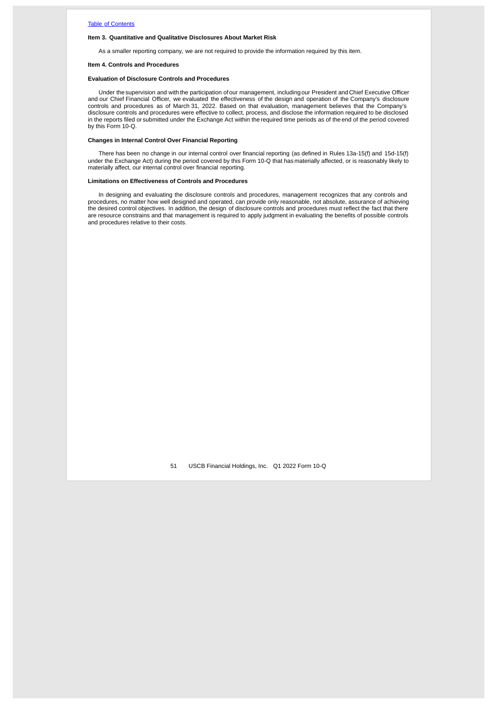# <span id="page-50-0"></span>**Item 3. Quantitative and Qualitative Disclosures About Market Risk**

As a smaller reporting company, we are not required to provide the information required by this item.

#### <span id="page-50-1"></span>**Item 4. Controls and Procedures**

# **Evaluation of Disclosure Controls and Procedures**

Under the supervision and with the participation of our management, including our President and Chief Executive Officer and our Chief Financial Officer, we evaluated the effectiveness of the design and operation of the Company's disclosure controls and procedures as of March 31, 2022. Based on that evaluation, management believes that the Company's disclosure controls and procedures were effective to collect, process, and disclose the information required to be disclosed in the reports filed or submitted under the Exchange Act within the required time periods as of the end of the period covered by this Form 10-Q.

# **Changes in Internal Control Over Financial Reporting**

There has been no change in our internal control over financial reporting (as defined in Rules 13a-15(f) and 15d-15(f) under the Exchange Act) during the period covered by this Form 10-Q that has materially affected, or is reasonably likely to materially affect, our internal control over financial reporting.

#### **Limitations on Effectiveness of Controls and Procedures**

In designing and evaluating the disclosure controls and procedures, management recognizes that any controls and procedures, no matter how well designed and operated, can provide only reasonable, not absolute, assurance of achieving the desired control objectives. In addition, the design of disclosure controls and procedures must reflect the fact that there are resource constrains and that management is required to apply judgment in evaluating the benefits of possible controls and procedures relative to their costs.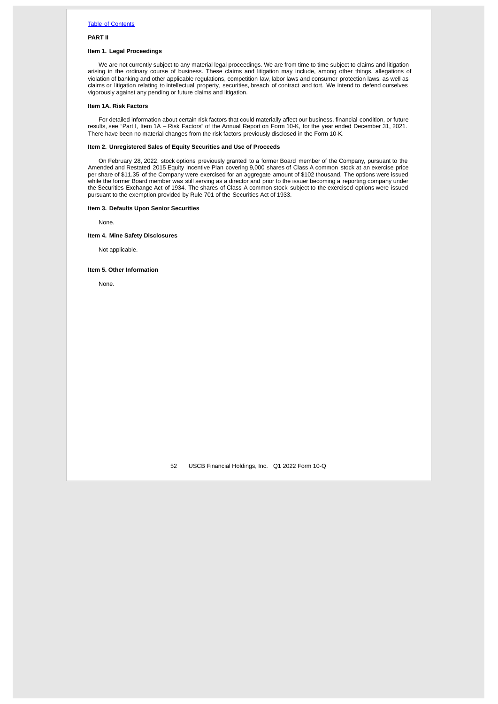# <span id="page-51-0"></span>**PART II**

# **Item 1. Legal Proceedings**

We are not currently subject to any material legal proceedings. We are from time to time subject to claims and litigation arising in the ordinary course of business. These claims and litigation may include, among other things, allegations of violation of banking and other applicable regulations, competition law, labor laws and consumer protection laws, as well as claims or litigation relating to intellectual property, securities, breach of contract and tort. We intend to defend ourselves vigorously against any pending or future claims and litigation.

# <span id="page-51-1"></span>**Item 1A. Risk Factors**

For detailed information about certain risk factors that could materially affect our business, financial condition, or future results, see "Part I, Item 1A – Risk Factors" of the Annual Report on Form 10-K, for the year ended December 31, 2021. There have been no material changes from the risk factors previously disclosed in the Form 10-K.

#### <span id="page-51-2"></span>**Item 2. Unregistered Sales of Equity Securities and Use of Proceeds**

On February 28, 2022, stock options previously granted to a former Board member of the Company, pursuant to the Amended and Restated 2015 Equity Incentive Plan covering 9,000 shares of Class A common stock at an exercise price per share of \$11.35 of the Company were exercised for an aggregate amount of \$102 thousand. The options were issued while the former Board member was still serving as a director and prior to the issuer becoming a reporting company under the Securities Exchange Act of 1934. The shares of Class A common stock subject to the exercised options were issued pursuant to the exemption provided by Rule 701 of the Securities Act of 1933.

# <span id="page-51-3"></span>**Item 3. Defaults Upon Senior Securities**

None.

### <span id="page-51-4"></span>**Item 4. Mine Safety Disclosures**

Not applicable.

# <span id="page-51-5"></span>**Item 5. Other Information**

None.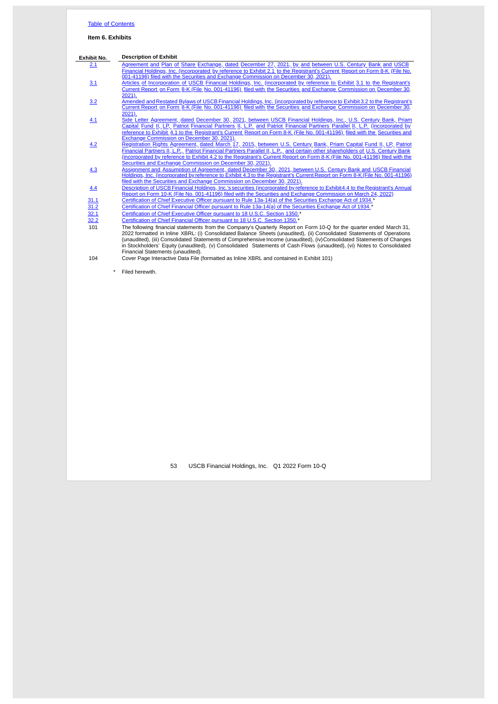<span id="page-52-0"></span>**Item 6. Exhibits**

| Exhibit No.         | <b>Description of Exhibit</b>                                                                                                                                                                             |  |  |
|---------------------|-----------------------------------------------------------------------------------------------------------------------------------------------------------------------------------------------------------|--|--|
| 2.1                 | Agreement and Plan of Share Exchange, dated December 27, 2021, by and between U.S. Century Bank and USCB                                                                                                  |  |  |
|                     | Financial Holdings, Inc. (incorporated by reference to Exhibit 2.1 to the Registrant's Current Report on Form 8-K (File No.                                                                               |  |  |
|                     | 001-41196) filed with the Securities and Exchange Commission on December 30, 2021).                                                                                                                       |  |  |
| 3.1                 | Articles of Incorporation of USCB Financial Holdings, Inc. (incorporated by reference to Exhibit 3.1 to the Registrant's                                                                                  |  |  |
|                     | Current Report on Form 8-K (File No. 001-41196) filed with the Securities and Exchange Commission on December 30,                                                                                         |  |  |
| 3.2                 | $2021$ ).<br>Amended and Restated Bylaws of USCB Financial Holdings, Inc. (incorporated by reference to Exhibit 3.2 to the Registrant's                                                                   |  |  |
|                     | Current Report on Form 8-K (File No. 001-41196) filed with the Securities and Exchange Commission on December 30,                                                                                         |  |  |
|                     | $2021$ ).                                                                                                                                                                                                 |  |  |
| 4.1                 | Side Letter Agreement, dated December 30, 2021, between USCB Financial Holdings, Inc., U.S. Century Bank, Priam                                                                                           |  |  |
|                     | Capital Fund II, LP, Patriot Financial Partners II, L.P. and Patriot Financial Partners Parallel II, L.P. (incorporated by                                                                                |  |  |
|                     | reference to Exhibit 4.1 to the Registrant's Current Report on Form 8-K (File No. 001-41196) filed with the Securities and                                                                                |  |  |
|                     | Exchange Commission on December 30, 2021).                                                                                                                                                                |  |  |
| 4.2                 | Registration Rights Agreement, dated March 17, 2015, between U.S. Century Bank, Priam Capital Fund II, LP, Patriot                                                                                        |  |  |
|                     | Financial Partners II, L.P., Patriot Financial Partners Parallel II, L.P., and certain other shareholders of U.S. Century Bank                                                                            |  |  |
|                     | (incorporated by reference to Exhibit 4.2 to the Registrant's Current Report on Form 8-K (File No. 001-41196) filed with the                                                                              |  |  |
|                     | Securities and Exchange Commission on December 30, 2021).                                                                                                                                                 |  |  |
| 4.3                 | Assignment and Assumption of Agreement, dated December 30, 2021, between U.S. Century Bank and USCB Financial                                                                                             |  |  |
|                     | Holdings, Inc. (incorporated by reference to Exhibit 4.3 to the Registrant's Current Report on Form 8-K (File No. 001-41196)                                                                              |  |  |
| 4.4                 | filed with the Securities and Exchange Commission on December 30, 2021).<br>Description of USCB Financial Holdings, Inc.'s securities (incorporated by reference to Exhibit4.4 to the Registrant's Annual |  |  |
|                     | Report on Form 10-K (File No. 001-41196) filed with the Securities and Exchange Commission on March 24, 2022)                                                                                             |  |  |
|                     | Certification of Chief Executive Officer pursuant to Rule 13a-14(a) of the Securities Exchange Act of 1934.*                                                                                              |  |  |
| $\frac{31.1}{31.2}$ | Certification of Chief Financial Officer pursuant to Rule 13a-14(a) of the Securities Exchange Act of 1934.*                                                                                              |  |  |
| 32.1                | Certification of Chief Executive Officer pursuant to 18 U.S.C. Section 1350.*                                                                                                                             |  |  |
| 32.2                | Certification of Chief Financial Officer pursuant to 18 U.S.C. Section 1350.*                                                                                                                             |  |  |
| 101                 | The following financial statements from the Company's Quarterly Report on Form 10-Q for the quarter ended March 31,                                                                                       |  |  |
|                     | 2022 formatted in Inline XBRL: (i) Consolidated Balance Sheets (unaudited), (ii) Consolidated Statements of Operations                                                                                    |  |  |
|                     | (unaudited), (iii) Consolidated Statements of Comprehensive Income (unaudited), (iv) Consolidated Statements of Changes                                                                                   |  |  |
|                     | in Stockholders' Equity (unaudited), (v) Consolidated Statements of Cash Flows (unaudited), (vi) Notes to Consolidated                                                                                    |  |  |
|                     | Financial Statements (unaudited).                                                                                                                                                                         |  |  |
| 104                 | Cover Page Interactive Data File (formatted as Inline XBRL and contained in Exhibit 101)                                                                                                                  |  |  |
|                     |                                                                                                                                                                                                           |  |  |

\* Filed herewith.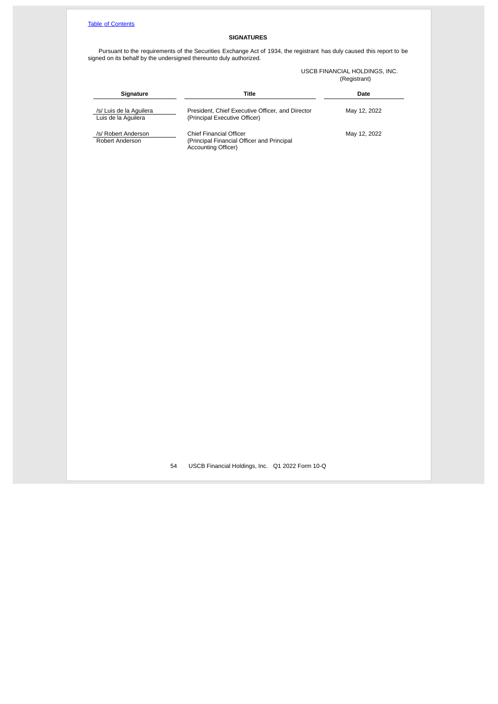# <span id="page-53-0"></span>**SIGNATURES**

Pursuant to the requirements of the Securities Exchange Act of 1934, the registrant has duly caused this report to be signed on its behalf by the undersigned thereunto duly authorized.

|                                                | USCB FINANCIAL HOLDINGS, INC.<br>(Registrant)                                                       |              |  |
|------------------------------------------------|-----------------------------------------------------------------------------------------------------|--------------|--|
| Signature                                      | Title                                                                                               | Date         |  |
| /s/ Luis de la Aguilera<br>Luis de la Aguilera | President, Chief Executive Officer, and Director<br>(Principal Executive Officer)                   | May 12, 2022 |  |
| /s/ Robert Anderson<br>Robert Anderson         | <b>Chief Financial Officer</b><br>(Principal Financial Officer and Principal<br>Accounting Officer) | May 12, 2022 |  |
|                                                |                                                                                                     |              |  |
|                                                |                                                                                                     |              |  |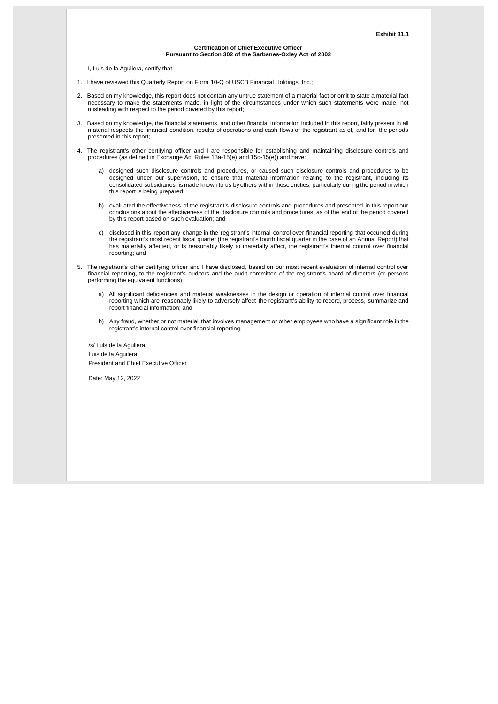#### **Certification of Chief Executive Officer Pursuant to Section 302 of the Sarbanes-Oxley Act of 2002**

<span id="page-54-0"></span>I, Luis de la Aguilera, certify that:

- 1. I have reviewed this Quarterly Report on Form 10-Q of USCB Financial Holdings, Inc.;
- 2. Based on my knowledge, this report does not contain any untrue statement of a material fact or omit to state a material fact necessary to make the statements made, in light of the circumstances under which such statements were made, not misleading with respect to the period covered by this report;
- 3. Based on my knowledge, the financial statements, and other financial information included in this report, fairly present in all material respects the financial condition, results of operations and cash flows of the registrant as of, and for, the periods presented in this report;
- 4. The registrant's other certifying officer and I are responsible for establishing and maintaining disclosure controls and procedures (as defined in Exchange Act Rules 13a-15(e) and 15d-15(e)) and have:
	- a) designed such disclosure controls and procedures, or caused such disclosure controls and procedures to be designed under our supervision, to ensure that material information relating to the registrant, including its consolidated subsidiaries, is made known to us by others within those entities, particularly during the period inwhich this report is being prepared;
	- b) evaluated the effectiveness of the registrant's disclosure controls and procedures and presented in this report our conclusions about the effectiveness of the disclosure controls and procedures, as of the end of the period covered by this report based on such evaluation; and
	- c) disclosed in this report any change in the registrant's internal control over financial reporting that occurred during the registrant's most recent fiscal quarter (the registrant's fourth fiscal quarter in the case of an Annual Report) that has materially affected, or is reasonably likely to materially affect, the registrant's internal control over financial reporting; and
- 5. The registrant's other certifying officer and I have disclosed, based on our most recent evaluation of internal control over financial reporting, to the registrant's auditors and the audit committee of the registrant's board of directors (or persons performing the equivalent functions):
	- a) All significant deficiencies and material weaknesses in the design or operation of internal control over financial reporting which are reasonably likely to adversely affect the registrant's ability to record, process, summarize and report financial information; and
	- b) Any fraud, whether or not material, that involves management or other employees who have a significant role in the registrant's internal control over financial reporting.

/s/ Luis de la Aguilera Luis de la Aguilera President and Chief Executive Officer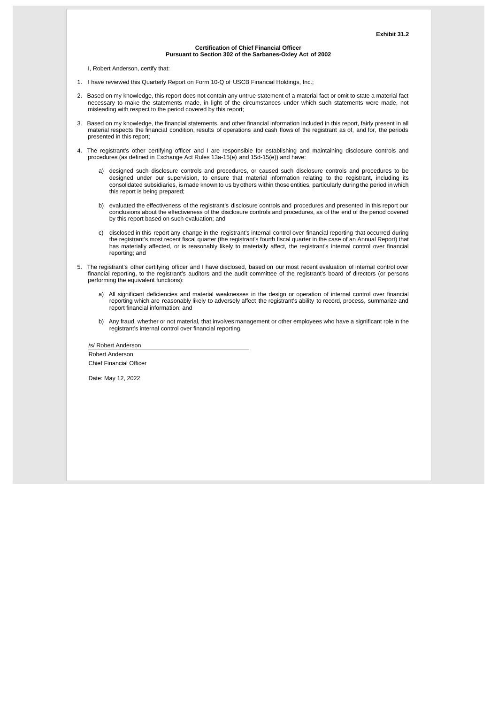#### **Certification of Chief Financial Officer Pursuant to Section 302 of the Sarbanes-Oxley Act of 2002**

<span id="page-55-0"></span>I, Robert Anderson, certify that:

- 1. I have reviewed this Quarterly Report on Form 10-Q of USCB Financial Holdings, Inc.;
- 2. Based on my knowledge, this report does not contain any untrue statement of a material fact or omit to state a material fact necessary to make the statements made, in light of the circumstances under which such statements were made, not misleading with respect to the period covered by this report;
- 3. Based on my knowledge, the financial statements, and other financial information included in this report, fairly present in all material respects the financial condition, results of operations and cash flows of the registrant as of, and for, the periods presented in this report;
- 4. The registrant's other certifying officer and I are responsible for establishing and maintaining disclosure controls and procedures (as defined in Exchange Act Rules 13a-15(e) and 15d-15(e)) and have:
	- a) designed such disclosure controls and procedures, or caused such disclosure controls and procedures to be designed under our supervision, to ensure that material information relating to the registrant, including its consolidated subsidiaries, is made known to us by others within those entities, particularly during the period inwhich this report is being prepared;
	- b) evaluated the effectiveness of the registrant's disclosure controls and procedures and presented in this report our conclusions about the effectiveness of the disclosure controls and procedures, as of the end of the period covered by this report based on such evaluation; and
	- c) disclosed in this report any change in the registrant's internal control over financial reporting that occurred during the registrant's most recent fiscal quarter (the registrant's fourth fiscal quarter in the case of an Annual Report) that has materially affected, or is reasonably likely to materially affect, the registrant's internal control over financial reporting; and
- 5. The registrant's other certifying officer and I have disclosed, based on our most recent evaluation of internal control over financial reporting, to the registrant's auditors and the audit committee of the registrant's board of directors (or persons performing the equivalent functions):
	- a) All significant deficiencies and material weaknesses in the design or operation of internal control over financial reporting which are reasonably likely to adversely affect the registrant's ability to record, process, summarize and report financial information; and
	- b) Any fraud, whether or not material, that involves management or other employees who have a significant role in the registrant's internal control over financial reporting.

/s/ Robert Anderson Robert Anderson Chief Financial Officer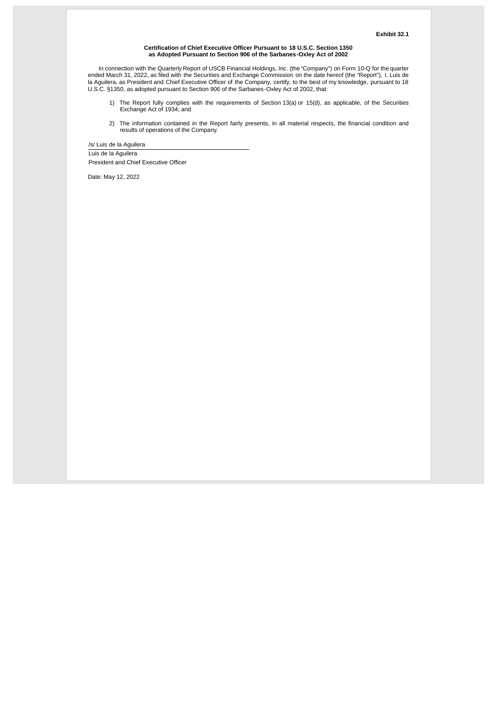#### **Certification of Chief Executive Officer Pursuant to 18 U.S.C. Section 1350 as Adopted Pursuant to Section 906 of the Sarbanes-Oxley Act of 2002**

<span id="page-56-0"></span>In connection with the Quarterly Report of USCB Financial Holdings, Inc. (the "Company") on Form 10-Q for the quarter ended March 31, 2022, as filed with the Securities and Exchange Commission on the date hereof (the "Report"), I, Luis de la Aguilera, as President and Chief Executive Officer of the Company, certify, to the best of my knowledge, pursuant to 18 U.S.C. §1350, as adopted pursuant to Section 906 of the Sarbanes-Oxley Act of 2002, that:

- 1) The Report fully complies with the requirements of Section 13(a) or 15(d), as applicable, of the Securities Exchange Act of 1934; and
- 2) The information contained in the Report fairly presents, in all material respects, the financial condition and results of operations of the Company.

/s/ Luis de la Aguilera Luis de la Aguilera President and Chief Executive Officer